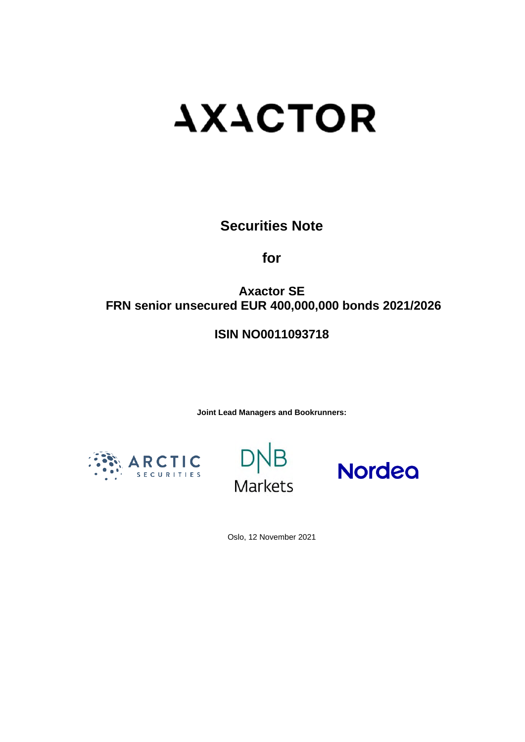# **AXACTOR**

# **Securities Note**

**for** 

# **Axactor SE FRN senior unsecured EUR 400,000,000 bonds 2021/2026**

# **ISIN NO0011093718**

**Joint Lead Managers and Bookrunners:** 







Oslo, 12 November 2021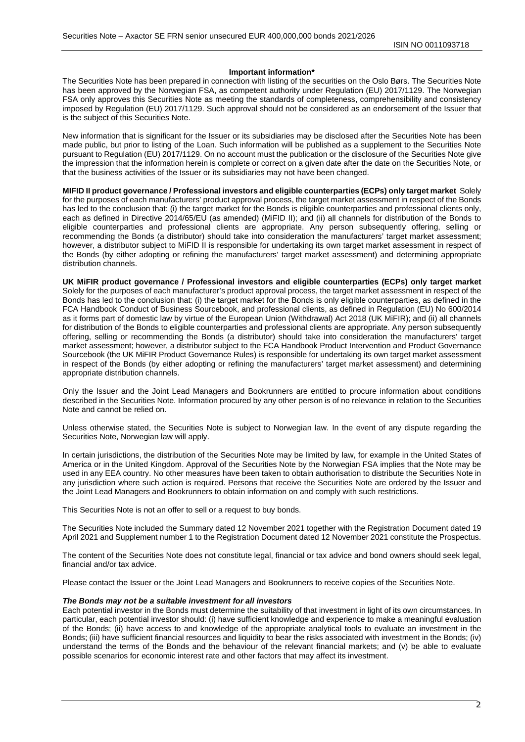#### **Important information\***

The Securities Note has been prepared in connection with listing of the securities on the Oslo Børs. The Securities Note has been approved by the Norwegian FSA, as competent authority under Regulation (EU) 2017/1129. The Norwegian FSA only approves this Securities Note as meeting the standards of completeness, comprehensibility and consistency imposed by Regulation (EU) 2017/1129. Such approval should not be considered as an endorsement of the Issuer that is the subject of this Securities Note.

New information that is significant for the Issuer or its subsidiaries may be disclosed after the Securities Note has been made public, but prior to listing of the Loan. Such information will be published as a supplement to the Securities Note pursuant to Regulation (EU) 2017/1129. On no account must the publication or the disclosure of the Securities Note give the impression that the information herein is complete or correct on a given date after the date on the Securities Note, or that the business activities of the Issuer or its subsidiaries may not have been changed.

**MIFID II product governance / Professional investors and eligible counterparties (ECPs) only target market** Solely for the purposes of each manufacturers' product approval process, the target market assessment in respect of the Bonds has led to the conclusion that: (i) the target market for the Bonds is eligible counterparties and professional clients only, each as defined in Directive 2014/65/EU (as amended) (MiFID II); and (ii) all channels for distribution of the Bonds to eligible counterparties and professional clients are appropriate. Any person subsequently offering, selling or recommending the Bonds (a distributor) should take into consideration the manufacturers' target market assessment; however, a distributor subject to MiFID II is responsible for undertaking its own target market assessment in respect of the Bonds (by either adopting or refining the manufacturers' target market assessment) and determining appropriate distribution channels.

**UK MiFIR product governance / Professional investors and eligible counterparties (ECPs) only target market** Solely for the purposes of each manufacturer's product approval process, the target market assessment in respect of the Bonds has led to the conclusion that: (i) the target market for the Bonds is only eligible counterparties, as defined in the FCA Handbook Conduct of Business Sourcebook, and professional clients, as defined in Regulation (EU) No 600/2014 as it forms part of domestic law by virtue of the European Union (Withdrawal) Act 2018 (UK MiFIR); and (ii) all channels for distribution of the Bonds to eligible counterparties and professional clients are appropriate. Any person subsequently offering, selling or recommending the Bonds (a distributor) should take into consideration the manufacturers' target market assessment; however, a distributor subject to the FCA Handbook Product Intervention and Product Governance Sourcebook (the UK MiFIR Product Governance Rules) is responsible for undertaking its own target market assessment in respect of the Bonds (by either adopting or refining the manufacturers' target market assessment) and determining appropriate distribution channels.

Only the Issuer and the Joint Lead Managers and Bookrunners are entitled to procure information about conditions described in the Securities Note. Information procured by any other person is of no relevance in relation to the Securities Note and cannot be relied on.

Unless otherwise stated, the Securities Note is subject to Norwegian law. In the event of any dispute regarding the Securities Note, Norwegian law will apply.

In certain jurisdictions, the distribution of the Securities Note may be limited by law, for example in the United States of America or in the United Kingdom. Approval of the Securities Note by the Norwegian FSA implies that the Note may be used in any EEA country. No other measures have been taken to obtain authorisation to distribute the Securities Note in any jurisdiction where such action is required. Persons that receive the Securities Note are ordered by the Issuer and the Joint Lead Managers and Bookrunners to obtain information on and comply with such restrictions.

This Securities Note is not an offer to sell or a request to buy bonds.

The Securities Note included the Summary dated 12 November 2021 together with the Registration Document dated 19 April 2021 and Supplement number 1 to the Registration Document dated 12 November 2021 constitute the Prospectus.

The content of the Securities Note does not constitute legal, financial or tax advice and bond owners should seek legal, financial and/or tax advice.

Please contact the Issuer or the Joint Lead Managers and Bookrunners to receive copies of the Securities Note.

#### *The Bonds may not be a suitable investment for all investors*

Each potential investor in the Bonds must determine the suitability of that investment in light of its own circumstances. In particular, each potential investor should: (i) have sufficient knowledge and experience to make a meaningful evaluation of the Bonds; (ii) have access to and knowledge of the appropriate analytical tools to evaluate an investment in the Bonds; (iii) have sufficient financial resources and liquidity to bear the risks associated with investment in the Bonds; (iv) understand the terms of the Bonds and the behaviour of the relevant financial markets; and (v) be able to evaluate possible scenarios for economic interest rate and other factors that may affect its investment.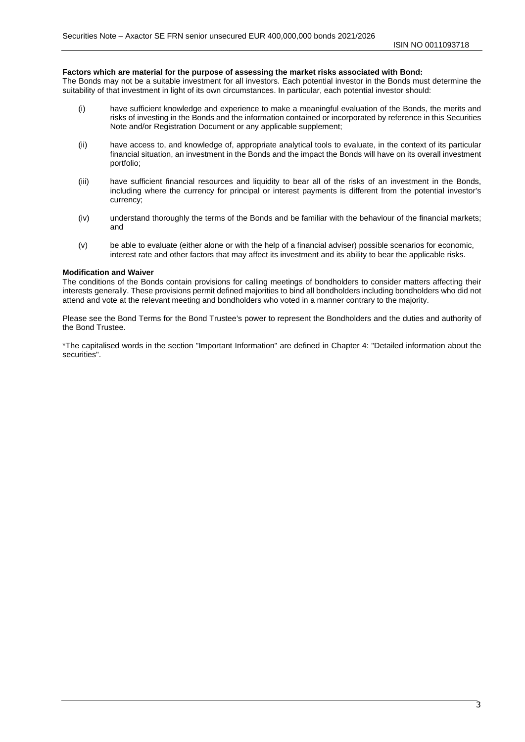#### **Factors which are material for the purpose of assessing the market risks associated with Bond:**

The Bonds may not be a suitable investment for all investors. Each potential investor in the Bonds must determine the suitability of that investment in light of its own circumstances. In particular, each potential investor should:

- (i) have sufficient knowledge and experience to make a meaningful evaluation of the Bonds, the merits and risks of investing in the Bonds and the information contained or incorporated by reference in this Securities Note and/or Registration Document or any applicable supplement;
- (ii) have access to, and knowledge of, appropriate analytical tools to evaluate, in the context of its particular financial situation, an investment in the Bonds and the impact the Bonds will have on its overall investment portfolio;
- (iii) have sufficient financial resources and liquidity to bear all of the risks of an investment in the Bonds, including where the currency for principal or interest payments is different from the potential investor's currency;
- (iv) understand thoroughly the terms of the Bonds and be familiar with the behaviour of the financial markets; and
- (v) be able to evaluate (either alone or with the help of a financial adviser) possible scenarios for economic, interest rate and other factors that may affect its investment and its ability to bear the applicable risks.

#### **Modification and Waiver**

The conditions of the Bonds contain provisions for calling meetings of bondholders to consider matters affecting their interests generally. These provisions permit defined majorities to bind all bondholders including bondholders who did not attend and vote at the relevant meeting and bondholders who voted in a manner contrary to the majority.

Please see the Bond Terms for the Bond Trustee's power to represent the Bondholders and the duties and authority of the Bond Trustee.

\*The capitalised words in the section "Important Information" are defined in Chapter 4: "Detailed information about the securities".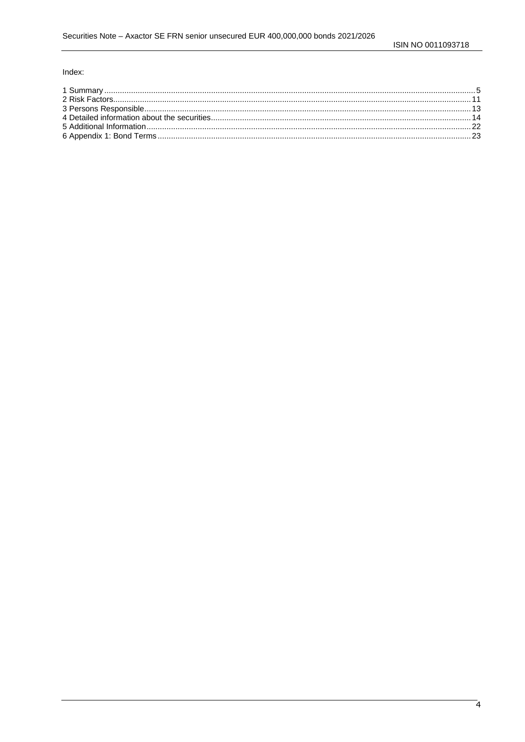#### Index: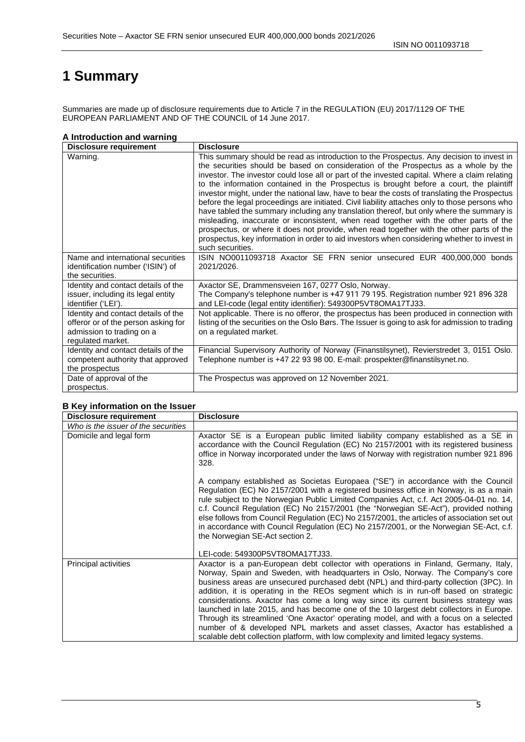# <span id="page-4-0"></span>**1 Summary**

Summaries are made up of disclosure requirements due to Article 7 in the REGULATION (EU) 2017/1129 OF THE EUROPEAN PARLIAMENT AND OF THE COUNCIL of 14 June 2017.

#### **A Introduction and warning**

| <b>Disclosure requirement</b>                                                                                                | <b>Disclosure</b>                                                                                                                                                                                                                                                                                                                                                                                                                                                                                                                                                                                                                                                                                                                                                                                                                                                                                                                                                                  |
|------------------------------------------------------------------------------------------------------------------------------|------------------------------------------------------------------------------------------------------------------------------------------------------------------------------------------------------------------------------------------------------------------------------------------------------------------------------------------------------------------------------------------------------------------------------------------------------------------------------------------------------------------------------------------------------------------------------------------------------------------------------------------------------------------------------------------------------------------------------------------------------------------------------------------------------------------------------------------------------------------------------------------------------------------------------------------------------------------------------------|
| Warning.                                                                                                                     | This summary should be read as introduction to the Prospectus. Any decision to invest in<br>the securities should be based on consideration of the Prospectus as a whole by the<br>investor. The investor could lose all or part of the invested capital. Where a claim relating<br>to the information contained in the Prospectus is brought before a court, the plaintiff<br>investor might, under the national law, have to bear the costs of translating the Prospectus<br>before the legal proceedings are initiated. Civil liability attaches only to those persons who<br>have tabled the summary including any translation thereof, but only where the summary is<br>misleading, inaccurate or inconsistent, when read together with the other parts of the<br>prospectus, or where it does not provide, when read together with the other parts of the<br>prospectus, key information in order to aid investors when considering whether to invest in<br>such securities. |
| Name and international securities<br>identification number ('ISIN') of<br>the securities.                                    | ISIN NO0011093718 Axactor SE FRN senior unsecured EUR 400,000,000 bonds<br>2021/2026.                                                                                                                                                                                                                                                                                                                                                                                                                                                                                                                                                                                                                                                                                                                                                                                                                                                                                              |
| Identity and contact details of the<br>issuer, including its legal entity<br>identifier ('LEI').                             | Axactor SE, Drammensveien 167, 0277 Oslo, Norway.<br>The Company's telephone number is +47 911 79 195. Registration number 921 896 328<br>and LEI-code (legal entity identifier): 549300P5VT8OMA17TJ33.                                                                                                                                                                                                                                                                                                                                                                                                                                                                                                                                                                                                                                                                                                                                                                            |
| Identity and contact details of the<br>offeror or of the person asking for<br>admission to trading on a<br>regulated market. | Not applicable. There is no offeror, the prospectus has been produced in connection with<br>listing of the securities on the Oslo Børs. The Issuer is going to ask for admission to trading<br>on a regulated market.                                                                                                                                                                                                                                                                                                                                                                                                                                                                                                                                                                                                                                                                                                                                                              |
| Identity and contact details of the<br>competent authority that approved<br>the prospectus                                   | Financial Supervisory Authority of Norway (Finanstilsynet), Revierstredet 3, 0151 Oslo.<br>Telephone number is +47 22 93 98 00. E-mail: prospekter@finanstilsynet.no.                                                                                                                                                                                                                                                                                                                                                                                                                                                                                                                                                                                                                                                                                                                                                                                                              |
| Date of approval of the<br>prospectus.                                                                                       | The Prospectus was approved on 12 November 2021.                                                                                                                                                                                                                                                                                                                                                                                                                                                                                                                                                                                                                                                                                                                                                                                                                                                                                                                                   |

#### **B Key information on the Issuer**

| <b>Disclosure requirement</b>       | <b>Disclosure</b>                                                                                                                                                                                                                                                                                                                                                                                                                                                                                                                                                                                                                                                                                                                                                                                           |
|-------------------------------------|-------------------------------------------------------------------------------------------------------------------------------------------------------------------------------------------------------------------------------------------------------------------------------------------------------------------------------------------------------------------------------------------------------------------------------------------------------------------------------------------------------------------------------------------------------------------------------------------------------------------------------------------------------------------------------------------------------------------------------------------------------------------------------------------------------------|
| Who is the issuer of the securities |                                                                                                                                                                                                                                                                                                                                                                                                                                                                                                                                                                                                                                                                                                                                                                                                             |
| Domicile and legal form             | Axactor SE is a European public limited liability company established as a SE in<br>accordance with the Council Regulation (EC) No 2157/2001 with its registered business<br>office in Norway incorporated under the laws of Norway with registration number 921 896<br>328.                                                                                                                                                                                                                                                                                                                                                                                                                                                                                                                                |
|                                     | A company established as Societas Europaea ("SE") in accordance with the Council<br>Regulation (EC) No 2157/2001 with a registered business office in Norway, is as a main<br>rule subject to the Norwegian Public Limited Companies Act, c.f. Act 2005-04-01 no. 14,<br>c.f. Council Regulation (EC) No 2157/2001 (the "Norwegian SE-Act"), provided nothing<br>else follows from Council Regulation (EC) No 2157/2001, the articles of association set out<br>in accordance with Council Regulation (EC) No 2157/2001, or the Norwegian SE-Act, c.f.<br>the Norwegian SE-Act section 2.                                                                                                                                                                                                                   |
|                                     | LEI-code: 549300P5VT8OMA17TJ33.                                                                                                                                                                                                                                                                                                                                                                                                                                                                                                                                                                                                                                                                                                                                                                             |
| Principal activities                | Axactor is a pan-European debt collector with operations in Finland, Germany, Italy,<br>Norway, Spain and Sweden, with headquarters in Oslo, Norway. The Company's core<br>business areas are unsecured purchased debt (NPL) and third-party collection (3PC). In<br>addition, it is operating in the REOs segment which is in run-off based on strategic<br>considerations. Axactor has come a long way since its current business strategy was<br>launched in late 2015, and has become one of the 10 largest debt collectors in Europe.<br>Through its streamlined 'One Axactor' operating model, and with a focus on a selected<br>number of & developed NPL markets and asset classes, Axactor has established a<br>scalable debt collection platform, with low complexity and limited legacy systems. |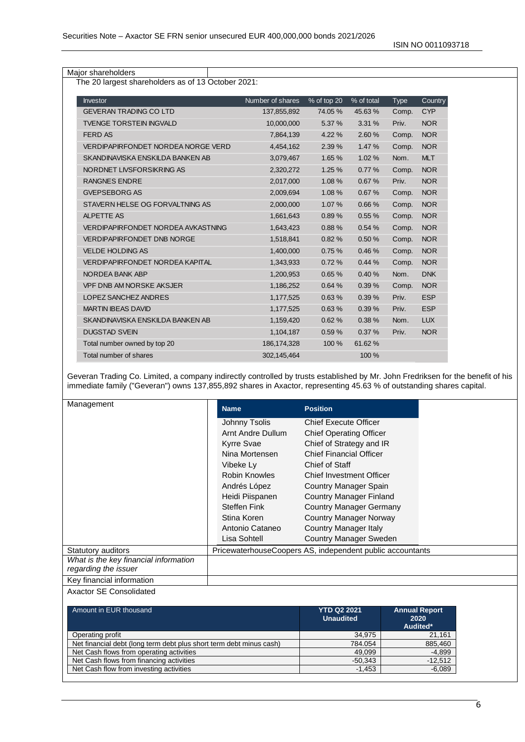Major shareholders

The 20 largest shareholders as of 13 October 2021:

| Investor                           | Number of shares | % of top 20 | % of total | <b>Type</b> | Country    |
|------------------------------------|------------------|-------------|------------|-------------|------------|
| <b>GEVERAN TRADING CO LTD</b>      | 137,855,892      | 74.05 %     | 45.63%     | Comp.       | <b>CYP</b> |
| <b>TVENGE TORSTEIN INGVALD</b>     | 10,000,000       | 5.37 %      | 3.31 %     | Priv.       | NOR        |
| <b>FERD AS</b>                     | 7,864,139        | 4.22 %      | 2.60 %     | Comp.       | <b>NOR</b> |
| VERDIPAPIRFONDET NORDEA NORGE VERD | 4,454,162        | 2.39 %      | 1.47 %     | Comp.       | <b>NOR</b> |
| SKANDINAVISKA ENSKILDA BANKEN AB   | 3,079,467        | 1.65 %      | 1.02%      | Nom.        | <b>MLT</b> |
| NORDNET LIVSFORSIKRING AS          | 2,320,272        | 1.25%       | 0.77%      | Comp.       | <b>NOR</b> |
| <b>RANGNES ENDRE</b>               | 2,017,000        | 1.08%       | 0.67%      | Priv.       | <b>NOR</b> |
| <b>GVEPSEBORG AS</b>               | 2,009,694        | 1.08%       | 0.67%      | Comp.       | <b>NOR</b> |
| STAVERN HELSE OG FORVALTNING AS    | 2,000,000        | 1.07 %      | 0.66%      | Comp.       | <b>NOR</b> |
| <b>ALPETTE AS</b>                  | 1,661,643        | 0.89%       | 0.55%      | Comp.       | <b>NOR</b> |
| VERDIPAPIRFONDET NORDEA AVKASTNING | 1,643,423        | 0.88%       | 0.54%      | Comp.       | <b>NOR</b> |
| <b>VERDIPAPIRFONDET DNB NORGE</b>  | 1,518,841        | 0.82%       | 0.50%      | Comp.       | <b>NOR</b> |
| <b>VELDE HOLDING AS</b>            | 1,400,000        | 0.75%       | 0.46%      | Comp.       | <b>NOR</b> |
| VERDIPAPIRFONDET NORDEA KAPITAL    | 1,343,933        | 0.72%       | 0.44%      | Comp.       | <b>NOR</b> |
| NORDEA BANK ABP                    | 1,200,953        | 0.65%       | 0.40%      | Nom.        | <b>DNK</b> |
| <b>VPF DNB AM NORSKE AKSJER</b>    | 1,186,252        | 0.64%       | 0.39%      | Comp.       | <b>NOR</b> |
| LOPEZ SANCHEZ ANDRES               | 1,177,525        | 0.63%       | 0.39%      | Priv.       | <b>ESP</b> |
| <b>MARTIN IBEAS DAVID</b>          | 1,177,525        | 0.63%       | 0.39%      | Priv.       | <b>ESP</b> |
| SKANDINAVISKA ENSKILDA BANKEN AB   | 1,159,420        | 0.62%       | 0.38%      | Nom.        | <b>LUX</b> |
| <b>DUGSTAD SVEIN</b>               | 1,104,187        | 0.59%       | 0.37%      | Priv.       | <b>NOR</b> |
| Total number owned by top 20       | 186, 174, 328    | 100 %       | 61.62%     |             |            |
| Total number of shares             | 302.145.464      |             | 100 %      |             |            |

Geveran Trading Co. Limited, a company indirectly controlled by trusts established by Mr. John Fredriksen for the benefit of his immediate family ("Geveran") owns 137,855,892 shares in Axactor, representing 45.63 % of outstanding shares capital.

| Management                            | <b>Name</b>         | <b>Position</b>                                           |  |
|---------------------------------------|---------------------|-----------------------------------------------------------|--|
|                                       | Johnny Tsolis       | <b>Chief Execute Officer</b>                              |  |
|                                       | Arnt Andre Dullum   | <b>Chief Operating Officer</b>                            |  |
|                                       | Kyrre Svae          | Chief of Strategy and IR                                  |  |
|                                       | Nina Mortensen      | <b>Chief Financial Officer</b>                            |  |
|                                       | Vibeke Ly           | Chief of Staff                                            |  |
|                                       | Robin Knowles       | <b>Chief Investment Officer</b>                           |  |
|                                       | Andrés López        | Country Manager Spain                                     |  |
|                                       | Heidi Piispanen     | <b>Country Manager Finland</b>                            |  |
|                                       | <b>Steffen Fink</b> | <b>Country Manager Germany</b>                            |  |
|                                       | Stina Koren         | <b>Country Manager Norway</b>                             |  |
|                                       | Antonio Cataneo     | Country Manager Italy                                     |  |
|                                       | Lisa Sohtell        | <b>Country Manager Sweden</b>                             |  |
| Statutory auditors                    |                     | PricewaterhouseCoopers AS, independent public accountants |  |
| What is the key financial information |                     |                                                           |  |
| regarding the issuer                  |                     |                                                           |  |
| Key financial information             |                     |                                                           |  |

Axactor SE Consolidated

| Amount in EUR thousand                                              | <b>YTD Q2 2021</b><br><b>Unaudited</b> | <b>Annual Report</b><br>2020<br>Audited* |
|---------------------------------------------------------------------|----------------------------------------|------------------------------------------|
| Operating profit                                                    | 34,975                                 | 21,161                                   |
| Net financial debt (long term debt plus short term debt minus cash) | 784.054                                | 885,460                                  |
| Net Cash flows from operating activities                            | 49.099                                 | $-4,899$                                 |
| Net Cash flows from financing activities                            | $-50.343$                              | $-12,512$                                |
| Net Cash flow from investing activities                             | $-1.453$                               | $-6,089$                                 |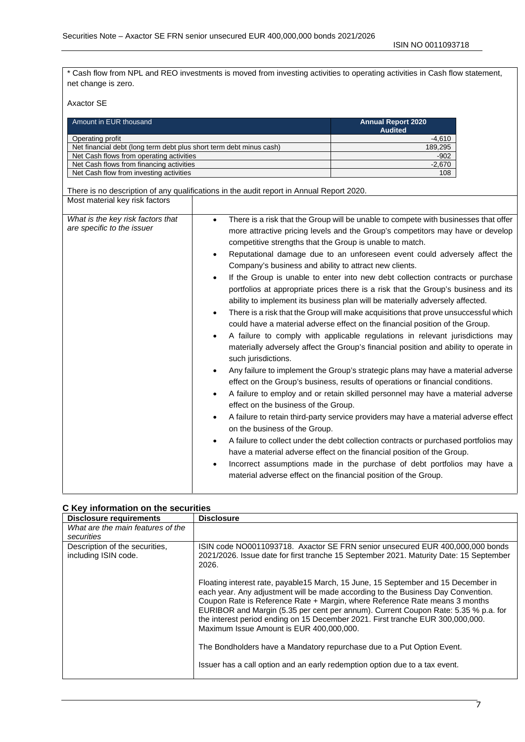\* Cash flow from NPL and REO investments is moved from investing activities to operating activities in Cash flow statement, net change is zero.

Axactor SE

| Amount in EUR thousand                                              | <b>Annual Report 2020</b><br><b>Audited</b> |
|---------------------------------------------------------------------|---------------------------------------------|
| Operating profit                                                    | -4.610                                      |
| Net financial debt (long term debt plus short term debt minus cash) | 189,295                                     |
| Net Cash flows from operating activities                            | $-902$                                      |
| Net Cash flows from financing activities                            | $-2.670$                                    |
| Net Cash flow from investing activities                             | 108                                         |

There is no description of any qualifications in the audit report in Annual Report 2020. Most material key risk factors

| What is the key risk factors that<br>are specific to the issuer | There is a risk that the Group will be unable to compete with businesses that offer<br>$\bullet$<br>more attractive pricing levels and the Group's competitors may have or develop<br>competitive strengths that the Group is unable to match.<br>Reputational damage due to an unforeseen event could adversely affect the<br>$\bullet$<br>Company's business and ability to attract new clients.<br>If the Group is unable to enter into new debt collection contracts or purchase<br>$\bullet$<br>portfolios at appropriate prices there is a risk that the Group's business and its<br>ability to implement its business plan will be materially adversely affected.<br>There is a risk that the Group will make acquisitions that prove unsuccessful which<br>could have a material adverse effect on the financial position of the Group.<br>A failure to comply with applicable regulations in relevant jurisdictions may<br>materially adversely affect the Group's financial position and ability to operate in<br>such jurisdictions.<br>Any failure to implement the Group's strategic plans may have a material adverse<br>effect on the Group's business, results of operations or financial conditions.<br>A failure to employ and or retain skilled personnel may have a material adverse<br>$\bullet$<br>effect on the business of the Group.<br>A failure to retain third-party service providers may have a material adverse effect<br>on the business of the Group.<br>A failure to collect under the debt collection contracts or purchased portfolios may<br>have a material adverse effect on the financial position of the Group.<br>Incorrect assumptions made in the purchase of debt portfolios may have a<br>$\bullet$<br>material adverse effect on the financial position of the Group. |
|-----------------------------------------------------------------|----------------------------------------------------------------------------------------------------------------------------------------------------------------------------------------------------------------------------------------------------------------------------------------------------------------------------------------------------------------------------------------------------------------------------------------------------------------------------------------------------------------------------------------------------------------------------------------------------------------------------------------------------------------------------------------------------------------------------------------------------------------------------------------------------------------------------------------------------------------------------------------------------------------------------------------------------------------------------------------------------------------------------------------------------------------------------------------------------------------------------------------------------------------------------------------------------------------------------------------------------------------------------------------------------------------------------------------------------------------------------------------------------------------------------------------------------------------------------------------------------------------------------------------------------------------------------------------------------------------------------------------------------------------------------------------------------------------------------------------------------------------------------------------------------------------------|

#### **C Key information on the securities**

| <b>Disclosure requirements</b>                         | <b>Disclosure</b>                                                                                                                                                                                                                                                                                                                                                                                                                                                         |
|--------------------------------------------------------|---------------------------------------------------------------------------------------------------------------------------------------------------------------------------------------------------------------------------------------------------------------------------------------------------------------------------------------------------------------------------------------------------------------------------------------------------------------------------|
| What are the main features of the<br>securities        |                                                                                                                                                                                                                                                                                                                                                                                                                                                                           |
| Description of the securities.<br>including ISIN code. | ISIN code NO0011093718. Axactor SE FRN senior unsecured EUR 400,000,000 bonds<br>2021/2026. Issue date for first tranche 15 September 2021. Maturity Date: 15 September<br>2026.                                                                                                                                                                                                                                                                                          |
|                                                        | Floating interest rate, payable 15 March, 15 June, 15 September and 15 December in<br>each year. Any adjustment will be made according to the Business Day Convention.<br>Coupon Rate is Reference Rate + Margin, where Reference Rate means 3 months<br>EURIBOR and Margin (5.35 per cent per annum). Current Coupon Rate: 5.35 % p.a. for<br>the interest period ending on 15 December 2021. First tranche EUR 300,000,000.<br>Maximum Issue Amount is EUR 400,000,000. |
|                                                        | The Bondholders have a Mandatory repurchase due to a Put Option Event.                                                                                                                                                                                                                                                                                                                                                                                                    |
|                                                        | Issuer has a call option and an early redemption option due to a tax event.                                                                                                                                                                                                                                                                                                                                                                                               |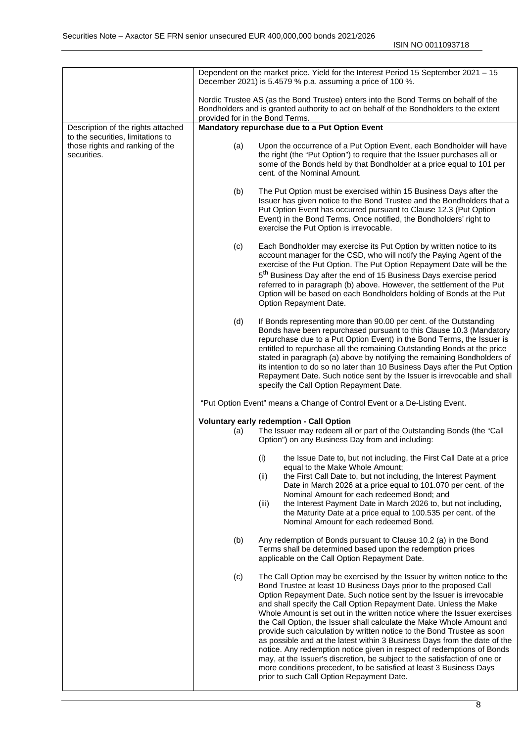|                                                                                     |     | Dependent on the market price. Yield for the Interest Period 15 September 2021 - 15<br>December 2021) is 5.4579 % p.a. assuming a price of 100 %.                                                                                                                                                                                                                                                                                                                                                                                                                                                                                                                                                                                                                                                                                                                                |
|-------------------------------------------------------------------------------------|-----|----------------------------------------------------------------------------------------------------------------------------------------------------------------------------------------------------------------------------------------------------------------------------------------------------------------------------------------------------------------------------------------------------------------------------------------------------------------------------------------------------------------------------------------------------------------------------------------------------------------------------------------------------------------------------------------------------------------------------------------------------------------------------------------------------------------------------------------------------------------------------------|
|                                                                                     |     | Nordic Trustee AS (as the Bond Trustee) enters into the Bond Terms on behalf of the<br>Bondholders and is granted authority to act on behalf of the Bondholders to the extent<br>provided for in the Bond Terms.                                                                                                                                                                                                                                                                                                                                                                                                                                                                                                                                                                                                                                                                 |
| Description of the rights attached                                                  |     | Mandatory repurchase due to a Put Option Event                                                                                                                                                                                                                                                                                                                                                                                                                                                                                                                                                                                                                                                                                                                                                                                                                                   |
| to the securities, limitations to<br>those rights and ranking of the<br>securities. | (a) | Upon the occurrence of a Put Option Event, each Bondholder will have<br>the right (the "Put Option") to require that the Issuer purchases all or<br>some of the Bonds held by that Bondholder at a price equal to 101 per<br>cent. of the Nominal Amount.                                                                                                                                                                                                                                                                                                                                                                                                                                                                                                                                                                                                                        |
|                                                                                     | (b) | The Put Option must be exercised within 15 Business Days after the<br>Issuer has given notice to the Bond Trustee and the Bondholders that a<br>Put Option Event has occurred pursuant to Clause 12.3 (Put Option<br>Event) in the Bond Terms. Once notified, the Bondholders' right to<br>exercise the Put Option is irrevocable.                                                                                                                                                                                                                                                                                                                                                                                                                                                                                                                                               |
|                                                                                     | (c) | Each Bondholder may exercise its Put Option by written notice to its<br>account manager for the CSD, who will notify the Paying Agent of the<br>exercise of the Put Option. The Put Option Repayment Date will be the<br>5 <sup>th</sup> Business Day after the end of 15 Business Days exercise period<br>referred to in paragraph (b) above. However, the settlement of the Put<br>Option will be based on each Bondholders holding of Bonds at the Put<br>Option Repayment Date.                                                                                                                                                                                                                                                                                                                                                                                              |
|                                                                                     | (d) | If Bonds representing more than 90.00 per cent. of the Outstanding<br>Bonds have been repurchased pursuant to this Clause 10.3 (Mandatory<br>repurchase due to a Put Option Event) in the Bond Terms, the Issuer is<br>entitled to repurchase all the remaining Outstanding Bonds at the price<br>stated in paragraph (a) above by notifying the remaining Bondholders of<br>its intention to do so no later than 10 Business Days after the Put Option<br>Repayment Date. Such notice sent by the Issuer is irrevocable and shall<br>specify the Call Option Repayment Date.                                                                                                                                                                                                                                                                                                    |
|                                                                                     |     | "Put Option Event" means a Change of Control Event or a De-Listing Event.                                                                                                                                                                                                                                                                                                                                                                                                                                                                                                                                                                                                                                                                                                                                                                                                        |
|                                                                                     |     | Voluntary early redemption - Call Option                                                                                                                                                                                                                                                                                                                                                                                                                                                                                                                                                                                                                                                                                                                                                                                                                                         |
|                                                                                     | (a) | The Issuer may redeem all or part of the Outstanding Bonds (the "Call<br>Option") on any Business Day from and including:                                                                                                                                                                                                                                                                                                                                                                                                                                                                                                                                                                                                                                                                                                                                                        |
|                                                                                     |     | (i) the Issue Date to, but not including, the First Call Date at a price<br>equal to the Make Whole Amount;<br>the First Call Date to, but not including, the Interest Payment<br>(ii)                                                                                                                                                                                                                                                                                                                                                                                                                                                                                                                                                                                                                                                                                           |
|                                                                                     |     | Date in March 2026 at a price equal to 101.070 per cent. of the<br>Nominal Amount for each redeemed Bond; and<br>the Interest Payment Date in March 2026 to, but not including,<br>(iii)<br>the Maturity Date at a price equal to 100.535 per cent. of the                                                                                                                                                                                                                                                                                                                                                                                                                                                                                                                                                                                                                       |
|                                                                                     |     | Nominal Amount for each redeemed Bond.                                                                                                                                                                                                                                                                                                                                                                                                                                                                                                                                                                                                                                                                                                                                                                                                                                           |
|                                                                                     | (b) | Any redemption of Bonds pursuant to Clause 10.2 (a) in the Bond<br>Terms shall be determined based upon the redemption prices<br>applicable on the Call Option Repayment Date.                                                                                                                                                                                                                                                                                                                                                                                                                                                                                                                                                                                                                                                                                                   |
|                                                                                     | (c) | The Call Option may be exercised by the Issuer by written notice to the<br>Bond Trustee at least 10 Business Days prior to the proposed Call<br>Option Repayment Date. Such notice sent by the Issuer is irrevocable<br>and shall specify the Call Option Repayment Date. Unless the Make<br>Whole Amount is set out in the written notice where the Issuer exercises<br>the Call Option, the Issuer shall calculate the Make Whole Amount and<br>provide such calculation by written notice to the Bond Trustee as soon<br>as possible and at the latest within 3 Business Days from the date of the<br>notice. Any redemption notice given in respect of redemptions of Bonds<br>may, at the Issuer's discretion, be subject to the satisfaction of one or<br>more conditions precedent, to be satisfied at least 3 Business Days<br>prior to such Call Option Repayment Date. |
|                                                                                     |     |                                                                                                                                                                                                                                                                                                                                                                                                                                                                                                                                                                                                                                                                                                                                                                                                                                                                                  |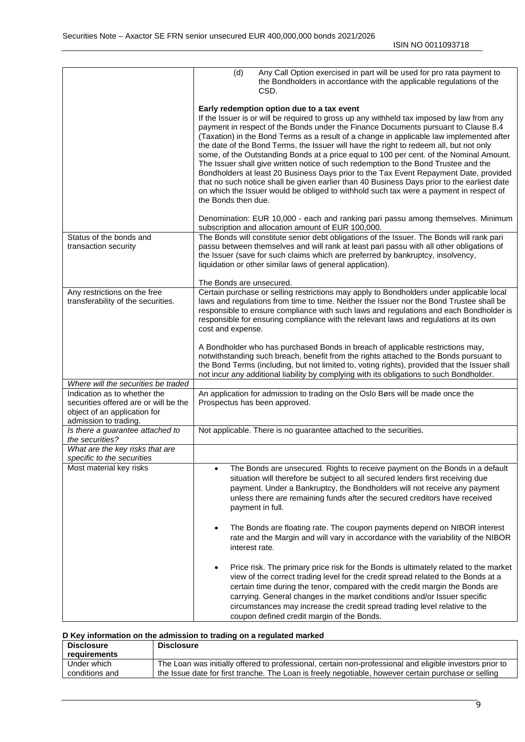|                                                                                                | Any Call Option exercised in part will be used for pro rata payment to<br>(d)<br>the Bondholders in accordance with the applicable regulations of the<br>CSD.                                                                                                                                                                                                                                                                                                                                                                                                                                                                                                                                                                                                                                                                                                                                                  |
|------------------------------------------------------------------------------------------------|----------------------------------------------------------------------------------------------------------------------------------------------------------------------------------------------------------------------------------------------------------------------------------------------------------------------------------------------------------------------------------------------------------------------------------------------------------------------------------------------------------------------------------------------------------------------------------------------------------------------------------------------------------------------------------------------------------------------------------------------------------------------------------------------------------------------------------------------------------------------------------------------------------------|
|                                                                                                | Early redemption option due to a tax event<br>If the Issuer is or will be required to gross up any withheld tax imposed by law from any<br>payment in respect of the Bonds under the Finance Documents pursuant to Clause 8.4<br>(Taxation) in the Bond Terms as a result of a change in applicable law implemented after<br>the date of the Bond Terms, the Issuer will have the right to redeem all, but not only<br>some, of the Outstanding Bonds at a price equal to 100 per cent. of the Nominal Amount.<br>The Issuer shall give written notice of such redemption to the Bond Trustee and the<br>Bondholders at least 20 Business Days prior to the Tax Event Repayment Date, provided<br>that no such notice shall be given earlier than 40 Business Days prior to the earliest date<br>on which the Issuer would be obliged to withhold such tax were a payment in respect of<br>the Bonds then due. |
|                                                                                                | Denomination: EUR 10,000 - each and ranking pari passu among themselves. Minimum<br>subscription and allocation amount of EUR 100,000.                                                                                                                                                                                                                                                                                                                                                                                                                                                                                                                                                                                                                                                                                                                                                                         |
| Status of the bonds and<br>transaction security                                                | The Bonds will constitute senior debt obligations of the Issuer. The Bonds will rank pari<br>passu between themselves and will rank at least pari passu with all other obligations of<br>the Issuer (save for such claims which are preferred by bankruptcy, insolvency,<br>liquidation or other similar laws of general application).                                                                                                                                                                                                                                                                                                                                                                                                                                                                                                                                                                         |
|                                                                                                | The Bonds are unsecured.                                                                                                                                                                                                                                                                                                                                                                                                                                                                                                                                                                                                                                                                                                                                                                                                                                                                                       |
| Any restrictions on the free                                                                   | Certain purchase or selling restrictions may apply to Bondholders under applicable local                                                                                                                                                                                                                                                                                                                                                                                                                                                                                                                                                                                                                                                                                                                                                                                                                       |
| transferability of the securities.                                                             | laws and regulations from time to time. Neither the Issuer nor the Bond Trustee shall be<br>responsible to ensure compliance with such laws and regulations and each Bondholder is<br>responsible for ensuring compliance with the relevant laws and regulations at its own<br>cost and expense.                                                                                                                                                                                                                                                                                                                                                                                                                                                                                                                                                                                                               |
|                                                                                                | A Bondholder who has purchased Bonds in breach of applicable restrictions may,<br>notwithstanding such breach, benefit from the rights attached to the Bonds pursuant to<br>the Bond Terms (including, but not limited to, voting rights), provided that the Issuer shall<br>not incur any additional liability by complying with its obligations to such Bondholder.                                                                                                                                                                                                                                                                                                                                                                                                                                                                                                                                          |
| Where will the securities be traded<br>Indication as to whether the                            |                                                                                                                                                                                                                                                                                                                                                                                                                                                                                                                                                                                                                                                                                                                                                                                                                                                                                                                |
| securities offered are or will be the<br>object of an application for<br>admission to trading. | An application for admission to trading on the Oslo Børs will be made once the<br>Prospectus has been approved.                                                                                                                                                                                                                                                                                                                                                                                                                                                                                                                                                                                                                                                                                                                                                                                                |
| Is there a guarantee attached to<br>the securities?                                            | Not applicable. There is no guarantee attached to the securities.                                                                                                                                                                                                                                                                                                                                                                                                                                                                                                                                                                                                                                                                                                                                                                                                                                              |
| What are the key risks that are<br>specific to the securities                                  |                                                                                                                                                                                                                                                                                                                                                                                                                                                                                                                                                                                                                                                                                                                                                                                                                                                                                                                |
| Most material key risks                                                                        | The Bonds are unsecured. Rights to receive payment on the Bonds in a default<br>$\bullet$<br>situation will therefore be subject to all secured lenders first receiving due<br>payment. Under a Bankruptcy, the Bondholders will not receive any payment<br>unless there are remaining funds after the secured creditors have received<br>payment in full.                                                                                                                                                                                                                                                                                                                                                                                                                                                                                                                                                     |
|                                                                                                | The Bonds are floating rate. The coupon payments depend on NIBOR interest<br>$\bullet$<br>rate and the Margin and will vary in accordance with the variability of the NIBOR<br>interest rate.                                                                                                                                                                                                                                                                                                                                                                                                                                                                                                                                                                                                                                                                                                                  |
|                                                                                                | Price risk. The primary price risk for the Bonds is ultimately related to the market<br>$\bullet$<br>view of the correct trading level for the credit spread related to the Bonds at a<br>certain time during the tenor, compared with the credit margin the Bonds are<br>carrying. General changes in the market conditions and/or Issuer specific<br>circumstances may increase the credit spread trading level relative to the<br>coupon defined credit margin of the Bonds.                                                                                                                                                                                                                                                                                                                                                                                                                                |

#### **D Key information on the admission to trading on a regulated marked**

| <b>Disclosure</b> | <b>Disclosure</b>                                                                                        |
|-------------------|----------------------------------------------------------------------------------------------------------|
| requirements      |                                                                                                          |
| Under which       | The Loan was initially offered to professional, certain non-professional and eligible investors prior to |
| conditions and    | the Issue date for first tranche. The Loan is freely negotiable, however certain purchase or selling     |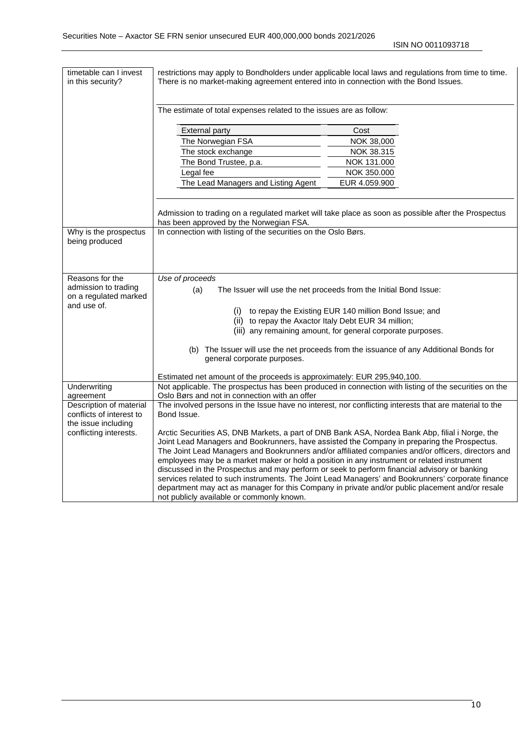ISIN NO 0011093718

| timetable can I invest<br>in this security?                                     | restrictions may apply to Bondholders under applicable local laws and regulations from time to time.<br>There is no market-making agreement entered into in connection with the Bond Issues.<br>The estimate of total expenses related to the issues are as follow:<br><b>External party</b><br>The Norwegian FSA<br>The stock exchange<br>The Bond Trustee, p.a.<br>Legal fee<br>The Lead Managers and Listing Agent                                                                                                                                                                                                                                                                                                                                   | Cost<br>NOK 38,000<br>NOK 38.315<br>NOK 131.000<br>NOK 350.000<br>EUR 4.059.900 |  |
|---------------------------------------------------------------------------------|---------------------------------------------------------------------------------------------------------------------------------------------------------------------------------------------------------------------------------------------------------------------------------------------------------------------------------------------------------------------------------------------------------------------------------------------------------------------------------------------------------------------------------------------------------------------------------------------------------------------------------------------------------------------------------------------------------------------------------------------------------|---------------------------------------------------------------------------------|--|
|                                                                                 | Admission to trading on a regulated market will take place as soon as possible after the Prospectus<br>has been approved by the Norwegian FSA.                                                                                                                                                                                                                                                                                                                                                                                                                                                                                                                                                                                                          |                                                                                 |  |
| Why is the prospectus<br>being produced                                         | In connection with listing of the securities on the Oslo Børs.                                                                                                                                                                                                                                                                                                                                                                                                                                                                                                                                                                                                                                                                                          |                                                                                 |  |
| Reasons for the<br>admission to trading<br>on a regulated marked<br>and use of. | Use of proceeds<br>(a)<br>The Issuer will use the net proceeds from the Initial Bond Issue:<br>(i) to repay the Existing EUR 140 million Bond Issue; and                                                                                                                                                                                                                                                                                                                                                                                                                                                                                                                                                                                                |                                                                                 |  |
|                                                                                 | (ii) to repay the Axactor Italy Debt EUR 34 million;<br>(iii) any remaining amount, for general corporate purposes.                                                                                                                                                                                                                                                                                                                                                                                                                                                                                                                                                                                                                                     |                                                                                 |  |
|                                                                                 | (b) The Issuer will use the net proceeds from the issuance of any Additional Bonds for<br>general corporate purposes.                                                                                                                                                                                                                                                                                                                                                                                                                                                                                                                                                                                                                                   |                                                                                 |  |
| Underwriting                                                                    | Estimated net amount of the proceeds is approximately: EUR 295,940,100.<br>Not applicable. The prospectus has been produced in connection with listing of the securities on the                                                                                                                                                                                                                                                                                                                                                                                                                                                                                                                                                                         |                                                                                 |  |
| agreement                                                                       | Oslo Børs and not in connection with an offer                                                                                                                                                                                                                                                                                                                                                                                                                                                                                                                                                                                                                                                                                                           |                                                                                 |  |
| Description of material<br>conflicts of interest to<br>the issue including      | The involved persons in the Issue have no interest, nor conflicting interests that are material to the<br>Bond Issue.                                                                                                                                                                                                                                                                                                                                                                                                                                                                                                                                                                                                                                   |                                                                                 |  |
| conflicting interests.                                                          | Arctic Securities AS, DNB Markets, a part of DNB Bank ASA, Nordea Bank Abp, filial i Norge, the<br>Joint Lead Managers and Bookrunners, have assisted the Company in preparing the Prospectus.<br>The Joint Lead Managers and Bookrunners and/or affiliated companies and/or officers, directors and<br>employees may be a market maker or hold a position in any instrument or related instrument<br>discussed in the Prospectus and may perform or seek to perform financial advisory or banking<br>services related to such instruments. The Joint Lead Managers' and Bookrunners' corporate finance<br>department may act as manager for this Company in private and/or public placement and/or resale<br>not publicly available or commonly known. |                                                                                 |  |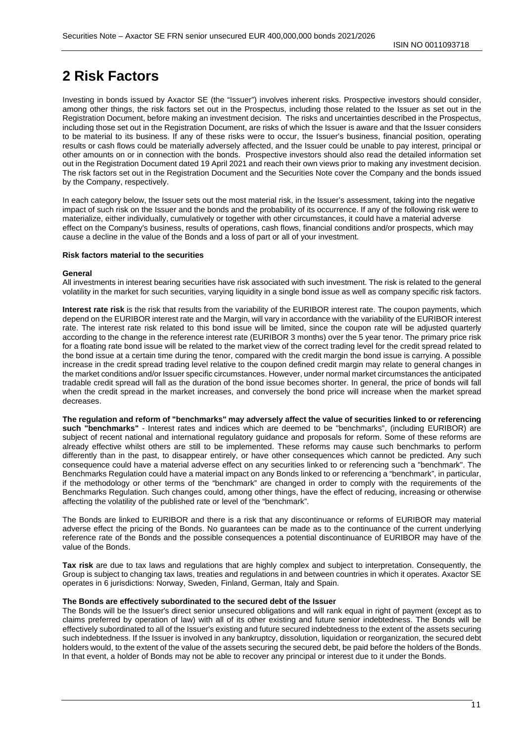# <span id="page-10-0"></span>**2 Risk Factors**

Investing in bonds issued by Axactor SE (the "Issuer") involves inherent risks. Prospective investors should consider, among other things, the risk factors set out in the Prospectus, including those related to the Issuer as set out in the Registration Document, before making an investment decision. The risks and uncertainties described in the Prospectus, including those set out in the Registration Document, are risks of which the Issuer is aware and that the Issuer considers to be material to its business. If any of these risks were to occur, the Issuer's business, financial position, operating results or cash flows could be materially adversely affected, and the Issuer could be unable to pay interest, principal or other amounts on or in connection with the bonds. Prospective investors should also read the detailed information set out in the Registration Document dated 19 April 2021 and reach their own views prior to making any investment decision. The risk factors set out in the Registration Document and the Securities Note cover the Company and the bonds issued by the Company, respectively.

In each category below, the Issuer sets out the most material risk, in the Issuer's assessment, taking into the negative impact of such risk on the Issuer and the bonds and the probability of its occurrence. If any of the following risk were to materialize, either individually, cumulatively or together with other circumstances, it could have a material adverse effect on the Company's business, results of operations, cash flows, financial conditions and/or prospects, which may cause a decline in the value of the Bonds and a loss of part or all of your investment.

#### **Risk factors material to the securities**

#### **General**

All investments in interest bearing securities have risk associated with such investment. The risk is related to the general volatility in the market for such securities, varying liquidity in a single bond issue as well as company specific risk factors.

**Interest rate risk** is the risk that results from the variability of the EURIBOR interest rate. The coupon payments, which depend on the EURIBOR interest rate and the Margin, will vary in accordance with the variability of the EURIBOR interest rate. The interest rate risk related to this bond issue will be limited, since the coupon rate will be adjusted quarterly according to the change in the reference interest rate (EURIBOR 3 months) over the 5 year tenor. The primary price risk for a floating rate bond issue will be related to the market view of the correct trading level for the credit spread related to the bond issue at a certain time during the tenor, compared with the credit margin the bond issue is carrying. A possible increase in the credit spread trading level relative to the coupon defined credit margin may relate to general changes in the market conditions and/or Issuer specific circumstances. However, under normal market circumstances the anticipated tradable credit spread will fall as the duration of the bond issue becomes shorter. In general, the price of bonds will fall when the credit spread in the market increases, and conversely the bond price will increase when the market spread decreases.

**The regulation and reform of "benchmarks" may adversely affect the value of securities linked to or referencing such "benchmarks"** - Interest rates and indices which are deemed to be "benchmarks", (including EURIBOR) are subject of recent national and international regulatory guidance and proposals for reform. Some of these reforms are already effective whilst others are still to be implemented. These reforms may cause such benchmarks to perform differently than in the past, to disappear entirely, or have other consequences which cannot be predicted. Any such consequence could have a material adverse effect on any securities linked to or referencing such a "benchmark". The Benchmarks Regulation could have a material impact on any Bonds linked to or referencing a "benchmark", in particular, if the methodology or other terms of the "benchmark" are changed in order to comply with the requirements of the Benchmarks Regulation. Such changes could, among other things, have the effect of reducing, increasing or otherwise affecting the volatility of the published rate or level of the "benchmark".

The Bonds are linked to EURIBOR and there is a risk that any discontinuance or reforms of EURIBOR may material adverse effect the pricing of the Bonds. No guarantees can be made as to the continuance of the current underlying reference rate of the Bonds and the possible consequences a potential discontinuance of EURIBOR may have of the value of the Bonds.

**Tax risk** are due to tax laws and regulations that are highly complex and subject to interpretation. Consequently, the Group is subject to changing tax laws, treaties and regulations in and between countries in which it operates. Axactor SE operates in 6 jurisdictions: Norway, Sweden, Finland, German, Italy and Spain.

#### **The Bonds are effectively subordinated to the secured debt of the Issuer**

The Bonds will be the Issuer's direct senior unsecured obligations and will rank equal in right of payment (except as to claims preferred by operation of law) with all of its other existing and future senior indebtedness. The Bonds will be effectively subordinated to all of the Issuer's existing and future secured indebtedness to the extent of the assets securing such indebtedness. If the Issuer is involved in any bankruptcy, dissolution, liquidation or reorganization, the secured debt holders would, to the extent of the value of the assets securing the secured debt, be paid before the holders of the Bonds. In that event, a holder of Bonds may not be able to recover any principal or interest due to it under the Bonds.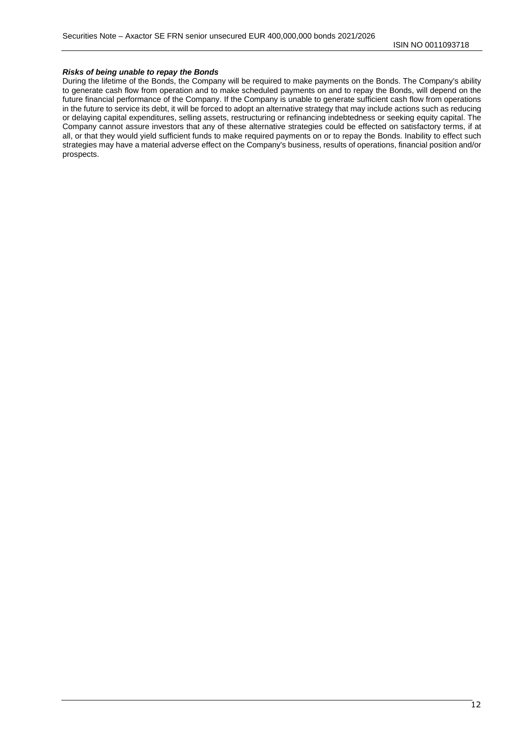#### *Risks of being unable to repay the Bonds*

During the lifetime of the Bonds, the Company will be required to make payments on the Bonds. The Company's ability to generate cash flow from operation and to make scheduled payments on and to repay the Bonds, will depend on the future financial performance of the Company. If the Company is unable to generate sufficient cash flow from operations in the future to service its debt, it will be forced to adopt an alternative strategy that may include actions such as reducing or delaying capital expenditures, selling assets, restructuring or refinancing indebtedness or seeking equity capital. The Company cannot assure investors that any of these alternative strategies could be effected on satisfactory terms, if at all, or that they would yield sufficient funds to make required payments on or to repay the Bonds. Inability to effect such strategies may have a material adverse effect on the Company's business, results of operations, financial position and/or prospects.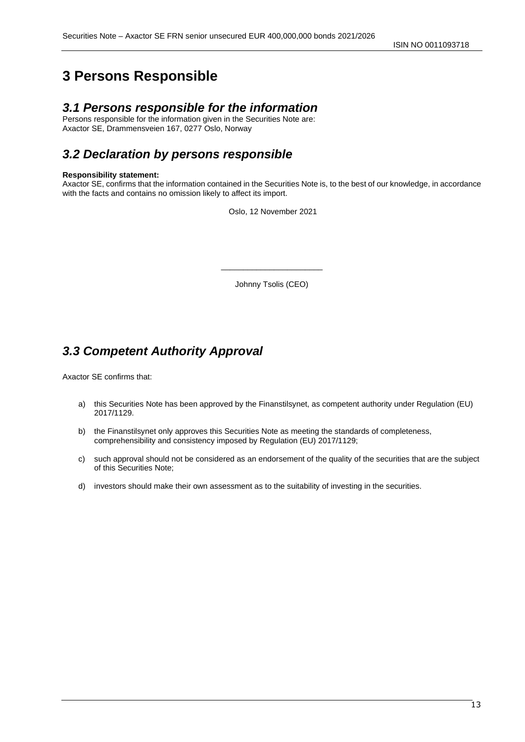# <span id="page-12-0"></span>**3 Persons Responsible**

# *3.1 Persons responsible for the information*

Persons responsible for the information given in the Securities Note are: Axactor SE, Drammensveien 167, 0277 Oslo, Norway

# *3.2 Declaration by persons responsible*

#### **Responsibility statement:**

Axactor SE, confirms that the information contained in the Securities Note is, to the best of our knowledge, in accordance with the facts and contains no omission likely to affect its import.

Oslo, 12 November 2021

Johnny Tsolis (CEO)

\_\_\_\_\_\_\_\_\_\_\_\_\_\_\_\_\_\_\_\_\_\_\_

# *3.3 Competent Authority Approval*

Axactor SE confirms that:

- a) this Securities Note has been approved by the Finanstilsynet, as competent authority under Regulation (EU) 2017/1129.
- b) the Finanstilsynet only approves this Securities Note as meeting the standards of completeness, comprehensibility and consistency imposed by Regulation (EU) 2017/1129;
- c) such approval should not be considered as an endorsement of the quality of the securities that are the subject of this Securities Note;
- d) investors should make their own assessment as to the suitability of investing in the securities.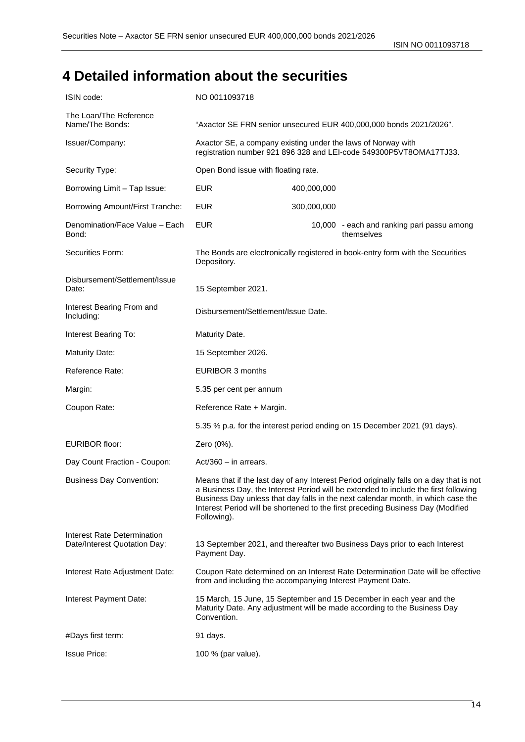ISIN NO 0011093718

# <span id="page-13-0"></span>**4 Detailed information about the securities**

| ISIN code:                                                  | NO 0011093718                                                                                                                                                   |             |                                                                                                                                                                                                                                                                                                                                                       |
|-------------------------------------------------------------|-----------------------------------------------------------------------------------------------------------------------------------------------------------------|-------------|-------------------------------------------------------------------------------------------------------------------------------------------------------------------------------------------------------------------------------------------------------------------------------------------------------------------------------------------------------|
| The Loan/The Reference<br>Name/The Bonds:                   | "Axactor SE FRN senior unsecured EUR 400,000,000 bonds 2021/2026".                                                                                              |             |                                                                                                                                                                                                                                                                                                                                                       |
| Issuer/Company:                                             | Axactor SE, a company existing under the laws of Norway with<br>registration number 921 896 328 and LEI-code 549300P5VT8OMA17TJ33.                              |             |                                                                                                                                                                                                                                                                                                                                                       |
| Security Type:                                              | Open Bond issue with floating rate.                                                                                                                             |             |                                                                                                                                                                                                                                                                                                                                                       |
| Borrowing Limit - Tap Issue:                                | <b>EUR</b>                                                                                                                                                      | 400,000,000 |                                                                                                                                                                                                                                                                                                                                                       |
| Borrowing Amount/First Tranche:                             | <b>EUR</b>                                                                                                                                                      | 300,000,000 |                                                                                                                                                                                                                                                                                                                                                       |
| Denomination/Face Value - Each<br>Bond:                     | <b>EUR</b>                                                                                                                                                      |             | 10,000 - each and ranking pari passu among<br>themselves                                                                                                                                                                                                                                                                                              |
| Securities Form:                                            | The Bonds are electronically registered in book-entry form with the Securities<br>Depository.                                                                   |             |                                                                                                                                                                                                                                                                                                                                                       |
| Disbursement/Settlement/Issue<br>Date:                      | 15 September 2021.                                                                                                                                              |             |                                                                                                                                                                                                                                                                                                                                                       |
| Interest Bearing From and<br>Including:                     | Disbursement/Settlement/Issue Date.                                                                                                                             |             |                                                                                                                                                                                                                                                                                                                                                       |
| Interest Bearing To:                                        | Maturity Date.                                                                                                                                                  |             |                                                                                                                                                                                                                                                                                                                                                       |
| <b>Maturity Date:</b>                                       | 15 September 2026.                                                                                                                                              |             |                                                                                                                                                                                                                                                                                                                                                       |
| Reference Rate:                                             | EURIBOR 3 months                                                                                                                                                |             |                                                                                                                                                                                                                                                                                                                                                       |
| Margin:                                                     | 5.35 per cent per annum                                                                                                                                         |             |                                                                                                                                                                                                                                                                                                                                                       |
| Coupon Rate:                                                | Reference Rate + Margin.                                                                                                                                        |             |                                                                                                                                                                                                                                                                                                                                                       |
|                                                             |                                                                                                                                                                 |             | 5.35 % p.a. for the interest period ending on 15 December 2021 (91 days).                                                                                                                                                                                                                                                                             |
| <b>EURIBOR floor:</b>                                       | Zero (0%).                                                                                                                                                      |             |                                                                                                                                                                                                                                                                                                                                                       |
| Day Count Fraction - Coupon:                                | $Act/360 - in arrest.$                                                                                                                                          |             |                                                                                                                                                                                                                                                                                                                                                       |
| <b>Business Day Convention:</b>                             | Following).                                                                                                                                                     |             | Means that if the last day of any Interest Period originally falls on a day that is not<br>a Business Day, the Interest Period will be extended to include the first following<br>Business Day unless that day falls in the next calendar month, in which case the<br>Interest Period will be shortened to the first preceding Business Day (Modified |
| Interest Rate Determination<br>Date/Interest Quotation Day: | Payment Day.                                                                                                                                                    |             | 13 September 2021, and thereafter two Business Days prior to each Interest                                                                                                                                                                                                                                                                            |
| Interest Rate Adjustment Date:                              | Coupon Rate determined on an Interest Rate Determination Date will be effective<br>from and including the accompanying Interest Payment Date.                   |             |                                                                                                                                                                                                                                                                                                                                                       |
| Interest Payment Date:                                      | 15 March, 15 June, 15 September and 15 December in each year and the<br>Maturity Date. Any adjustment will be made according to the Business Day<br>Convention. |             |                                                                                                                                                                                                                                                                                                                                                       |
| #Days first term:                                           | 91 days.                                                                                                                                                        |             |                                                                                                                                                                                                                                                                                                                                                       |
| <b>Issue Price:</b>                                         | 100 % (par value).                                                                                                                                              |             |                                                                                                                                                                                                                                                                                                                                                       |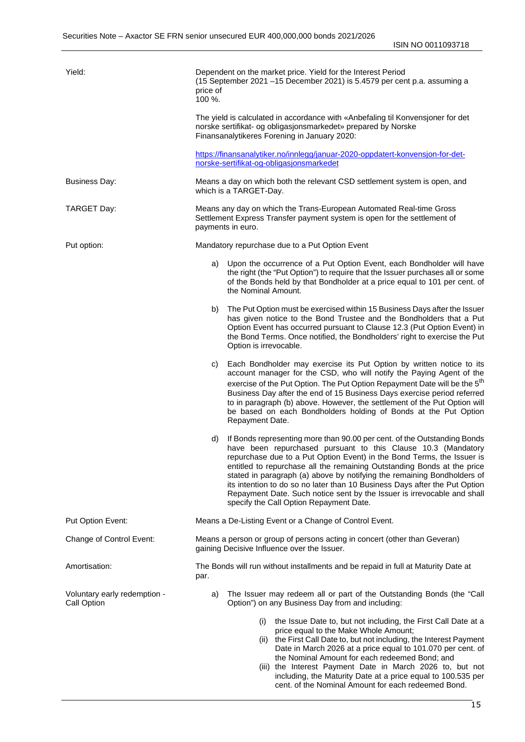ISIN NO 0011093718

| Yield:                                      | Dependent on the market price. Yield for the Interest Period<br>(15 September 2021 -15 December 2021) is 5.4579 per cent p.a. assuming a<br>price of<br>100 %.                                                                                                                                                                                                                                                                                                                                                                                                                      |  |
|---------------------------------------------|-------------------------------------------------------------------------------------------------------------------------------------------------------------------------------------------------------------------------------------------------------------------------------------------------------------------------------------------------------------------------------------------------------------------------------------------------------------------------------------------------------------------------------------------------------------------------------------|--|
|                                             | The yield is calculated in accordance with «Anbefaling til Konvensjoner for det<br>norske sertifikat- og obligasjonsmarkedet» prepared by Norske<br>Finansanalytikeres Forening in January 2020:                                                                                                                                                                                                                                                                                                                                                                                    |  |
|                                             | https://finansanalytiker.no/innlegg/januar-2020-oppdatert-konvensjon-for-det-<br>norske-sertifikat-og-obligasjonsmarkedet                                                                                                                                                                                                                                                                                                                                                                                                                                                           |  |
| Business Day:                               | Means a day on which both the relevant CSD settlement system is open, and<br>which is a TARGET-Day.                                                                                                                                                                                                                                                                                                                                                                                                                                                                                 |  |
| TARGET Day:                                 | Means any day on which the Trans-European Automated Real-time Gross<br>Settlement Express Transfer payment system is open for the settlement of<br>payments in euro.                                                                                                                                                                                                                                                                                                                                                                                                                |  |
| Put option:                                 | Mandatory repurchase due to a Put Option Event                                                                                                                                                                                                                                                                                                                                                                                                                                                                                                                                      |  |
|                                             | Upon the occurrence of a Put Option Event, each Bondholder will have<br>a)<br>the right (the "Put Option") to require that the Issuer purchases all or some<br>of the Bonds held by that Bondholder at a price equal to 101 per cent. of<br>the Nominal Amount.                                                                                                                                                                                                                                                                                                                     |  |
|                                             | The Put Option must be exercised within 15 Business Days after the Issuer<br>b)<br>has given notice to the Bond Trustee and the Bondholders that a Put<br>Option Event has occurred pursuant to Clause 12.3 (Put Option Event) in<br>the Bond Terms. Once notified, the Bondholders' right to exercise the Put<br>Option is irrevocable.                                                                                                                                                                                                                                            |  |
|                                             | Each Bondholder may exercise its Put Option by written notice to its<br>C)<br>account manager for the CSD, who will notify the Paying Agent of the<br>exercise of the Put Option. The Put Option Repayment Date will be the 5 <sup>th</sup><br>Business Day after the end of 15 Business Days exercise period referred<br>to in paragraph (b) above. However, the settlement of the Put Option will<br>be based on each Bondholders holding of Bonds at the Put Option<br>Repayment Date.                                                                                           |  |
|                                             | If Bonds representing more than 90.00 per cent. of the Outstanding Bonds<br>d)<br>have been repurchased pursuant to this Clause 10.3 (Mandatory<br>repurchase due to a Put Option Event) in the Bond Terms, the Issuer is<br>entitled to repurchase all the remaining Outstanding Bonds at the price<br>stated in paragraph (a) above by notifying the remaining Bondholders of<br>its intention to do so no later than 10 Business Days after the Put Option<br>Repayment Date. Such notice sent by the Issuer is irrevocable and shall<br>specify the Call Option Repayment Date. |  |
| Put Option Event:                           | Means a De-Listing Event or a Change of Control Event.                                                                                                                                                                                                                                                                                                                                                                                                                                                                                                                              |  |
| Change of Control Event:                    | Means a person or group of persons acting in concert (other than Geveran)<br>gaining Decisive Influence over the Issuer.                                                                                                                                                                                                                                                                                                                                                                                                                                                            |  |
| Amortisation:                               | The Bonds will run without installments and be repaid in full at Maturity Date at<br>par.                                                                                                                                                                                                                                                                                                                                                                                                                                                                                           |  |
| Voluntary early redemption -<br>Call Option | The Issuer may redeem all or part of the Outstanding Bonds (the "Call<br>a)<br>Option") on any Business Day from and including:                                                                                                                                                                                                                                                                                                                                                                                                                                                     |  |
|                                             | the Issue Date to, but not including, the First Call Date at a<br>(i)<br>price equal to the Make Whole Amount;<br>(ii) the First Call Date to, but not including, the Interest Payment<br>Date in March 2026 at a price equal to 101.070 per cent. of<br>the Nominal Amount for each redeemed Bond; and<br>(iii) the Interest Payment Date in March 2026 to, but not<br>including, the Maturity Date at a price equal to 100.535 per<br>cent. of the Nominal Amount for each redeemed Bond.                                                                                         |  |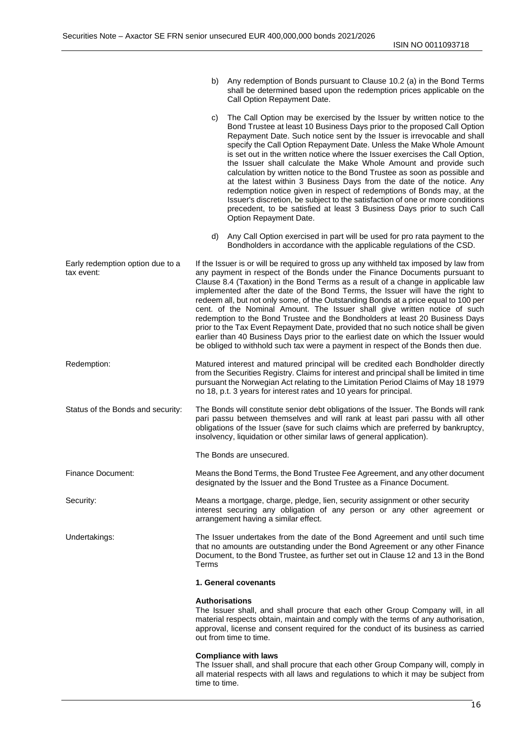|                                                |               | b) Any redemption of Bonds pursuant to Clause 10.2 (a) in the Bond Terms<br>shall be determined based upon the redemption prices applicable on the<br>Call Option Repayment Date.                                                                                                                                                                                                                                                                                                                                                                                                                                                                                                                                                                                                                                                                                                |
|------------------------------------------------|---------------|----------------------------------------------------------------------------------------------------------------------------------------------------------------------------------------------------------------------------------------------------------------------------------------------------------------------------------------------------------------------------------------------------------------------------------------------------------------------------------------------------------------------------------------------------------------------------------------------------------------------------------------------------------------------------------------------------------------------------------------------------------------------------------------------------------------------------------------------------------------------------------|
|                                                | C)            | The Call Option may be exercised by the Issuer by written notice to the<br>Bond Trustee at least 10 Business Days prior to the proposed Call Option<br>Repayment Date. Such notice sent by the Issuer is irrevocable and shall<br>specify the Call Option Repayment Date. Unless the Make Whole Amount<br>is set out in the written notice where the Issuer exercises the Call Option,<br>the Issuer shall calculate the Make Whole Amount and provide such<br>calculation by written notice to the Bond Trustee as soon as possible and<br>at the latest within 3 Business Days from the date of the notice. Any<br>redemption notice given in respect of redemptions of Bonds may, at the<br>Issuer's discretion, be subject to the satisfaction of one or more conditions<br>precedent, to be satisfied at least 3 Business Days prior to such Call<br>Option Repayment Date. |
|                                                |               | d) Any Call Option exercised in part will be used for pro rata payment to the<br>Bondholders in accordance with the applicable regulations of the CSD.                                                                                                                                                                                                                                                                                                                                                                                                                                                                                                                                                                                                                                                                                                                           |
| Early redemption option due to a<br>tax event: |               | If the Issuer is or will be required to gross up any withheld tax imposed by law from<br>any payment in respect of the Bonds under the Finance Documents pursuant to<br>Clause 8.4 (Taxation) in the Bond Terms as a result of a change in applicable law<br>implemented after the date of the Bond Terms, the Issuer will have the right to<br>redeem all, but not only some, of the Outstanding Bonds at a price equal to 100 per<br>cent. of the Nominal Amount. The Issuer shall give written notice of such<br>redemption to the Bond Trustee and the Bondholders at least 20 Business Days<br>prior to the Tax Event Repayment Date, provided that no such notice shall be given<br>earlier than 40 Business Days prior to the earliest date on which the Issuer would<br>be obliged to withhold such tax were a payment in respect of the Bonds then due.                 |
| Redemption:                                    |               | Matured interest and matured principal will be credited each Bondholder directly<br>from the Securities Registry. Claims for interest and principal shall be limited in time<br>pursuant the Norwegian Act relating to the Limitation Period Claims of May 18 1979<br>no 18, p.t. 3 years for interest rates and 10 years for principal.                                                                                                                                                                                                                                                                                                                                                                                                                                                                                                                                         |
| Status of the Bonds and security:              |               | The Bonds will constitute senior debt obligations of the Issuer. The Bonds will rank<br>pari passu between themselves and will rank at least pari passu with all other<br>obligations of the Issuer (save for such claims which are preferred by bankruptcy,<br>insolvency, liquidation or other similar laws of general application).                                                                                                                                                                                                                                                                                                                                                                                                                                                                                                                                           |
|                                                |               | The Bonds are unsecured.                                                                                                                                                                                                                                                                                                                                                                                                                                                                                                                                                                                                                                                                                                                                                                                                                                                         |
| Finance Document:                              |               | Means the Bond Terms, the Bond Trustee Fee Agreement, and any other document<br>designated by the Issuer and the Bond Trustee as a Finance Document.                                                                                                                                                                                                                                                                                                                                                                                                                                                                                                                                                                                                                                                                                                                             |
| Security:                                      |               | Means a mortgage, charge, pledge, lien, security assignment or other security<br>interest securing any obligation of any person or any other agreement or<br>arrangement having a similar effect.                                                                                                                                                                                                                                                                                                                                                                                                                                                                                                                                                                                                                                                                                |
| Undertakings:                                  | Terms         | The Issuer undertakes from the date of the Bond Agreement and until such time<br>that no amounts are outstanding under the Bond Agreement or any other Finance<br>Document, to the Bond Trustee, as further set out in Clause 12 and 13 in the Bond                                                                                                                                                                                                                                                                                                                                                                                                                                                                                                                                                                                                                              |
|                                                |               | 1. General covenants                                                                                                                                                                                                                                                                                                                                                                                                                                                                                                                                                                                                                                                                                                                                                                                                                                                             |
|                                                |               | <b>Authorisations</b><br>The Issuer shall, and shall procure that each other Group Company will, in all<br>material respects obtain, maintain and comply with the terms of any authorisation,<br>approval, license and consent required for the conduct of its business as carried<br>out from time to time.                                                                                                                                                                                                                                                                                                                                                                                                                                                                                                                                                                     |
|                                                | time to time. | <b>Compliance with laws</b><br>The Issuer shall, and shall procure that each other Group Company will, comply in<br>all material respects with all laws and regulations to which it may be subject from                                                                                                                                                                                                                                                                                                                                                                                                                                                                                                                                                                                                                                                                          |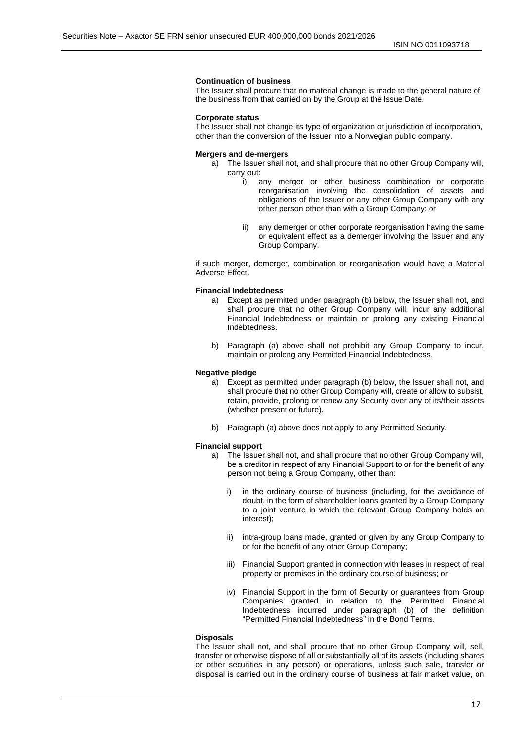#### **Continuation of business**

The Issuer shall procure that no material change is made to the general nature of the business from that carried on by the Group at the Issue Date.

#### **Corporate status**

The Issuer shall not change its type of organization or jurisdiction of incorporation, other than the conversion of the Issuer into a Norwegian public company.

#### **Mergers and de-mergers**

a) The Issuer shall not, and shall procure that no other Group Company will, carry out:

- i) any merger or other business combination or corporate reorganisation involving the consolidation of assets and obligations of the Issuer or any other Group Company with any other person other than with a Group Company; or
- ii) any demerger or other corporate reorganisation having the same or equivalent effect as a demerger involving the Issuer and any Group Company;

if such merger, demerger, combination or reorganisation would have a Material Adverse Effect.

#### **Financial Indebtedness**

- a) Except as permitted under paragraph (b) below, the Issuer shall not, and shall procure that no other Group Company will, incur any additional Financial Indebtedness or maintain or prolong any existing Financial Indebtedness.
- b) Paragraph (a) above shall not prohibit any Group Company to incur, maintain or prolong any Permitted Financial Indebtedness.

#### **Negative pledge**

- a) Except as permitted under paragraph (b) below, the Issuer shall not, and shall procure that no other Group Company will, create or allow to subsist, retain, provide, prolong or renew any Security over any of its/their assets (whether present or future).
- b) Paragraph (a) above does not apply to any Permitted Security.

#### **Financial support**

- a) The Issuer shall not, and shall procure that no other Group Company will, be a creditor in respect of any Financial Support to or for the benefit of any person not being a Group Company, other than:
	- i) in the ordinary course of business (including, for the avoidance of doubt, in the form of shareholder loans granted by a Group Company to a joint venture in which the relevant Group Company holds an interest);
	- ii) intra-group loans made, granted or given by any Group Company to or for the benefit of any other Group Company;
	- iii) Financial Support granted in connection with leases in respect of real property or premises in the ordinary course of business; or
	- iv) Financial Support in the form of Security or guarantees from Group Companies granted in relation to the Permitted Financial Indebtedness incurred under paragraph (b) of the definition "Permitted Financial Indebtedness" in the Bond Terms.

#### **Disposals**

The Issuer shall not, and shall procure that no other Group Company will, sell, transfer or otherwise dispose of all or substantially all of its assets (including shares or other securities in any person) or operations, unless such sale, transfer or disposal is carried out in the ordinary course of business at fair market value, on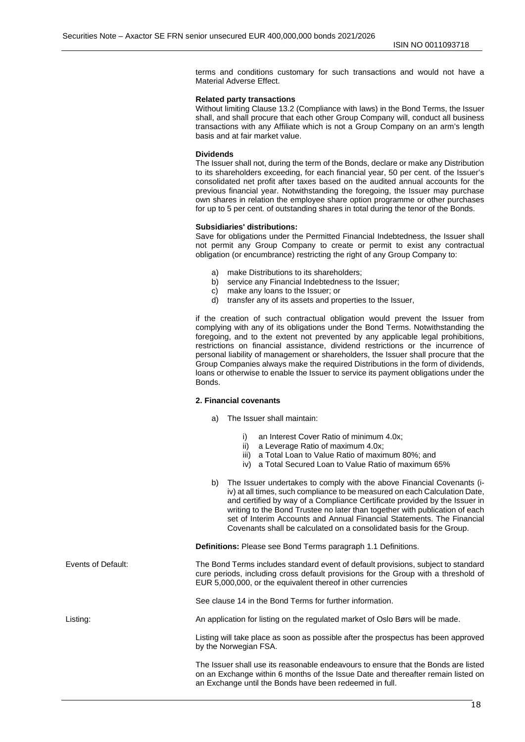terms and conditions customary for such transactions and would not have a Material Adverse Effect.

#### **Related party transactions**

Without limiting Clause 13.2 (Compliance with laws) in the Bond Terms, the Issuer shall, and shall procure that each other Group Company will, conduct all business transactions with any Affiliate which is not a Group Company on an arm's length basis and at fair market value.

#### **Dividends**

The Issuer shall not, during the term of the Bonds, declare or make any Distribution to its shareholders exceeding, for each financial year, 50 per cent. of the Issuer's consolidated net profit after taxes based on the audited annual accounts for the previous financial year. Notwithstanding the foregoing, the Issuer may purchase own shares in relation the employee share option programme or other purchases for up to 5 per cent. of outstanding shares in total during the tenor of the Bonds.

#### **Subsidiaries' distributions:**

Save for obligations under the Permitted Financial Indebtedness, the Issuer shall not permit any Group Company to create or permit to exist any contractual obligation (or encumbrance) restricting the right of any Group Company to:

- a) make Distributions to its shareholders;
- b) service any Financial Indebtedness to the Issuer;
- c) make any loans to the Issuer; or
- d) transfer any of its assets and properties to the Issuer,

if the creation of such contractual obligation would prevent the Issuer from complying with any of its obligations under the Bond Terms. Notwithstanding the foregoing, and to the extent not prevented by any applicable legal prohibitions, restrictions on financial assistance, dividend restrictions or the incurrence of personal liability of management or shareholders, the Issuer shall procure that the Group Companies always make the required Distributions in the form of dividends, loans or otherwise to enable the Issuer to service its payment obligations under the Bonds.

#### **2. Financial covenants**

- a) The Issuer shall maintain:
	- i) an Interest Cover Ratio of minimum 4.0x;
	- ii) a Leverage Ratio of maximum 4.0x;
	- iii) a Total Loan to Value Ratio of maximum 80%; and
	- iv) a Total Secured Loan to Value Ratio of maximum 65%
- b) The Issuer undertakes to comply with the above Financial Covenants (iiv) at all times, such compliance to be measured on each Calculation Date, and certified by way of a Compliance Certificate provided by the Issuer in writing to the Bond Trustee no later than together with publication of each set of Interim Accounts and Annual Financial Statements. The Financial Covenants shall be calculated on a consolidated basis for the Group.

**Definitions:** Please see Bond Terms paragraph 1.1 Definitions.

Events of Default: The Bond Terms includes standard event of default provisions, subject to standard cure periods, including cross default provisions for the Group with a threshold of EUR 5,000,000, or the equivalent thereof in other currencies

See clause 14 in the Bond Terms for further information.

Listing: An application for listing on the regulated market of Oslo Børs will be made.

Listing will take place as soon as possible after the prospectus has been approved by the Norwegian FSA.

The Issuer shall use its reasonable endeavours to ensure that the Bonds are listed on an Exchange within 6 months of the Issue Date and thereafter remain listed on an Exchange until the Bonds have been redeemed in full.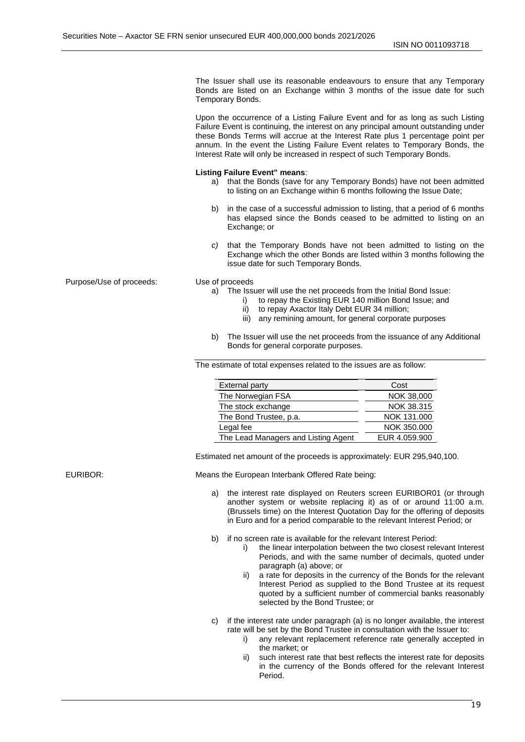The Issuer shall use its reasonable endeavours to ensure that any Temporary Bonds are listed on an Exchange within 3 months of the issue date for such Temporary Bonds.

Upon the occurrence of a Listing Failure Event and for as long as such Listing Failure Event is continuing, the interest on any principal amount outstanding under these Bonds Terms will accrue at the Interest Rate plus 1 percentage point per annum. In the event the Listing Failure Event relates to Temporary Bonds, the Interest Rate will only be increased in respect of such Temporary Bonds.

#### **Listing Failure Event" means**:

- a) that the Bonds (save for any Temporary Bonds) have not been admitted to listing on an Exchange within 6 months following the Issue Date;
- b) in the case of a successful admission to listing, that a period of 6 months has elapsed since the Bonds ceased to be admitted to listing on an Exchange; or
- *c)* that the Temporary Bonds have not been admitted to listing on the Exchange which the other Bonds are listed within 3 months following the issue date for such Temporary Bonds.

Purpose/Use of proceeds: Use of proceeds

- a) The Issuer will use the net proceeds from the Initial Bond Issue:
	- i) to repay the Existing EUR 140 million Bond Issue; and
	- ii) to repay Axactor Italy Debt EUR 34 million;
	- iii) any remining amount, for general corporate purposes
- b) The Issuer will use the net proceeds from the issuance of any Additional Bonds for general corporate purposes.

The estimate of total expenses related to the issues are as follow:

| <b>External party</b>               | Cost          |
|-------------------------------------|---------------|
| The Norwegian FSA                   | NOK 38,000    |
| The stock exchange                  | NOK 38,315    |
| The Bond Trustee, p.a.              | NOK 131,000   |
| Legal fee                           | NOK 350,000   |
| The Lead Managers and Listing Agent | EUR 4.059,900 |

Estimated net amount of the proceeds is approximately: EUR 295,940,100.

EURIBOR: Means the European Interbank Offered Rate being:

- a) the interest rate displayed on Reuters screen EURIBOR01 (or through another system or website replacing it) as of or around 11:00 a.m. (Brussels time) on the Interest Quotation Day for the offering of deposits in Euro and for a period comparable to the relevant Interest Period; or
- b) if no screen rate is available for the relevant Interest Period:
	- i) the linear interpolation between the two closest relevant Interest Periods, and with the same number of decimals, quoted under paragraph (a) above; or
	- ii) a rate for deposits in the currency of the Bonds for the relevant Interest Period as supplied to the Bond Trustee at its request quoted by a sufficient number of commercial banks reasonably selected by the Bond Trustee; or
- c) if the interest rate under paragraph (a) is no longer available, the interest rate will be set by the Bond Trustee in consultation with the Issuer to:
	- i) any relevant replacement reference rate generally accepted in the market; or
	- such interest rate that best reflects the interest rate for deposits in the currency of the Bonds offered for the relevant Interest Period.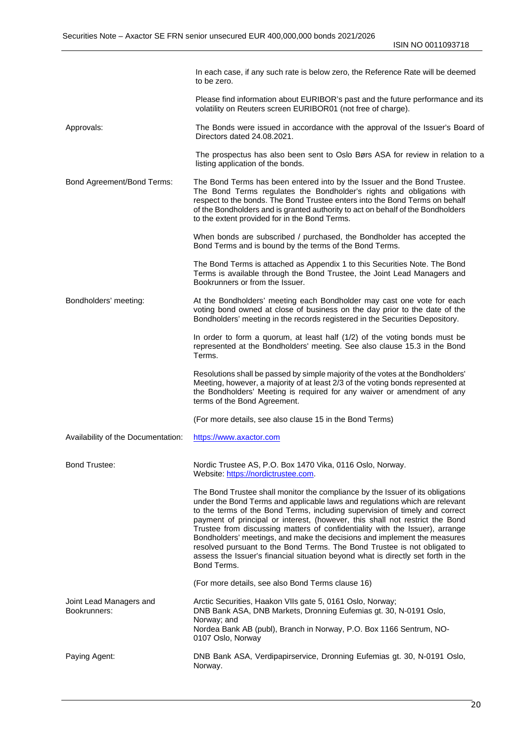|                                         | In each case, if any such rate is below zero, the Reference Rate will be deemed<br>to be zero.                                                                                                                                                                                                                                                                                                                                                                                                                                                                                                                                                                           |
|-----------------------------------------|--------------------------------------------------------------------------------------------------------------------------------------------------------------------------------------------------------------------------------------------------------------------------------------------------------------------------------------------------------------------------------------------------------------------------------------------------------------------------------------------------------------------------------------------------------------------------------------------------------------------------------------------------------------------------|
|                                         | Please find information about EURIBOR's past and the future performance and its<br>volatility on Reuters screen EURIBOR01 (not free of charge).                                                                                                                                                                                                                                                                                                                                                                                                                                                                                                                          |
| Approvals:                              | The Bonds were issued in accordance with the approval of the Issuer's Board of<br>Directors dated 24.08.2021.                                                                                                                                                                                                                                                                                                                                                                                                                                                                                                                                                            |
|                                         | The prospectus has also been sent to Oslo Børs ASA for review in relation to a<br>listing application of the bonds.                                                                                                                                                                                                                                                                                                                                                                                                                                                                                                                                                      |
| Bond Agreement/Bond Terms:              | The Bond Terms has been entered into by the Issuer and the Bond Trustee.<br>The Bond Terms regulates the Bondholder's rights and obligations with<br>respect to the bonds. The Bond Trustee enters into the Bond Terms on behalf<br>of the Bondholders and is granted authority to act on behalf of the Bondholders<br>to the extent provided for in the Bond Terms.                                                                                                                                                                                                                                                                                                     |
|                                         | When bonds are subscribed / purchased, the Bondholder has accepted the<br>Bond Terms and is bound by the terms of the Bond Terms.                                                                                                                                                                                                                                                                                                                                                                                                                                                                                                                                        |
|                                         | The Bond Terms is attached as Appendix 1 to this Securities Note. The Bond<br>Terms is available through the Bond Trustee, the Joint Lead Managers and<br>Bookrunners or from the Issuer.                                                                                                                                                                                                                                                                                                                                                                                                                                                                                |
| Bondholders' meeting:                   | At the Bondholders' meeting each Bondholder may cast one vote for each<br>voting bond owned at close of business on the day prior to the date of the<br>Bondholders' meeting in the records registered in the Securities Depository.                                                                                                                                                                                                                                                                                                                                                                                                                                     |
|                                         | In order to form a quorum, at least half (1/2) of the voting bonds must be<br>represented at the Bondholders' meeting. See also clause 15.3 in the Bond<br>Terms.                                                                                                                                                                                                                                                                                                                                                                                                                                                                                                        |
|                                         | Resolutions shall be passed by simple majority of the votes at the Bondholders'<br>Meeting, however, a majority of at least 2/3 of the voting bonds represented at<br>the Bondholders' Meeting is required for any waiver or amendment of any<br>terms of the Bond Agreement.                                                                                                                                                                                                                                                                                                                                                                                            |
|                                         | (For more details, see also clause 15 in the Bond Terms)                                                                                                                                                                                                                                                                                                                                                                                                                                                                                                                                                                                                                 |
| Availability of the Documentation:      | https://www.axactor.com                                                                                                                                                                                                                                                                                                                                                                                                                                                                                                                                                                                                                                                  |
| <b>Bond Trustee:</b>                    | Nordic Trustee AS, P.O. Box 1470 Vika, 0116 Oslo, Norway.<br>Website: https://nordictrustee.com.                                                                                                                                                                                                                                                                                                                                                                                                                                                                                                                                                                         |
|                                         | The Bond Trustee shall monitor the compliance by the Issuer of its obligations<br>under the Bond Terms and applicable laws and regulations which are relevant<br>to the terms of the Bond Terms, including supervision of timely and correct<br>payment of principal or interest, (however, this shall not restrict the Bond<br>Trustee from discussing matters of confidentiality with the Issuer), arrange<br>Bondholders' meetings, and make the decisions and implement the measures<br>resolved pursuant to the Bond Terms. The Bond Trustee is not obligated to<br>assess the Issuer's financial situation beyond what is directly set forth in the<br>Bond Terms. |
|                                         | (For more details, see also Bond Terms clause 16)                                                                                                                                                                                                                                                                                                                                                                                                                                                                                                                                                                                                                        |
| Joint Lead Managers and<br>Bookrunners: | Arctic Securities, Haakon VIIs gate 5, 0161 Oslo, Norway;<br>DNB Bank ASA, DNB Markets, Dronning Eufemias gt. 30, N-0191 Oslo,<br>Norway; and<br>Nordea Bank AB (publ), Branch in Norway, P.O. Box 1166 Sentrum, NO-<br>0107 Oslo, Norway                                                                                                                                                                                                                                                                                                                                                                                                                                |
| Paying Agent:                           | DNB Bank ASA, Verdipapirservice, Dronning Eufemias gt. 30, N-0191 Oslo,<br>Norway.                                                                                                                                                                                                                                                                                                                                                                                                                                                                                                                                                                                       |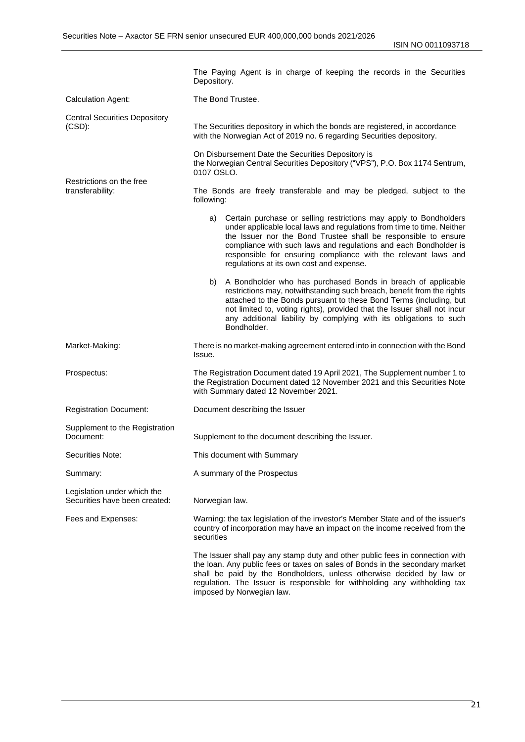ISIN NO 0011093718

|                                                              | The Paying Agent is in charge of keeping the records in the Securities<br>Depository.                                                                                                                                                                                                                                                                                                                 |
|--------------------------------------------------------------|-------------------------------------------------------------------------------------------------------------------------------------------------------------------------------------------------------------------------------------------------------------------------------------------------------------------------------------------------------------------------------------------------------|
| <b>Calculation Agent:</b>                                    | The Bond Trustee.                                                                                                                                                                                                                                                                                                                                                                                     |
| <b>Central Securities Depository</b><br>$(CSD)$ :            | The Securities depository in which the bonds are registered, in accordance<br>with the Norwegian Act of 2019 no. 6 regarding Securities depository.                                                                                                                                                                                                                                                   |
|                                                              | On Disbursement Date the Securities Depository is<br>the Norwegian Central Securities Depository ("VPS"), P.O. Box 1174 Sentrum,<br>0107 OSLO.                                                                                                                                                                                                                                                        |
| Restrictions on the free<br>transferability:                 | The Bonds are freely transferable and may be pledged, subject to the<br>following:                                                                                                                                                                                                                                                                                                                    |
|                                                              | Certain purchase or selling restrictions may apply to Bondholders<br>a)<br>under applicable local laws and regulations from time to time. Neither<br>the Issuer nor the Bond Trustee shall be responsible to ensure<br>compliance with such laws and regulations and each Bondholder is<br>responsible for ensuring compliance with the relevant laws and<br>regulations at its own cost and expense. |
|                                                              | b) A Bondholder who has purchased Bonds in breach of applicable<br>restrictions may, notwithstanding such breach, benefit from the rights<br>attached to the Bonds pursuant to these Bond Terms (including, but<br>not limited to, voting rights), provided that the Issuer shall not incur<br>any additional liability by complying with its obligations to such<br>Bondholder.                      |
| Market-Making:                                               | There is no market-making agreement entered into in connection with the Bond<br>Issue.                                                                                                                                                                                                                                                                                                                |
| Prospectus:                                                  | The Registration Document dated 19 April 2021, The Supplement number 1 to<br>the Registration Document dated 12 November 2021 and this Securities Note<br>with Summary dated 12 November 2021.                                                                                                                                                                                                        |
| <b>Registration Document:</b>                                | Document describing the Issuer                                                                                                                                                                                                                                                                                                                                                                        |
| Supplement to the Registration<br>Document:                  | Supplement to the document describing the Issuer.                                                                                                                                                                                                                                                                                                                                                     |
| Securities Note:                                             | This document with Summary                                                                                                                                                                                                                                                                                                                                                                            |
| Summary:                                                     | A summary of the Prospectus                                                                                                                                                                                                                                                                                                                                                                           |
| Legislation under which the<br>Securities have been created: | Norwegian law.                                                                                                                                                                                                                                                                                                                                                                                        |
| Fees and Expenses:                                           | Warning: the tax legislation of the investor's Member State and of the issuer's<br>country of incorporation may have an impact on the income received from the<br>securities                                                                                                                                                                                                                          |
|                                                              | The Issuer shall pay any stamp duty and other public fees in connection with<br>the loan. Any public fees or taxes on sales of Bonds in the secondary market<br>shall be paid by the Bondholders, unless otherwise decided by law or<br>regulation. The Issuer is responsible for withholding any withholding tax                                                                                     |

imposed by Norwegian law.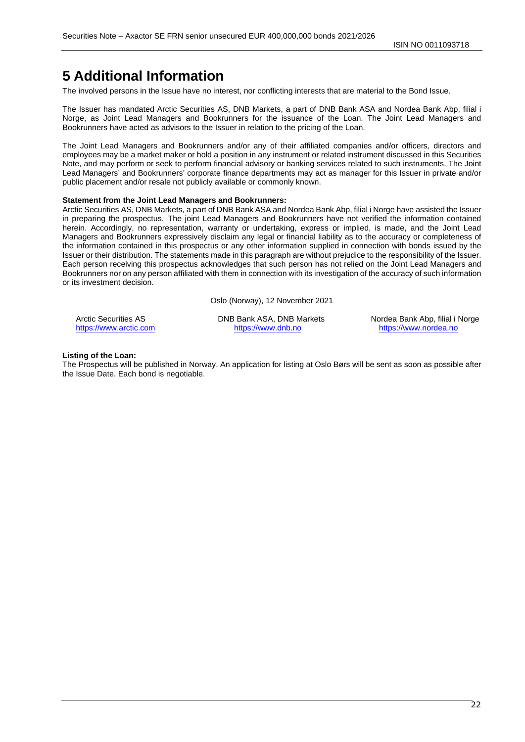# <span id="page-21-0"></span>**5 Additional Information**

The involved persons in the Issue have no interest, nor conflicting interests that are material to the Bond Issue.

The Issuer has mandated Arctic Securities AS, DNB Markets, a part of DNB Bank ASA and Nordea Bank Abp, filial i Norge, as Joint Lead Managers and Bookrunners for the issuance of the Loan. The Joint Lead Managers and Bookrunners have acted as advisors to the Issuer in relation to the pricing of the Loan.

The Joint Lead Managers and Bookrunners and/or any of their affiliated companies and/or officers, directors and employees may be a market maker or hold a position in any instrument or related instrument discussed in this Securities Note, and may perform or seek to perform financial advisory or banking services related to such instruments. The Joint Lead Managers' and Bookrunners' corporate finance departments may act as manager for this Issuer in private and/or public placement and/or resale not publicly available or commonly known.

#### **Statement from the Joint Lead Managers and Bookrunners:**

Arctic Securities AS, DNB Markets, a part of DNB Bank ASA and Nordea Bank Abp, filial i Norge have assisted the Issuer in preparing the prospectus. The joint Lead Managers and Bookrunners have not verified the information contained herein. Accordingly, no representation, warranty or undertaking, express or implied, is made, and the Joint Lead Managers and Bookrunners expressively disclaim any legal or financial liability as to the accuracy or completeness of the information contained in this prospectus or any other information supplied in connection with bonds issued by the Issuer or their distribution. The statements made in this paragraph are without prejudice to the responsibility of the Issuer. Each person receiving this prospectus acknowledges that such person has not relied on the Joint Lead Managers and Bookrunners nor on any person affiliated with them in connection with its investigation of the accuracy of such information or its investment decision.

Oslo (Norway), 12 November 2021

[https://www.arctic.com](https://www.arctic.com/) [https://www.dnb.no](https://www.dnb.no/) https://www.arctic.com [https://www.nordea.no](https://www.nordea.no/)

Arctic Securities AS **DISTER AS ARRY ASSA, DNB Markets** Nordea Bank Abp, filial i Norge

#### **Listing of the Loan:**

The Prospectus will be published in Norway. An application for listing at Oslo Børs will be sent as soon as possible after the Issue Date. Each bond is negotiable.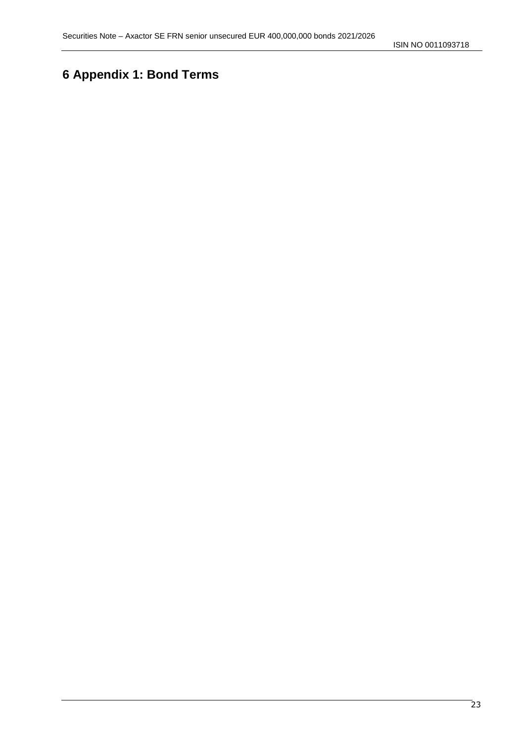ISIN NO 0011093718

# <span id="page-22-0"></span>**6 Appendix 1: Bond Terms**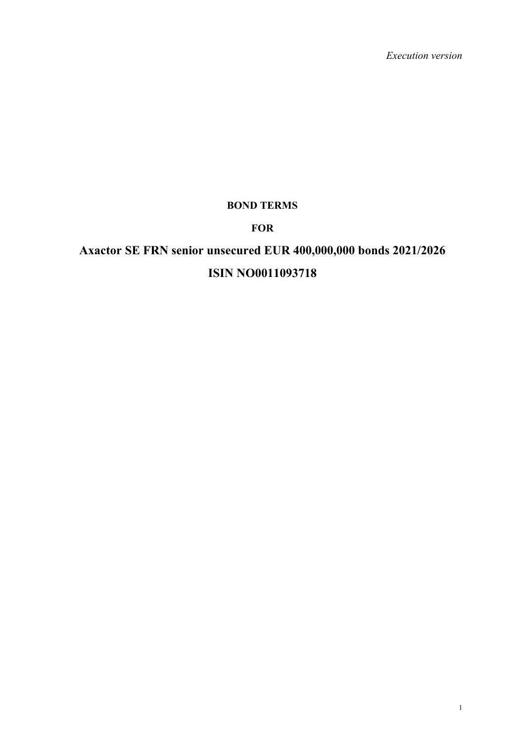*Execution version*

# **BOND TERMS**

# **FOR**

# **Axactor SE FRN senior unsecured EUR 400,000,000 bonds 2021/2026 ISIN NO0011093718**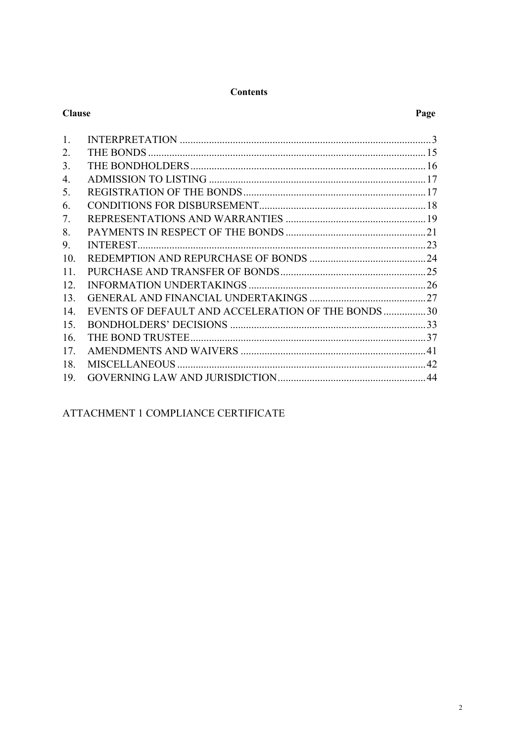#### **Contents**

| <b>Clause</b> |                                                   | Page |
|---------------|---------------------------------------------------|------|
| 1.            |                                                   |      |
| 2.            |                                                   |      |
| 3.            |                                                   |      |
| 4.            |                                                   |      |
| 5.            |                                                   |      |
| 6.            |                                                   |      |
| 7.            |                                                   |      |
| 8.            |                                                   |      |
| 9.            |                                                   |      |
| 10.           |                                                   |      |
| 11.           |                                                   |      |
| 12.           |                                                   |      |
| 13.           |                                                   |      |
| 14.           | EVENTS OF DEFAULT AND ACCELERATION OF THE BONDS30 |      |
| 15.           |                                                   |      |
| 16.           |                                                   |      |
| 17.           |                                                   |      |
| 18.           |                                                   |      |
| 19.           |                                                   |      |
|               |                                                   |      |

ATTACHMENT 1 COMPLIANCE CERTIFICATE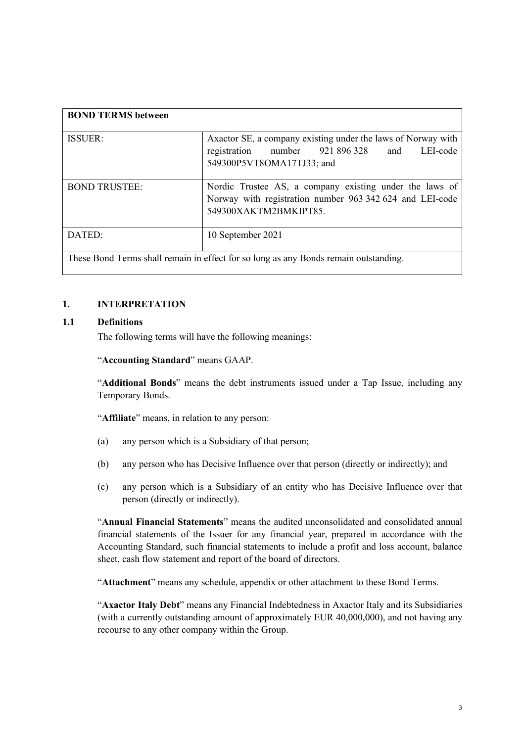| <b>BOND TERMS between</b>                                                            |                                                                                                                                              |  |
|--------------------------------------------------------------------------------------|----------------------------------------------------------------------------------------------------------------------------------------------|--|
| <b>ISSUER:</b>                                                                       | Axactor SE, a company existing under the laws of Norway with<br>registration number 921 896 328 and<br>LEI-code<br>549300P5VT8OMA17TJ33; and |  |
| <b>BOND TRUSTEE:</b>                                                                 | Nordic Trustee AS, a company existing under the laws of<br>Norway with registration number 963 342 624 and LEI-code<br>549300XAKTM2BMKIPT85. |  |
| DATED:                                                                               | 10 September 2021                                                                                                                            |  |
| These Bond Terms shall remain in effect for so long as any Bonds remain outstanding. |                                                                                                                                              |  |

#### **1. INTERPRETATION**

#### **1.1 Definitions**

<span id="page-25-0"></span>The following terms will have the following meanings:

#### "**Accounting Standard**" means GAAP.

"**Additional Bonds**" means the debt instruments issued under a Tap Issue, including any Temporary Bonds.

"**Affiliate**" means, in relation to any person:

- (a) any person which is a Subsidiary of that person;
- (b) any person who has Decisive Influence over that person (directly or indirectly); and
- (c) any person which is a Subsidiary of an entity who has Decisive Influence over that person (directly or indirectly).

"**Annual Financial Statements**" means the audited unconsolidated and consolidated annual financial statements of the Issuer for any financial year, prepared in accordance with the Accounting Standard, such financial statements to include a profit and loss account, balance sheet, cash flow statement and report of the board of directors.

"**Attachment**" means any schedule, appendix or other attachment to these Bond Terms.

"**Axactor Italy Debt**" means any Financial Indebtedness in Axactor Italy and its Subsidiaries (with a currently outstanding amount of approximately EUR 40,000,000), and not having any recourse to any other company within the Group.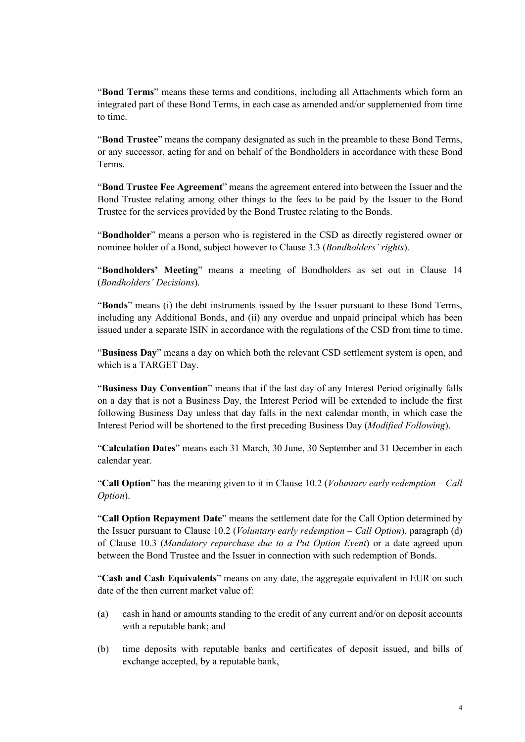"**Bond Terms**" means these terms and conditions, including all Attachments which form an integrated part of these Bond Terms, in each case as amended and/or supplemented from time to time.

"**Bond Trustee**" means the company designated as such in the preamble to these Bond Terms, or any successor, acting for and on behalf of the Bondholders in accordance with these Bond Terms.

"**Bond Trustee Fee Agreement**" means the agreement entered into between the Issuer and the Bond Trustee relating among other things to the fees to be paid by the Issuer to the Bond Trustee for the services provided by the Bond Trustee relating to the Bonds.

"**Bondholder**" means a person who is registered in the CSD as directly registered owner or nominee holder of a Bond, subject however t[o Clause 3.3](#page-39-2) (*Bondholders' rights*).

"**Bondholders' Meeting**" means a meeting of Bondholders as set out in Clause [14](#page-52-0) (*Bondholders' Decisions*).

"**Bonds**" means (i) the debt instruments issued by the Issuer pursuant to these Bond Terms, including any Additional Bonds, and (ii) any overdue and unpaid principal which has been issued under a separate ISIN in accordance with the regulations of the CSD from time to time.

"**Business Day**" means a day on which both the relevant CSD settlement system is open, and which is a TARGET Day.

"**Business Day Convention**" means that if the last day of any Interest Period originally falls on a day that is not a Business Day, the Interest Period will be extended to include the first following Business Day unless that day falls in the next calendar month, in which case the Interest Period will be shortened to the first preceding Business Day (*Modified Following*).

"**Calculation Dates**" means each 31 March, 30 June, 30 September and 31 December in each calendar year.

"**Call Option**" has the meaning given to it in Clause [10.2](#page-46-1) (*Voluntary early redemption – Call Option*).

"**Call Option Repayment Date**" means the settlement date for the Call Option determined by the Issuer pursuant to Clause [10.2](#page-46-1) (*Voluntary early redemption – Call Option*), paragraph (d) of Clause [10.3](#page-47-1) (*Mandatory repurchase due to a Put Option Event*) or a date agreed upon between the Bond Trustee and the Issuer in connection with such redemption of Bonds.

"**Cash and Cash Equivalents**" means on any date, the aggregate equivalent in EUR on such date of the then current market value of:

- (a) cash in hand or amounts standing to the credit of any current and/or on deposit accounts with a reputable bank; and
- (b) time deposits with reputable banks and certificates of deposit issued, and bills of exchange accepted, by a reputable bank,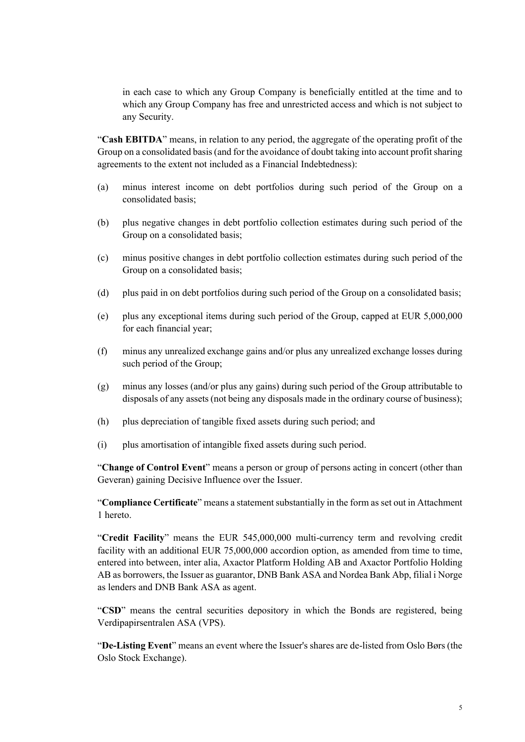in each case to which any Group Company is beneficially entitled at the time and to which any Group Company has free and unrestricted access and which is not subject to any Security.

"**Cash EBITDA**" means, in relation to any period, the aggregate of the operating profit of the Group on a consolidated basis (and for the avoidance of doubt taking into account profit sharing agreements to the extent not included as a Financial Indebtedness):

- (a) minus interest income on debt portfolios during such period of the Group on a consolidated basis;
- (b) plus negative changes in debt portfolio collection estimates during such period of the Group on a consolidated basis;
- (c) minus positive changes in debt portfolio collection estimates during such period of the Group on a consolidated basis;
- (d) plus paid in on debt portfolios during such period of the Group on a consolidated basis;
- (e) plus any exceptional items during such period of the Group, capped at EUR 5,000,000 for each financial year;
- (f) minus any unrealized exchange gains and/or plus any unrealized exchange losses during such period of the Group;
- (g) minus any losses (and/or plus any gains) during such period of the Group attributable to disposals of any assets (not being any disposals made in the ordinary course of business);
- (h) plus depreciation of tangible fixed assets during such period; and
- (i) plus amortisation of intangible fixed assets during such period.

"**Change of Control Event**" means a person or group of persons acting in concert (other than Geveran) gaining Decisive Influence over the Issuer.

"**Compliance Certificate**" means a statement substantially in the form as set out in Attachment 1 hereto.

"**Credit Facility**" means the EUR 545,000,000 multi-currency term and revolving credit facility with an additional EUR 75,000,000 accordion option, as amended from time to time, entered into between, inter alia, Axactor Platform Holding AB and Axactor Portfolio Holding AB as borrowers, the Issuer as guarantor, DNB Bank ASA and Nordea Bank Abp, filial i Norge as lenders and DNB Bank ASA as agent.

"**CSD**" means the central securities depository in which the Bonds are registered, being Verdipapirsentralen ASA (VPS).

"**De-Listing Event**" means an event where the Issuer's shares are de-listed from Oslo Børs (the Oslo Stock Exchange).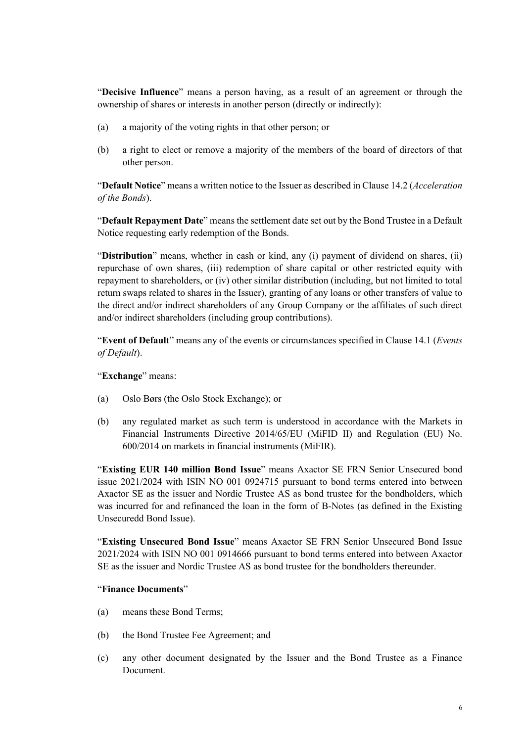"**Decisive Influence**" means a person having, as a result of an agreement or through the ownership of shares or interests in another person (directly or indirectly):

- (a) a majority of the voting rights in that other person; or
- (b) a right to elect or remove a majority of the members of the board of directors of that other person.

"**Default Notice**" means a written notice to the Issuer as described [in Clause 14.2](#page-54-0) (*Acceleration of the Bonds*).

"**Default Repayment Date**" means the settlement date set out by the Bond Trustee in a Default Notice requesting early redemption of the Bonds.

"**Distribution**" means, whether in cash or kind, any (i) payment of dividend on shares, (ii) repurchase of own shares, (iii) redemption of share capital or other restricted equity with repayment to shareholders, or (iv) other similar distribution (including, but not limited to total return swaps related to shares in the Issuer), granting of any loans or other transfers of value to the direct and/or indirect shareholders of any Group Company or the affiliates of such direct and/or indirect shareholders (including group contributions).

"**Event of Default**" means any of the events or circumstances specified in Clause [14.1](#page-52-1) (*Events of Default*).

"**Exchange**" means:

- (a) Oslo Børs (the Oslo Stock Exchange); or
- (b) any regulated market as such term is understood in accordance with the Markets in Financial Instruments Directive 2014/65/EU (MiFID II) and Regulation (EU) No. 600/2014 on markets in financial instruments (MiFIR).

"**Existing EUR 140 million Bond Issue**" means Axactor SE FRN Senior Unsecured bond issue 2021/2024 with ISIN NO 001 0924715 pursuant to bond terms entered into between Axactor SE as the issuer and Nordic Trustee AS as bond trustee for the bondholders, which was incurred for and refinanced the loan in the form of B-Notes (as defined in the Existing Unsecuredd Bond Issue).

"**Existing Unsecured Bond Issue**" means Axactor SE FRN Senior Unsecured Bond Issue 2021/2024 with ISIN NO 001 0914666 pursuant to bond terms entered into between Axactor SE as the issuer and Nordic Trustee AS as bond trustee for the bondholders thereunder.

#### "**Finance Documents**"

- (a) means these Bond Terms;
- (b) the Bond Trustee Fee Agreement; and
- (c) any other document designated by the Issuer and the Bond Trustee as a Finance Document.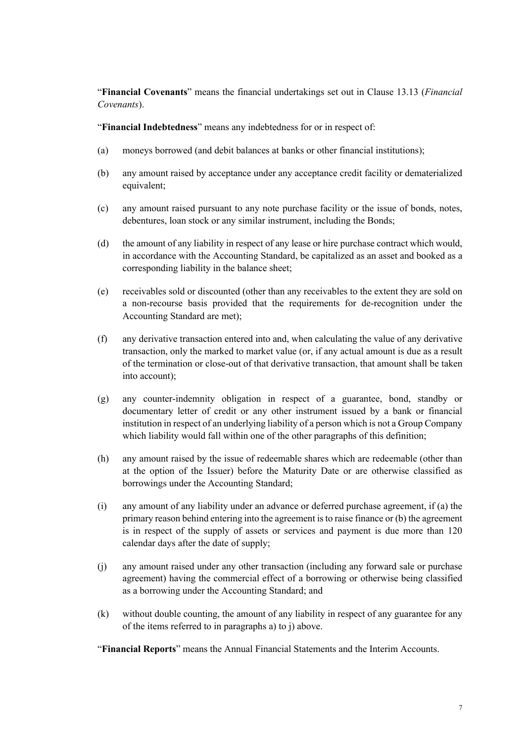"**Financial Covenants**" means the financial undertakings set out in Clause 13.13 (*Financial Covenants*).

"**Financial Indebtedness**" means any indebtedness for or in respect of:

- (a) moneys borrowed (and debit balances at banks or other financial institutions);
- (b) any amount raised by acceptance under any acceptance credit facility or dematerialized equivalent;
- (c) any amount raised pursuant to any note purchase facility or the issue of bonds, notes, debentures, loan stock or any similar instrument, including the Bonds;
- (d) the amount of any liability in respect of any lease or hire purchase contract which would, in accordance with the Accounting Standard, be capitalized as an asset and booked as a corresponding liability in the balance sheet;
- (e) receivables sold or discounted (other than any receivables to the extent they are sold on a non-recourse basis provided that the requirements for de-recognition under the Accounting Standard are met);
- (f) any derivative transaction entered into and, when calculating the value of any derivative transaction, only the marked to market value (or, if any actual amount is due as a result of the termination or close-out of that derivative transaction, that amount shall be taken into account);
- (g) any counter-indemnity obligation in respect of a guarantee, bond, standby or documentary letter of credit or any other instrument issued by a bank or financial institution in respect of an underlying liability of a person which is not a Group Company which liability would fall within one of the other paragraphs of this definition;
- (h) any amount raised by the issue of redeemable shares which are redeemable (other than at the option of the Issuer) before the Maturity Date or are otherwise classified as borrowings under the Accounting Standard;
- (i) any amount of any liability under an advance or deferred purchase agreement, if (a) the primary reason behind entering into the agreement is to raise finance or (b) the agreement is in respect of the supply of assets or services and payment is due more than 120 calendar days after the date of supply;
- (j) any amount raised under any other transaction (including any forward sale or purchase agreement) having the commercial effect of a borrowing or otherwise being classified as a borrowing under the Accounting Standard; and
- (k) without double counting, the amount of any liability in respect of any guarantee for any of the items referred to in paragraphs a) to j) above.

"**Financial Reports**" means the Annual Financial Statements and the Interim Accounts.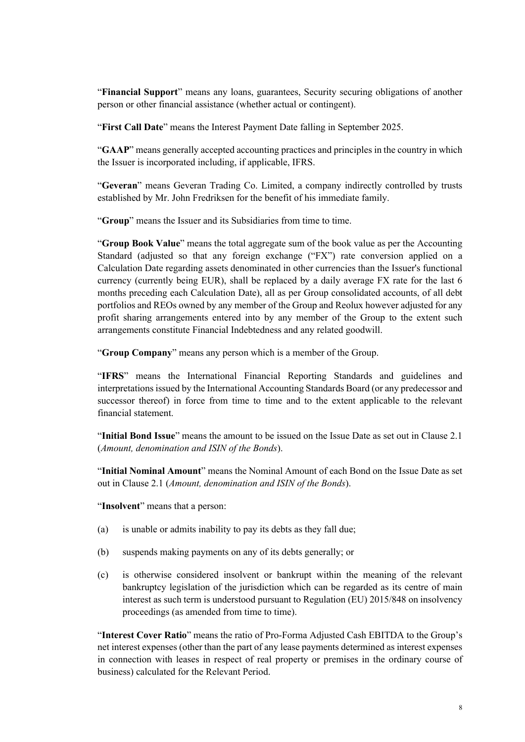"**Financial Support**" means any loans, guarantees, Security securing obligations of another person or other financial assistance (whether actual or contingent).

"**First Call Date**" means the Interest Payment Date falling in September 2025.

"**GAAP**" means generally accepted accounting practices and principles in the country in which the Issuer is incorporated including, if applicable, IFRS.

"**Geveran**" means Geveran Trading Co. Limited, a company indirectly controlled by trusts established by Mr. John Fredriksen for the benefit of his immediate family.

"**Group**" means the Issuer and its Subsidiaries from time to time.

"**Group Book Value**" means the total aggregate sum of the book value as per the Accounting Standard (adjusted so that any foreign exchange ("FX") rate conversion applied on a Calculation Date regarding assets denominated in other currencies than the Issuer's functional currency (currently being EUR), shall be replaced by a daily average FX rate for the last 6 months preceding each Calculation Date), all as per Group consolidated accounts, of all debt portfolios and REOs owned by any member of the Group and Reolux however adjusted for any profit sharing arrangements entered into by any member of the Group to the extent such arrangements constitute Financial Indebtedness and any related goodwill.

"**Group Company**" means any person which is a member of the Group.

"**IFRS**" means the International Financial Reporting Standards and guidelines and interpretations issued by the International Accounting Standards Board (or any predecessor and successor thereof) in force from time to time and to the extent applicable to the relevant financial statement.

"**Initial Bond Issue**" means the amount to be issued on the Issue Date as set out in Clause 2.1 (*Amount, denomination and ISIN of the Bonds*).

"**Initial Nominal Amount**" means the Nominal Amount of each Bond on the Issue Date as set out i[n Clause 2.1](#page-37-1) (*Amount, denomination and ISIN of the Bonds*).

"**Insolvent**" means that a person:

- (a) is unable or admits inability to pay its debts as they fall due;
- (b) suspends making payments on any of its debts generally; or
- (c) is otherwise considered insolvent or bankrupt within the meaning of the relevant bankruptcy legislation of the jurisdiction which can be regarded as its centre of main interest as such term is understood pursuant to Regulation (EU) 2015/848 on insolvency proceedings (as amended from time to time).

"**Interest Cover Ratio**" means the ratio of Pro-Forma Adjusted Cash EBITDA to the Group's net interest expenses (other than the part of any lease payments determined as interest expenses in connection with leases in respect of real property or premises in the ordinary course of business) calculated for the Relevant Period.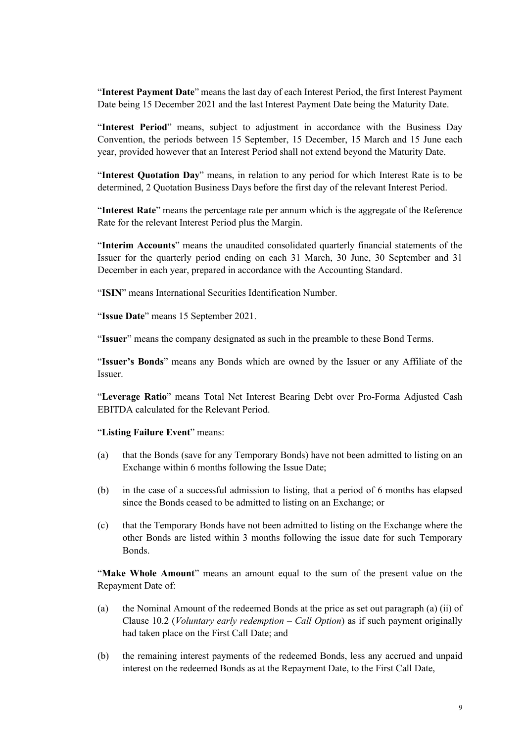"**Interest Payment Date**" means the last day of each Interest Period, the first Interest Payment Date being 15 December 2021 and the last Interest Payment Date being the Maturity Date.

"**Interest Period**" means, subject to adjustment in accordance with the Business Day Convention, the periods between 15 September, 15 December, 15 March and 15 June each year, provided however that an Interest Period shall not extend beyond the Maturity Date.

"**Interest Quotation Day**" means, in relation to any period for which Interest Rate is to be determined, 2 Quotation Business Days before the first day of the relevant Interest Period.

"**Interest Rate**" means the percentage rate per annum which is the aggregate of the Reference Rate for the relevant Interest Period plus the Margin.

"**Interim Accounts**" means the unaudited consolidated quarterly financial statements of the Issuer for the quarterly period ending on each 31 March, 30 June, 30 September and 31 December in each year, prepared in accordance with the Accounting Standard.

"**ISIN**" means International Securities Identification Number.

"**Issue Date**" means 15 September 2021.

"**Issuer**" means the company designated as such in the preamble to these Bond Terms.

"**Issuer's Bonds**" means any Bonds which are owned by the Issuer or any Affiliate of the Issuer.

"**Leverage Ratio**" means Total Net Interest Bearing Debt over Pro-Forma Adjusted Cash EBITDA calculated for the Relevant Period.

"**Listing Failure Event**" means:

- (a) that the Bonds (save for any Temporary Bonds) have not been admitted to listing on an Exchange within 6 months following the Issue Date;
- (b) in the case of a successful admission to listing, that a period of 6 months has elapsed since the Bonds ceased to be admitted to listing on an Exchange; or
- (c) that the Temporary Bonds have not been admitted to listing on the Exchange where the other Bonds are listed within 3 months following the issue date for such Temporary Bonds.

"**Make Whole Amount**" means an amount equal to the sum of the present value on the Repayment Date of:

- (a) the Nominal Amount of the redeemed Bonds at the price as set out paragraph (a) (ii) of [Clause 10.2](#page-46-1) (*Voluntary early redemption – Call Option*) as if such payment originally had taken place on the First Call Date; and
- (b) the remaining interest payments of the redeemed Bonds, less any accrued and unpaid interest on the redeemed Bonds as at the Repayment Date, to the First Call Date,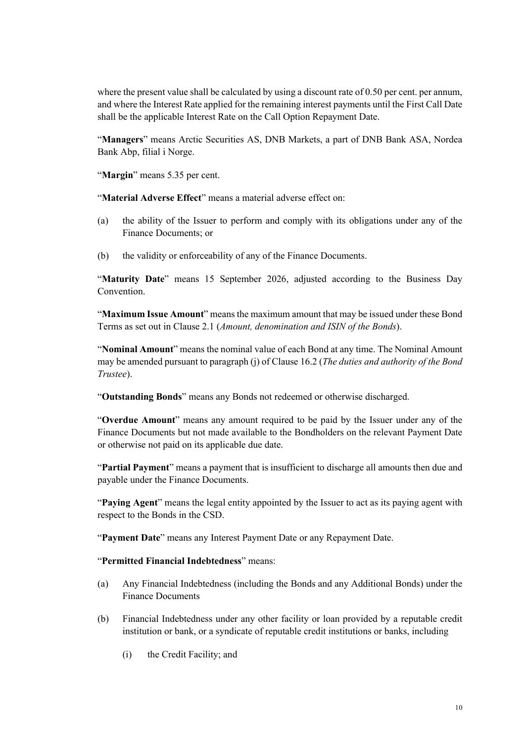where the present value shall be calculated by using a discount rate of 0.50 per cent. per annum, and where the Interest Rate applied for the remaining interest payments until the First Call Date shall be the applicable Interest Rate on the Call Option Repayment Date.

"**Managers**" means Arctic Securities AS, DNB Markets, a part of DNB Bank ASA, Nordea Bank Abp, filial i Norge.

"**Margin**" means 5.35 per cent.

"**Material Adverse Effect**" means a material adverse effect on:

- (a) the ability of the Issuer to perform and comply with its obligations under any of the Finance Documents; or
- (b) the validity or enforceability of any of the Finance Documents.

"**Maturity Date**" means 15 September 2026, adjusted according to the Business Day Convention.

"**Maximum Issue Amount**" means the maximum amount that may be issued under these Bond Terms as set out i[n Clause 2.1](#page-37-1) (*Amount, denomination and ISIN of the Bonds*).

"**Nominal Amount**" means the nominal value of each Bond at any time. The Nominal Amount may be amended pursuant to paragraph (j) of Clause [16.2](#page-59-1) (*The duties and authority of the Bond Trustee*).

"**Outstanding Bonds**" means any Bonds not redeemed or otherwise discharged.

"**Overdue Amount**" means any amount required to be paid by the Issuer under any of the Finance Documents but not made available to the Bondholders on the relevant Payment Date or otherwise not paid on its applicable due date.

"**Partial Payment**" means a payment that is insufficient to discharge all amounts then due and payable under the Finance Documents.

"**Paying Agent**" means the legal entity appointed by the Issuer to act as its paying agent with respect to the Bonds in the CSD.

"**Payment Date**" means any Interest Payment Date or any Repayment Date.

#### "**Permitted Financial Indebtedness**" means:

- (a) Any Financial Indebtedness (including the Bonds and any Additional Bonds) under the Finance Documents
- (b) Financial Indebtedness under any other facility or loan provided by a reputable credit institution or bank, or a syndicate of reputable credit institutions or banks, including
	- (i) the Credit Facility; and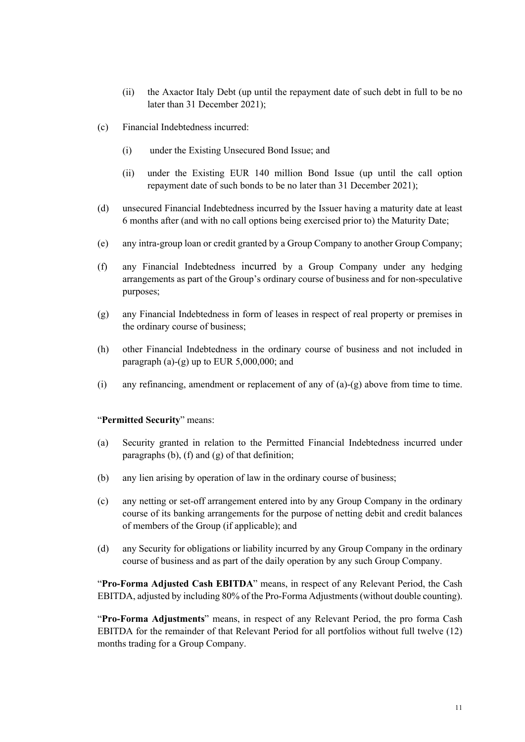- (ii) the Axactor Italy Debt (up until the repayment date of such debt in full to be no later than 31 December 2021);
- (c) Financial Indebtedness incurred:
	- (i) under the Existing Unsecured Bond Issue; and
	- (ii) under the Existing EUR 140 million Bond Issue (up until the call option repayment date of such bonds to be no later than 31 December 2021);
- (d) unsecured Financial Indebtedness incurred by the Issuer having a maturity date at least 6 months after (and with no call options being exercised prior to) the Maturity Date;
- (e) any intra-group loan or credit granted by a Group Company to another Group Company;
- (f) any Financial Indebtedness incurred by a Group Company under any hedging arrangements as part of the Group's ordinary course of business and for non-speculative purposes;
- (g) any Financial Indebtedness in form of leases in respect of real property or premises in the ordinary course of business;
- (h) other Financial Indebtedness in the ordinary course of business and not included in paragraph (a)-(g) up to EUR 5,000,000; and
- (i) any refinancing, amendment or replacement of any of (a)-(g) above from time to time.

#### "**Permitted Security**" means:

- (a) Security granted in relation to the Permitted Financial Indebtedness incurred under paragraphs (b), (f) and (g) of that definition;
- (b) any lien arising by operation of law in the ordinary course of business;
- (c) any netting or set-off arrangement entered into by any Group Company in the ordinary course of its banking arrangements for the purpose of netting debit and credit balances of members of the Group (if applicable); and
- (d) any Security for obligations or liability incurred by any Group Company in the ordinary course of business and as part of the daily operation by any such Group Company.

"**Pro-Forma Adjusted Cash EBITDA**" means, in respect of any Relevant Period, the Cash EBITDA, adjusted by including 80% of the Pro-Forma Adjustments (without double counting).

"**Pro-Forma Adjustments**" means, in respect of any Relevant Period, the pro forma Cash EBITDA for the remainder of that Relevant Period for all portfolios without full twelve (12) months trading for a Group Company.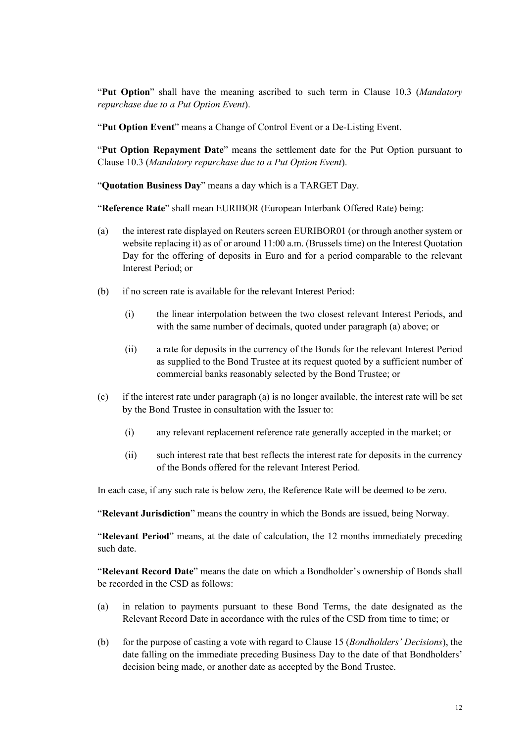"**Put Option**" shall have the meaning ascribed to such term in [Clause 10.3](#page-47-1) (*Mandatory repurchase due to a Put Option Event*).

"**Put Option Event**" means a Change of Control Event or a De-Listing Event.

"**Put Option Repayment Date**" means the settlement date for the Put Option pursuant to Clause [10.3](#page-47-1) (*Mandatory repurchase due to a Put Option Event*).

"**Quotation Business Day**" means a day which is a TARGET Day.

"**Reference Rate**" shall mean EURIBOR (European Interbank Offered Rate) being:

- (a) the interest rate displayed on Reuters screen EURIBOR01 (or through another system or website replacing it) as of or around 11:00 a.m. (Brussels time) on the Interest Quotation Day for the offering of deposits in Euro and for a period comparable to the relevant Interest Period; or
- (b) if no screen rate is available for the relevant Interest Period:
	- (i) the linear interpolation between the two closest relevant Interest Periods, and with the same number of decimals, quoted under paragraph (a) above; or
	- (ii) a rate for deposits in the currency of the Bonds for the relevant Interest Period as supplied to the Bond Trustee at its request quoted by a sufficient number of commercial banks reasonably selected by the Bond Trustee; or
- (c) if the interest rate under paragraph (a) is no longer available, the interest rate will be set by the Bond Trustee in consultation with the Issuer to:
	- (i) any relevant replacement reference rate generally accepted in the market; or
	- (ii) such interest rate that best reflects the interest rate for deposits in the currency of the Bonds offered for the relevant Interest Period.

In each case, if any such rate is below zero, the Reference Rate will be deemed to be zero.

"**Relevant Jurisdiction**" means the country in which the Bonds are issued, being Norway.

"**Relevant Period**" means, at the date of calculation, the 12 months immediately preceding such date.

"**Relevant Record Date**" means the date on which a Bondholder's ownership of Bonds shall be recorded in the CSD as follows:

- (a) in relation to payments pursuant to these Bond Terms, the date designated as the Relevant Record Date in accordance with the rules of the CSD from time to time; or
- (b) for the purpose of casting a vote with regard to Clause 15 (*Bondholders' Decisions*), the date falling on the immediate preceding Business Day to the date of that Bondholders' decision being made, or another date as accepted by the Bond Trustee.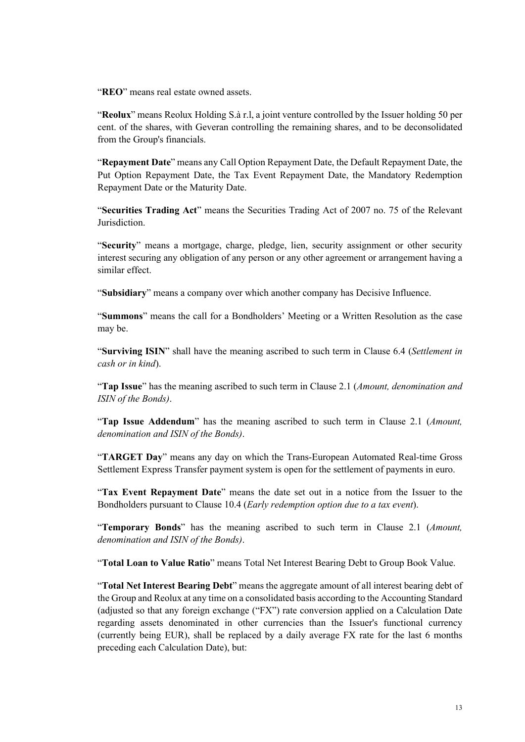"**REO**" means real estate owned assets.

"**Reolux**" means Reolux Holding S.à r.l, a joint venture controlled by the Issuer holding 50 per cent. of the shares, with Geveran controlling the remaining shares, and to be deconsolidated from the Group's financials.

"**Repayment Date**" means any Call Option Repayment Date, the Default Repayment Date, the Put Option Repayment Date, the Tax Event Repayment Date, the Mandatory Redemption Repayment Date or the Maturity Date.

"**Securities Trading Act**" means the Securities Trading Act of 2007 no. 75 of the Relevant Jurisdiction.

"**Security**" means a mortgage, charge, pledge, lien, security assignment or other security interest securing any obligation of any person or any other agreement or arrangement having a similar effect.

"**Subsidiary**" means a company over which another company has Decisive Influence.

"**Summons**" means the call for a Bondholders' Meeting or a Written Resolution as the case may be.

"**Surviving ISIN**" shall have the meaning ascribed to such term in Clause 6.4 (*Settlement in cash or in kind*).

"**Tap Issue**" has the meaning ascribed to such term i[n Clause 2.1](#page-37-1) (*Amount, denomination and ISIN of the Bonds)*.

"**Tap Issue Addendum**" has the meaning ascribed to such term in Clause [2.1](#page-37-1) (*Amount, denomination and ISIN of the Bonds)*.

"**TARGET Day**" means any day on which the Trans-European Automated Real-time Gross Settlement Express Transfer payment system is open for the settlement of payments in euro.

"**Tax Event Repayment Date**" means the date set out in a notice from the Issuer to the Bondholders pursuant to Clause [10.4](#page-47-2) (*Early redemption option due to a tax event*).

"**Temporary Bonds**" has the meaning ascribed to such term in Clause [2.1](#page-37-1) (*Amount, denomination and ISIN of the Bonds)*.

"**Total Loan to Value Ratio**" means Total Net Interest Bearing Debt to Group Book Value.

"**Total Net Interest Bearing Debt**" means the aggregate amount of all interest bearing debt of the Group and Reolux at any time on a consolidated basis according to the Accounting Standard (adjusted so that any foreign exchange ("FX") rate conversion applied on a Calculation Date regarding assets denominated in other currencies than the Issuer's functional currency (currently being EUR), shall be replaced by a daily average FX rate for the last 6 months preceding each Calculation Date), but: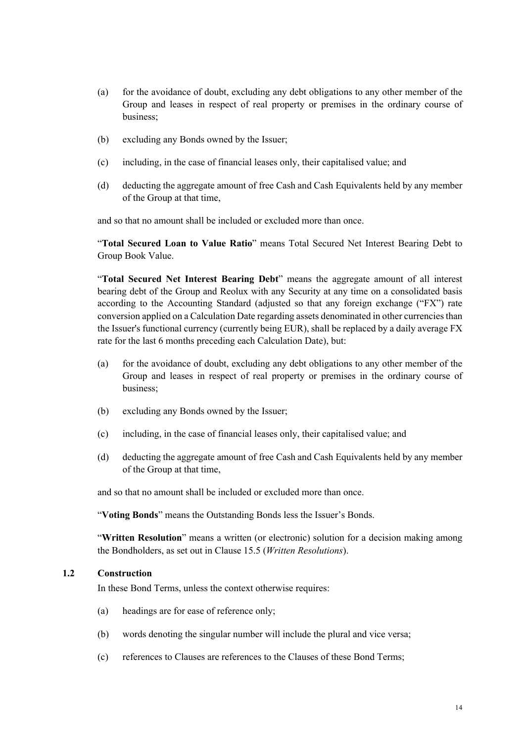- (a) for the avoidance of doubt, excluding any debt obligations to any other member of the Group and leases in respect of real property or premises in the ordinary course of business;
- (b) excluding any Bonds owned by the Issuer;
- (c) including, in the case of financial leases only, their capitalised value; and
- (d) deducting the aggregate amount of free Cash and Cash Equivalents held by any member of the Group at that time,

and so that no amount shall be included or excluded more than once.

"**Total Secured Loan to Value Ratio**" means Total Secured Net Interest Bearing Debt to Group Book Value.

"**Total Secured Net Interest Bearing Debt**" means the aggregate amount of all interest bearing debt of the Group and Reolux with any Security at any time on a consolidated basis according to the Accounting Standard (adjusted so that any foreign exchange ("FX") rate conversion applied on a Calculation Date regarding assets denominated in other currencies than the Issuer's functional currency (currently being EUR), shall be replaced by a daily average FX rate for the last 6 months preceding each Calculation Date), but:

- (a) for the avoidance of doubt, excluding any debt obligations to any other member of the Group and leases in respect of real property or premises in the ordinary course of business;
- (b) excluding any Bonds owned by the Issuer;
- (c) including, in the case of financial leases only, their capitalised value; and
- (d) deducting the aggregate amount of free Cash and Cash Equivalents held by any member of the Group at that time,

and so that no amount shall be included or excluded more than once.

"**Voting Bonds**" means the Outstanding Bonds less the Issuer's Bonds.

"**Written Resolution**" means a written (or electronic) solution for a decision making among the Bondholders, as set out i[n Clause 15.5](#page-58-0) (*Written Resolutions*).

#### **1.2 Construction**

In these Bond Terms, unless the context otherwise requires:

- (a) headings are for ease of reference only;
- (b) words denoting the singular number will include the plural and vice versa;
- (c) references to Clauses are references to the Clauses of these Bond Terms;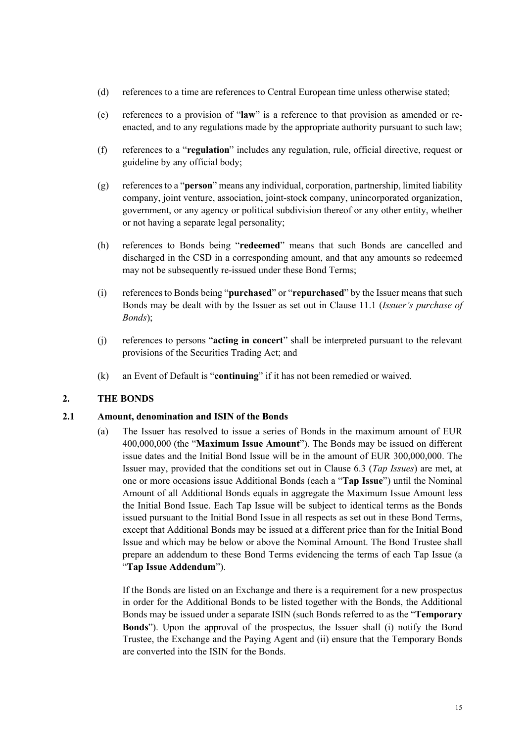- (d) references to a time are references to Central European time unless otherwise stated;
- (e) references to a provision of "**law**" is a reference to that provision as amended or reenacted, and to any regulations made by the appropriate authority pursuant to such law;
- (f) references to a "**regulation**" includes any regulation, rule, official directive, request or guideline by any official body;
- (g) references to a "**person**" means any individual, corporation, partnership, limited liability company, joint venture, association, joint-stock company, unincorporated organization, government, or any agency or political subdivision thereof or any other entity, whether or not having a separate legal personality;
- (h) references to Bonds being "**redeemed**" means that such Bonds are cancelled and discharged in the CSD in a corresponding amount, and that any amounts so redeemed may not be subsequently re-issued under these Bond Terms;
- (i) references to Bonds being "**purchased**" or "**repurchased**" by the Issuer means that such Bonds may be dealt with by the Issuer as se[t out in Clause 11.1](#page-47-3) (*Issuer's purchase of Bonds*);
- (j) references to persons "**acting in concert**" shall be interpreted pursuant to the relevant provisions of the Securities Trading Act; and
- <span id="page-37-0"></span>(k) an Event of Default is "**continuing**" if it has not been remedied or waived.

#### **2. THE BONDS**

#### **2.1 Amount, denomination and ISIN of the Bonds**

<span id="page-37-1"></span>(a) The Issuer has resolved to issue a series of Bonds in the maximum amount of EUR 400,000,000 (the "**Maximum Issue Amount**"). The Bonds may be issued on different issue dates and the Initial Bond Issue will be in the amount of EUR 300,000,000. The Issuer may, provided that the conditions set out in Clause [6.3](#page-41-1) (*Tap Issues*) are met, at one or more occasions issue Additional Bonds (each a "**Tap Issue**") until the Nominal Amount of all Additional Bonds equals in aggregate the Maximum Issue Amount less the Initial Bond Issue. Each Tap Issue will be subject to identical terms as the Bonds issued pursuant to the Initial Bond Issue in all respects as set out in these Bond Terms, except that Additional Bonds may be issued at a different price than for the Initial Bond Issue and which may be below or above the Nominal Amount. The Bond Trustee shall prepare an addendum to these Bond Terms evidencing the terms of each Tap Issue (a "**Tap Issue Addendum**").

If the Bonds are listed on an Exchange and there is a requirement for a new prospectus in order for the Additional Bonds to be listed together with the Bonds, the Additional Bonds may be issued under a separate ISIN (such Bonds referred to as the "**Temporary Bonds**"). Upon the approval of the prospectus, the Issuer shall (i) notify the Bond Trustee, the Exchange and the Paying Agent and (ii) ensure that the Temporary Bonds are converted into the ISIN for the Bonds.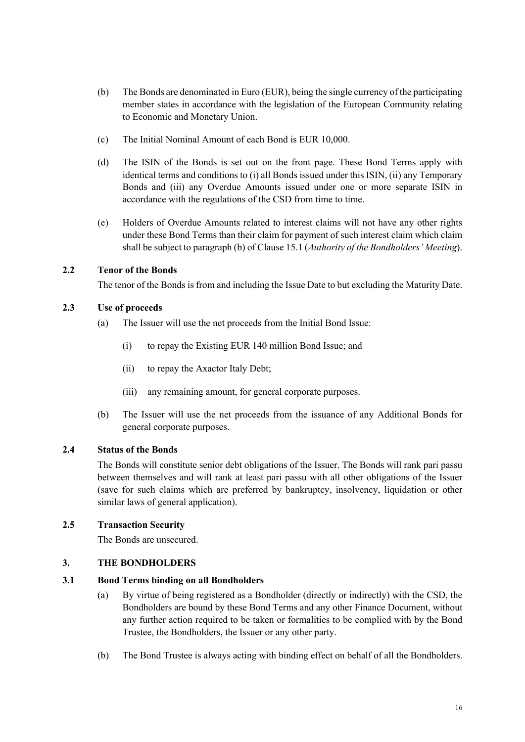- (b) The Bonds are denominated in Euro (EUR), being the single currency of the participating member states in accordance with the legislation of the European Community relating to Economic and Monetary Union.
- (c) The Initial Nominal Amount of each Bond is EUR 10,000.
- (d) The ISIN of the Bonds is set out on the front page. These Bond Terms apply with identical terms and conditions to (i) all Bonds issued under this ISIN, (ii) any Temporary Bonds and (iii) any Overdue Amounts issued under one or more separate ISIN in accordance with the regulations of the CSD from time to time.
- (e) Holders of Overdue Amounts related to interest claims will not have any other rights under these Bond Terms than their claim for payment of such interest claim which claim shall be subject to paragra[ph \(b\) of Clause 15.1](#page-55-1) (*Authority of the Bondholders' Meeting*).

#### **2.2 Tenor of the Bonds**

The tenor of the Bonds is from and including the Issue Date to but excluding the Maturity Date.

#### **2.3 Use of proceeds**

- (a) The Issuer will use the net proceeds from the Initial Bond Issue:
	- (i) to repay the Existing EUR 140 million Bond Issue; and
	- (ii) to repay the Axactor Italy Debt;
	- (iii) any remaining amount, for general corporate purposes.
- (b) The Issuer will use the net proceeds from the issuance of any Additional Bonds for general corporate purposes.

#### **2.4 Status of the Bonds**

<span id="page-38-1"></span>The Bonds will constitute senior debt obligations of the Issuer. The Bonds will rank pari passu between themselves and will rank at least pari passu with all other obligations of the Issuer (save for such claims which are preferred by bankruptcy, insolvency, liquidation or other similar laws of general application).

#### **2.5 Transaction Security**

<span id="page-38-0"></span>The Bonds are unsecured.

#### **3. THE BONDHOLDERS**

#### **3.1 Bond Terms binding on all Bondholders**

- (a) By virtue of being registered as a Bondholder (directly or indirectly) with the CSD, the Bondholders are bound by these Bond Terms and any other Finance Document, without any further action required to be taken or formalities to be complied with by the Bond Trustee, the Bondholders, the Issuer or any other party.
- (b) The Bond Trustee is always acting with binding effect on behalf of all the Bondholders.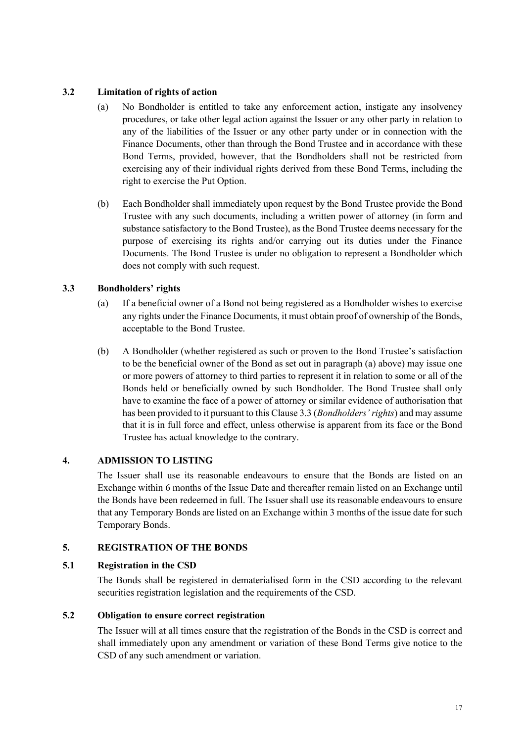## **3.2 Limitation of rights of action**

- (a) No Bondholder is entitled to take any enforcement action, instigate any insolvency procedures, or take other legal action against the Issuer or any other party in relation to any of the liabilities of the Issuer or any other party under or in connection with the Finance Documents, other than through the Bond Trustee and in accordance with these Bond Terms, provided, however, that the Bondholders shall not be restricted from exercising any of their individual rights derived from these Bond Terms, including the right to exercise the Put Option.
- (b) Each Bondholder shall immediately upon request by the Bond Trustee provide the Bond Trustee with any such documents, including a written power of attorney (in form and substance satisfactory to the Bond Trustee), as the Bond Trustee deems necessary for the purpose of exercising its rights and/or carrying out its duties under the Finance Documents. The Bond Trustee is under no obligation to represent a Bondholder which does not comply with such request.

## **3.3 Bondholders' rights**

- <span id="page-39-3"></span><span id="page-39-2"></span>(a) If a beneficial owner of a Bond not being registered as a Bondholder wishes to exercise any rights under the Finance Documents, it must obtain proof of ownership of the Bonds, acceptable to the Bond Trustee.
- (b) A Bondholder (whether registered as such or proven to the Bond Trustee's satisfaction to be the beneficial owner of the Bond as set o[ut in paragraph \(a\)](#page-39-3) above) may issue one or more powers of attorney to third parties to represent it in relation to some or all of the Bonds held or beneficially owned by such Bondholder. The Bond Trustee shall only have to examine the face of a power of attorney or similar evidence of authorisation that has been provided to it pursuant to this Clause [3.3](#page-39-2) (*Bondholders' rights*) and may assume that it is in full force and effect, unless otherwise is apparent from its face or the Bond Trustee has actual knowledge to the contrary.

#### **4. ADMISSION TO LISTING**

<span id="page-39-0"></span>The Issuer shall use its reasonable endeavours to ensure that the Bonds are listed on an Exchange within 6 months of the Issue Date and thereafter remain listed on an Exchange until the Bonds have been redeemed in full. The Issuer shall use its reasonable endeavours to ensure that any Temporary Bonds are listed on an Exchange within 3 months of the issue date for such Temporary Bonds.

#### **5. REGISTRATION OF THE BONDS**

#### **5.1 Registration in the CSD**

<span id="page-39-1"></span>The Bonds shall be registered in dematerialised form in the CSD according to the relevant securities registration legislation and the requirements of the CSD.

#### **5.2 Obligation to ensure correct registration**

The Issuer will at all times ensure that the registration of the Bonds in the CSD is correct and shall immediately upon any amendment or variation of these Bond Terms give notice to the CSD of any such amendment or variation.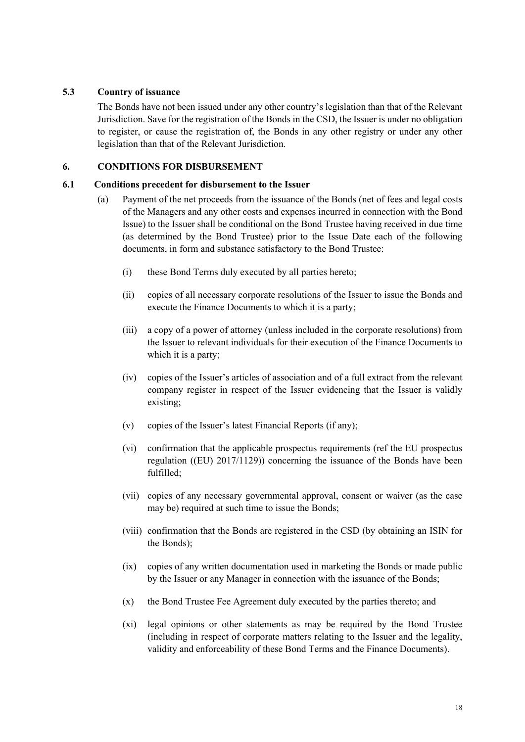#### **5.3 Country of issuance**

The Bonds have not been issued under any other country's legislation than that of the Relevant Jurisdiction. Save for the registration of the Bonds in the CSD, the Issuer is under no obligation to register, or cause the registration of, the Bonds in any other registry or under any other legislation than that of the Relevant Jurisdiction.

#### **6. CONDITIONS FOR DISBURSEMENT**

#### **6.1 Conditions precedent for disbursement to the Issuer**

- <span id="page-40-0"></span>(a) Payment of the net proceeds from the issuance of the Bonds (net of fees and legal costs of the Managers and any other costs and expenses incurred in connection with the Bond Issue) to the Issuer shall be conditional on the Bond Trustee having received in due time (as determined by the Bond Trustee) prior to the Issue Date each of the following documents, in form and substance satisfactory to the Bond Trustee:
	- (i) these Bond Terms duly executed by all parties hereto;
	- (ii) copies of all necessary corporate resolutions of the Issuer to issue the Bonds and execute the Finance Documents to which it is a party;
	- (iii) a copy of a power of attorney (unless included in the corporate resolutions) from the Issuer to relevant individuals for their execution of the Finance Documents to which it is a party;
	- (iv) copies of the Issuer's articles of association and of a full extract from the relevant company register in respect of the Issuer evidencing that the Issuer is validly existing;
	- (v) copies of the Issuer's latest Financial Reports (if any);
	- (vi) confirmation that the applicable prospectus requirements (ref the EU prospectus regulation ((EU) 2017/1129)) concerning the issuance of the Bonds have been fulfilled;
	- (vii) copies of any necessary governmental approval, consent or waiver (as the case may be) required at such time to issue the Bonds;
	- (viii) confirmation that the Bonds are registered in the CSD (by obtaining an ISIN for the Bonds);
	- (ix) copies of any written documentation used in marketing the Bonds or made public by the Issuer or any Manager in connection with the issuance of the Bonds;
	- (x) the Bond Trustee Fee Agreement duly executed by the parties thereto; and
	- (xi) legal opinions or other statements as may be required by the Bond Trustee (including in respect of corporate matters relating to the Issuer and the legality, validity and enforceability of these Bond Terms and the Finance Documents).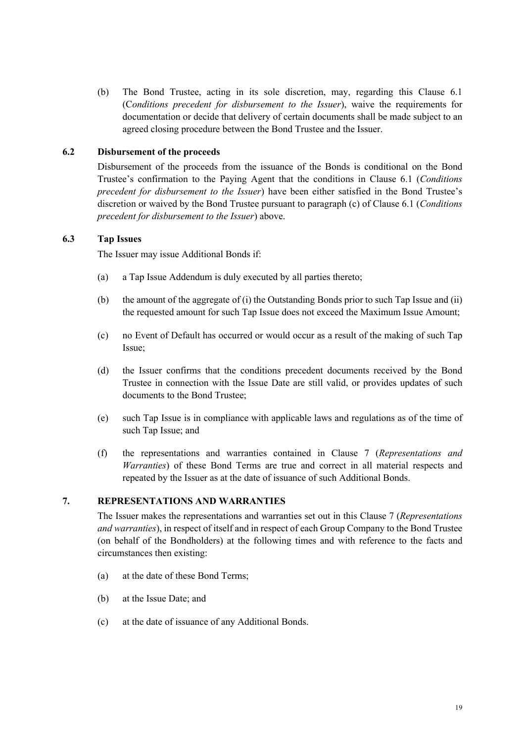(b) The Bond Trustee, acting in its sole discretion, may, regarding this Clause 6.1 (C*onditions precedent for disbursement to the Issuer*), waive the requirements for documentation or decide that delivery of certain documents shall be made subject to an agreed closing procedure between the Bond Trustee and the Issuer.

#### **6.2 Disbursement of the proceeds**

Disbursement of the proceeds from the issuance of the Bonds is conditional on the Bond Trustee's confirmation to the Paying Agent that the conditions in Clause 6.1 (*Conditions precedent for disbursement to the Issuer*) have been either satisfied in the Bond Trustee's discretion or waived by the Bond Trustee pursuant to paragraph (c) of Clause 6.1 (*Conditions precedent for disbursement to the Issuer*) above.

#### **6.3 Tap Issues**

<span id="page-41-1"></span>The Issuer may issue Additional Bonds if:

- (a) a Tap Issue Addendum is duly executed by all parties thereto;
- (b) the amount of the aggregate of (i) the Outstanding Bonds prior to such Tap Issue and (ii) the requested amount for such Tap Issue does not exceed the Maximum Issue Amount;
- (c) no Event of Default has occurred or would occur as a result of the making of such Tap Issue;
- (d) the Issuer confirms that the conditions precedent documents received by the Bond Trustee in connection with the Issue Date are still valid, or provides updates of such documents to the Bond Trustee;
- (e) such Tap Issue is in compliance with applicable laws and regulations as of the time of such Tap Issue; and
- (f) the representations and warranties contained in [Clause 7](#page-41-0) (*Representations and Warranties*) of these Bond Terms are true and correct in all material respects and repeated by the Issuer as at the date of issuance of such Additional Bonds.

#### **7. REPRESENTATIONS AND WARRANTIES**

<span id="page-41-0"></span>The Issuer makes the representations and warranties set out in this Clause [7](#page-41-0) (*Representations and warranties*), in respect of itself and in respect of each Group Company to the Bond Trustee (on behalf of the Bondholders) at the following times and with reference to the facts and circumstances then existing:

- (a) at the date of these Bond Terms;
- (b) at the Issue Date; and
- (c) at the date of issuance of any Additional Bonds.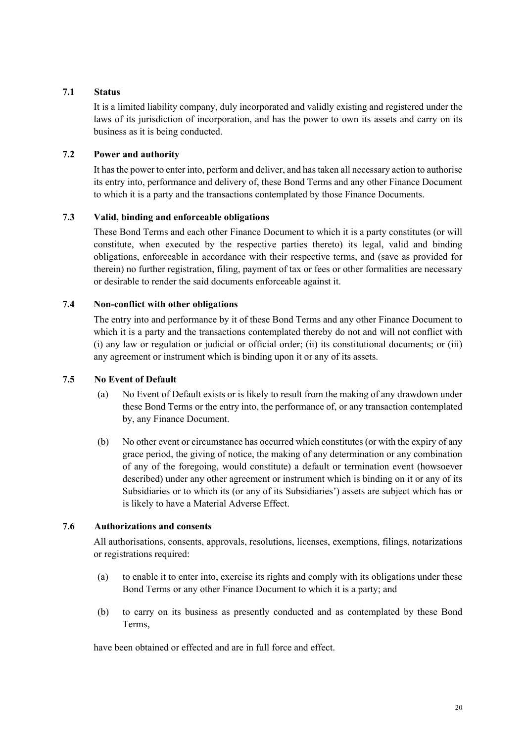#### **7.1 Status**

It is a limited liability company, duly incorporated and validly existing and registered under the laws of its jurisdiction of incorporation, and has the power to own its assets and carry on its business as it is being conducted.

## **7.2 Power and authority**

It has the power to enter into, perform and deliver, and has taken all necessary action to authorise its entry into, performance and delivery of, these Bond Terms and any other Finance Document to which it is a party and the transactions contemplated by those Finance Documents.

# **7.3 Valid, binding and enforceable obligations**

These Bond Terms and each other Finance Document to which it is a party constitutes (or will constitute, when executed by the respective parties thereto) its legal, valid and binding obligations, enforceable in accordance with their respective terms, and (save as provided for therein) no further registration, filing, payment of tax or fees or other formalities are necessary or desirable to render the said documents enforceable against it.

#### **7.4 Non-conflict with other obligations**

The entry into and performance by it of these Bond Terms and any other Finance Document to which it is a party and the transactions contemplated thereby do not and will not conflict with (i) any law or regulation or judicial or official order; (ii) its constitutional documents; or (iii) any agreement or instrument which is binding upon it or any of its assets.

#### **7.5 No Event of Default**

- (a) No Event of Default exists or is likely to result from the making of any drawdown under these Bond Terms or the entry into, the performance of, or any transaction contemplated by, any Finance Document.
- (b) No other event or circumstance has occurred which constitutes (or with the expiry of any grace period, the giving of notice, the making of any determination or any combination of any of the foregoing, would constitute) a default or termination event (howsoever described) under any other agreement or instrument which is binding on it or any of its Subsidiaries or to which its (or any of its Subsidiaries') assets are subject which has or is likely to have a Material Adverse Effect.

#### **7.6 Authorizations and consents**

All authorisations, consents, approvals, resolutions, licenses, exemptions, filings, notarizations or registrations required:

- (a) to enable it to enter into, exercise its rights and comply with its obligations under these Bond Terms or any other Finance Document to which it is a party; and
- (b) to carry on its business as presently conducted and as contemplated by these Bond Terms,

have been obtained or effected and are in full force and effect.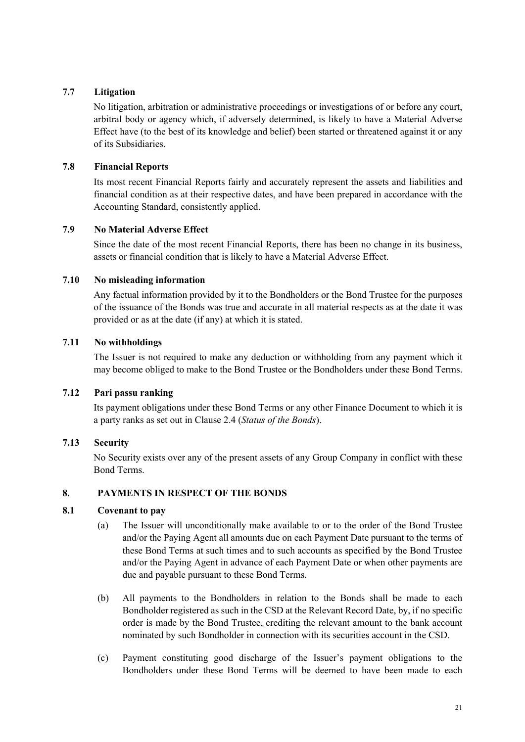## **7.7 Litigation**

No litigation, arbitration or administrative proceedings or investigations of or before any court, arbitral body or agency which, if adversely determined, is likely to have a Material Adverse Effect have (to the best of its knowledge and belief) been started or threatened against it or any of its Subsidiaries.

## **7.8 Financial Reports**

Its most recent Financial Reports fairly and accurately represent the assets and liabilities and financial condition as at their respective dates, and have been prepared in accordance with the Accounting Standard, consistently applied.

# **7.9 No Material Adverse Effect**

Since the date of the most recent Financial Reports, there has been no change in its business, assets or financial condition that is likely to have a Material Adverse Effect.

#### **7.10 No misleading information**

Any factual information provided by it to the Bondholders or the Bond Trustee for the purposes of the issuance of the Bonds was true and accurate in all material respects as at the date it was provided or as at the date (if any) at which it is stated.

## **7.11 No withholdings**

The Issuer is not required to make any deduction or withholding from any payment which it may become obliged to make to the Bond Trustee or the Bondholders under these Bond Terms.

# **7.12 Pari passu ranking**

Its payment obligations under these Bond Terms or any other Finance Document to which it is a party ranks as set out i[n Clause 2.4](#page-38-1) (*Status of the Bonds*).

#### **7.13 Security**

No Security exists over any of the present assets of any Group Company in conflict with these Bond Terms.

#### **8. PAYMENTS IN RESPECT OF THE BONDS**

#### **8.1 Covenant to pay**

- <span id="page-43-0"></span>(a) The Issuer will unconditionally make available to or to the order of the Bond Trustee and/or the Paying Agent all amounts due on each Payment Date pursuant to the terms of these Bond Terms at such times and to such accounts as specified by the Bond Trustee and/or the Paying Agent in advance of each Payment Date or when other payments are due and payable pursuant to these Bond Terms.
- (b) All payments to the Bondholders in relation to the Bonds shall be made to each Bondholder registered as such in the CSD at the Relevant Record Date, by, if no specific order is made by the Bond Trustee, crediting the relevant amount to the bank account nominated by such Bondholder in connection with its securities account in the CSD.
- (c) Payment constituting good discharge of the Issuer's payment obligations to the Bondholders under these Bond Terms will be deemed to have been made to each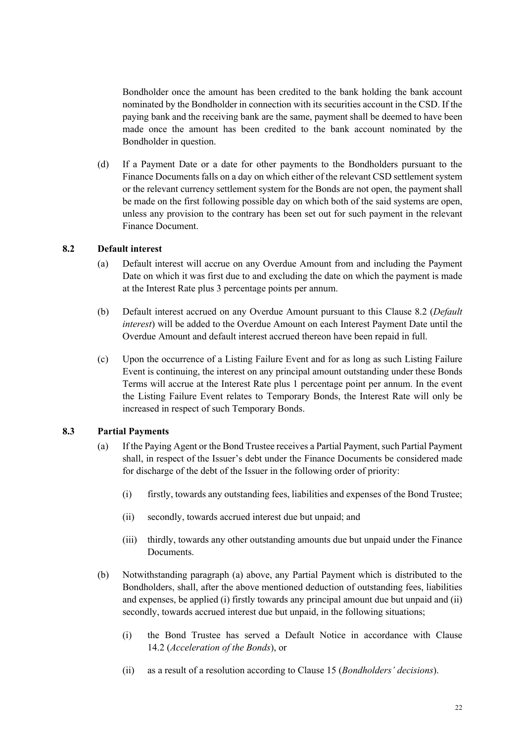Bondholder once the amount has been credited to the bank holding the bank account nominated by the Bondholder in connection with its securities account in the CSD. If the paying bank and the receiving bank are the same, payment shall be deemed to have been made once the amount has been credited to the bank account nominated by the Bondholder in question.

(d) If a Payment Date or a date for other payments to the Bondholders pursuant to the Finance Documents falls on a day on which either of the relevant CSD settlement system or the relevant currency settlement system for the Bonds are not open, the payment shall be made on the first following possible day on which both of the said systems are open, unless any provision to the contrary has been set out for such payment in the relevant Finance Document.

#### **8.2 Default interest**

- <span id="page-44-0"></span>(a) Default interest will accrue on any Overdue Amount from and including the Payment Date on which it was first due to and excluding the date on which the payment is made at the Interest Rate plus 3 percentage points per annum.
- (b) Default interest accrued on any Overdue Amount pursuant to thi[s Clause 8.2](#page-44-0) (*Default interest*) will be added to the Overdue Amount on each Interest Payment Date until the Overdue Amount and default interest accrued thereon have been repaid in full.
- (c) Upon the occurrence of a Listing Failure Event and for as long as such Listing Failure Event is continuing, the interest on any principal amount outstanding under these Bonds Terms will accrue at the Interest Rate plus 1 percentage point per annum. In the event the Listing Failure Event relates to Temporary Bonds, the Interest Rate will only be increased in respect of such Temporary Bonds.

#### **8.3 Partial Payments**

- (a) If the Paying Agent or the Bond Trustee receives a Partial Payment, such Partial Payment shall, in respect of the Issuer's debt under the Finance Documents be considered made for discharge of the debt of the Issuer in the following order of priority:
	- (i) firstly, towards any outstanding fees, liabilities and expenses of the Bond Trustee;
	- (ii) secondly, towards accrued interest due but unpaid; and
	- (iii) thirdly, towards any other outstanding amounts due but unpaid under the Finance Documents.
- (b) Notwithstanding paragraph (a) above, any Partial Payment which is distributed to the Bondholders, shall, after the above mentioned deduction of outstanding fees, liabilities and expenses, be applied (i) firstly towards any principal amount due but unpaid and (ii) secondly, towards accrued interest due but unpaid, in the following situations;
	- (i) the Bond Trustee has served a Default Notice in accordance with Clause [14.2](#page-54-0) (*Acceleration of the Bonds*), or
	- (ii) as a result of a resolution according to Clause 15 (*Bondholders' decisions*).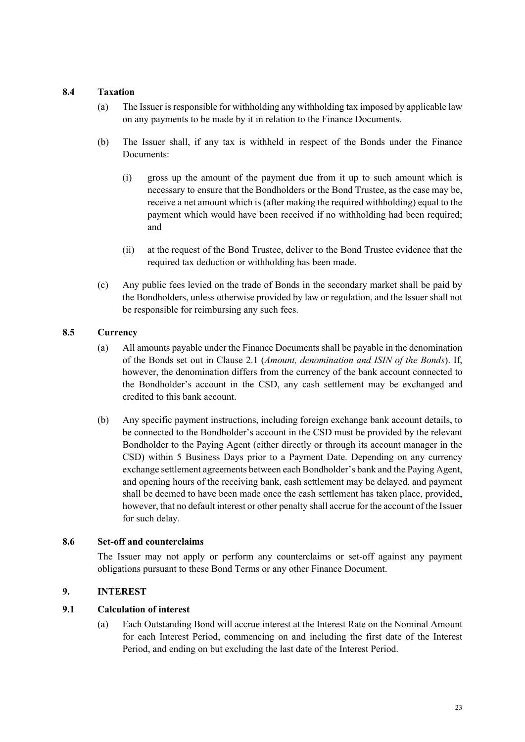#### **8.4 Taxation**

- <span id="page-45-1"></span>(a) The Issuer is responsible for withholding any withholding tax imposed by applicable law on any payments to be made by it in relation to the Finance Documents.
- (b) The Issuer shall, if any tax is withheld in respect of the Bonds under the Finance Documents:
	- (i) gross up the amount of the payment due from it up to such amount which is necessary to ensure that the Bondholders or the Bond Trustee, as the case may be, receive a net amount which is (after making the required withholding) equal to the payment which would have been received if no withholding had been required; and
	- (ii) at the request of the Bond Trustee, deliver to the Bond Trustee evidence that the required tax deduction or withholding has been made.
- (c) Any public fees levied on the trade of Bonds in the secondary market shall be paid by the Bondholders, unless otherwise provided by law or regulation, and the Issuer shall not be responsible for reimbursing any such fees.

#### **8.5 Currency**

- (a) All amounts payable under the Finance Documents shall be payable in the denomination of the Bonds se[t out in Clause 2.1](#page-37-1) (*Amount, denomination and ISIN of the Bonds*). If, however, the denomination differs from the currency of the bank account connected to the Bondholder's account in the CSD, any cash settlement may be exchanged and credited to this bank account.
- (b) Any specific payment instructions, including foreign exchange bank account details, to be connected to the Bondholder's account in the CSD must be provided by the relevant Bondholder to the Paying Agent (either directly or through its account manager in the CSD) within 5 Business Days prior to a Payment Date. Depending on any currency exchange settlement agreements between each Bondholder's bank and the Paying Agent, and opening hours of the receiving bank, cash settlement may be delayed, and payment shall be deemed to have been made once the cash settlement has taken place, provided, however, that no default interest or other penalty shall accrue for the account of the Issuer for such delay.

#### **8.6 Set-off and counterclaims**

<span id="page-45-0"></span>The Issuer may not apply or perform any counterclaims or set-off against any payment obligations pursuant to these Bond Terms or any other Finance Document.

#### **9. INTEREST**

#### **9.1 Calculation of interest**

(a) Each Outstanding Bond will accrue interest at the Interest Rate on the Nominal Amount for each Interest Period, commencing on and including the first date of the Interest Period, and ending on but excluding the last date of the Interest Period.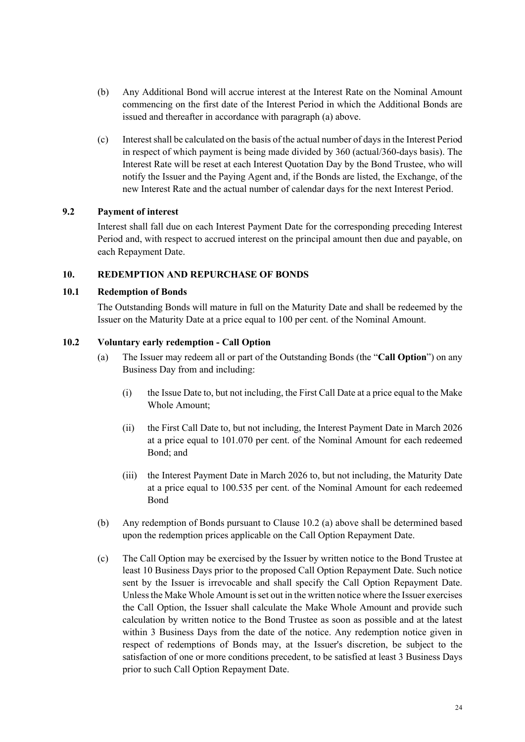- (b) Any Additional Bond will accrue interest at the Interest Rate on the Nominal Amount commencing on the first date of the Interest Period in which the Additional Bonds are issued and thereafter in accordance with paragraph (a) above.
- (c) Interest shall be calculated on the basis of the actual number of days in the Interest Period in respect of which payment is being made divided by 360 (actual/360-days basis). The Interest Rate will be reset at each Interest Quotation Day by the Bond Trustee, who will notify the Issuer and the Paying Agent and, if the Bonds are listed, the Exchange, of the new Interest Rate and the actual number of calendar days for the next Interest Period.

## **9.2 Payment of interest**

Interest shall fall due on each Interest Payment Date for the corresponding preceding Interest Period and, with respect to accrued interest on the principal amount then due and payable, on each Repayment Date.

#### **10. REDEMPTION AND REPURCHASE OF BONDS**

#### **10.1 Redemption of Bonds**

<span id="page-46-0"></span>The Outstanding Bonds will mature in full on the Maturity Date and shall be redeemed by the Issuer on the Maturity Date at a price equal to 100 per cent. of the Nominal Amount.

## **10.2 Voluntary early redemption - Call Option**

- <span id="page-46-1"></span>(a) The Issuer may redeem all or part of the Outstanding Bonds (the "**Call Option**") on any Business Day from and including:
	- (i) the Issue Date to, but not including, the First Call Date at a price equal to the Make Whole Amount;
	- (ii) the First Call Date to, but not including, the Interest Payment Date in March 2026 at a price equal to 101.070 per cent. of the Nominal Amount for each redeemed Bond; and
	- (iii) the Interest Payment Date in March 2026 to, but not including, the Maturity Date at a price equal to 100.535 per cent. of the Nominal Amount for each redeemed Bond
- (b) Any redemption of Bonds pursuant to Clause 10.2 (a) above shall be determined based upon the redemption prices applicable on the Call Option Repayment Date.
- (c) The Call Option may be exercised by the Issuer by written notice to the Bond Trustee at least 10 Business Days prior to the proposed Call Option Repayment Date. Such notice sent by the Issuer is irrevocable and shall specify the Call Option Repayment Date. Unless the Make Whole Amount is set out in the written notice where the Issuer exercises the Call Option, the Issuer shall calculate the Make Whole Amount and provide such calculation by written notice to the Bond Trustee as soon as possible and at the latest within 3 Business Days from the date of the notice. Any redemption notice given in respect of redemptions of Bonds may, at the Issuer's discretion, be subject to the satisfaction of one or more conditions precedent, to be satisfied at least 3 Business Days prior to such Call Option Repayment Date.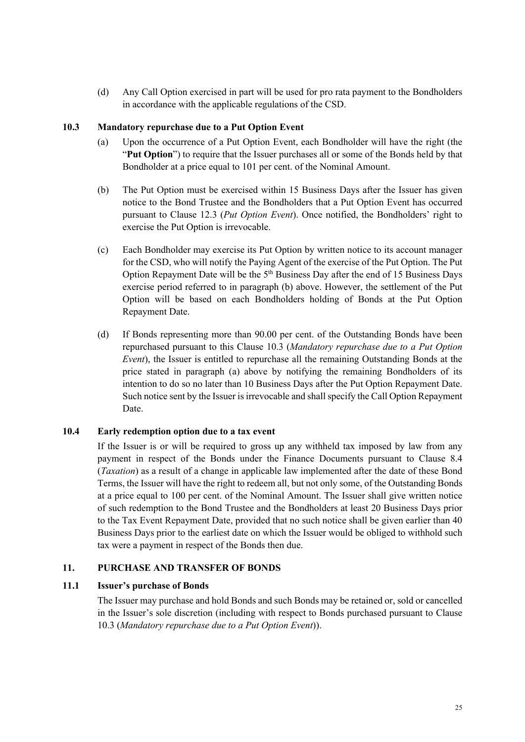(d) Any Call Option exercised in part will be used for pro rata payment to the Bondholders in accordance with the applicable regulations of the CSD.

#### **10.3 Mandatory repurchase due to a Put Option Event**

- <span id="page-47-1"></span>(a) Upon the occurrence of a Put Option Event, each Bondholder will have the right (the "**Put Option**") to require that the Issuer purchases all or some of the Bonds held by that Bondholder at a price equal to 101 per cent. of the Nominal Amount.
- (b) The Put Option must be exercised within 15 Business Days after the Issuer has given notice to the Bond Trustee and the Bondholders that a Put Option Event has occurred purs[uant to Clause 12.3](#page-48-1) (*Put Option Event*). Once notified, the Bondholders' right to exercise the Put Option is irrevocable.
- (c) Each Bondholder may exercise its Put Option by written notice to its account manager for the CSD, who will notify the Paying Agent of the exercise of the Put Option. The Put Option Repayment Date will be the  $5<sup>th</sup>$  Business Day after the end of 15 Business Days exercise period referred to in paragraph (b) above. However, the settlement of the Put Option will be based on each Bondholders holding of Bonds at the Put Option Repayment Date.
- (d) If Bonds representing more than 90.00 per cent. of the Outstanding Bonds have been repurchased pursuant to this Clause [10.3](#page-47-1) (*Mandatory repurchase due to a Put Option Event*), the Issuer is entitled to repurchase all the remaining Outstanding Bonds at the price stated in paragraph (a) above by notifying the remaining Bondholders of its intention to do so no later than 10 Business Days after the Put Option Repayment Date. Such notice sent by the Issuer is irrevocable and shall specify the Call Option Repayment Date.

#### **10.4 Early redemption option due to a tax event**

<span id="page-47-2"></span>If the Issuer is or will be required to gross up any withheld tax imposed by law from any payment in respect of the Bonds under the Finance Documents pursuant to Clause [8.4](#page-45-1) (*Taxation*) as a result of a change in applicable law implemented after the date of these Bond Terms, the Issuer will have the right to redeem all, but not only some, of the Outstanding Bonds at a price equal to 100 per cent. of the Nominal Amount. The Issuer shall give written notice of such redemption to the Bond Trustee and the Bondholders at least 20 Business Days prior to the Tax Event Repayment Date, provided that no such notice shall be given earlier than 40 Business Days prior to the earliest date on which the Issuer would be obliged to withhold such tax were a payment in respect of the Bonds then due.

#### **11. PURCHASE AND TRANSFER OF BONDS**

#### **11.1 Issuer's purchase of Bonds**

<span id="page-47-3"></span><span id="page-47-0"></span>The Issuer may purchase and hold Bonds and such Bonds may be retained or, sold or cancelled in the Issuer's sole discretion (including with respect to Bonds purchased pursuant to Clause [10.3](#page-47-1) (*Mandatory repurchase due to a Put Option Event*)).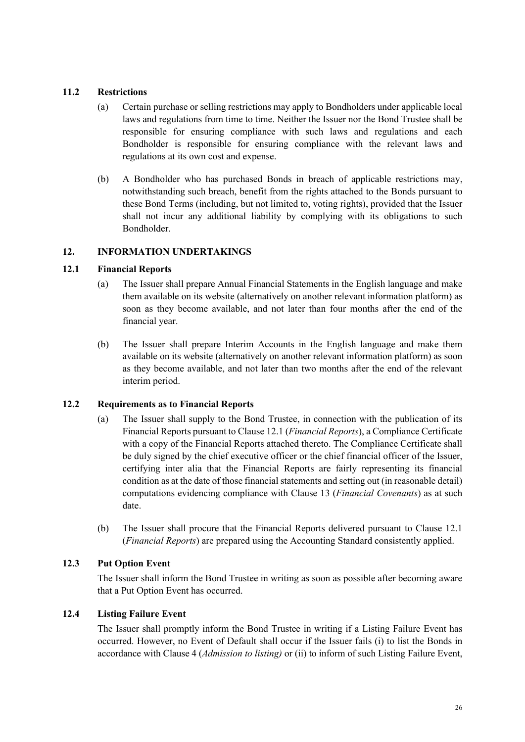## **11.2 Restrictions**

- (a) Certain purchase or selling restrictions may apply to Bondholders under applicable local laws and regulations from time to time. Neither the Issuer nor the Bond Trustee shall be responsible for ensuring compliance with such laws and regulations and each Bondholder is responsible for ensuring compliance with the relevant laws and regulations at its own cost and expense.
- (b) A Bondholder who has purchased Bonds in breach of applicable restrictions may, notwithstanding such breach, benefit from the rights attached to the Bonds pursuant to these Bond Terms (including, but not limited to, voting rights), provided that the Issuer shall not incur any additional liability by complying with its obligations to such Bondholder.

#### **12. INFORMATION UNDERTAKINGS**

#### **12.1 Financial Reports**

- <span id="page-48-2"></span><span id="page-48-0"></span>(a) The Issuer shall prepare Annual Financial Statements in the English language and make them available on its website (alternatively on another relevant information platform) as soon as they become available, and not later than four months after the end of the financial year.
- (b) The Issuer shall prepare Interim Accounts in the English language and make them available on its website (alternatively on another relevant information platform) as soon as they become available, and not later than two months after the end of the relevant interim period.

#### **12.2 Requirements as to Financial Reports**

- <span id="page-48-3"></span>(a) The Issuer shall supply to the Bond Trustee, in connection with the publication of its Financial Reports pur[suant to Clause 12.1](#page-48-2) (*Financial Reports*), a Compliance Certificate with a copy of the Financial Reports attached thereto. The Compliance Certificate shall be duly signed by the chief executive officer or the chief financial officer of the Issuer, certifying inter alia that the Financial Reports are fairly representing its financial condition as at the date of those financial statements and setting out (in reasonable detail) computations evidencing compliance with Clause 13 (*Financial Covenants*) as at such date.
- (b) The Issuer shall procure that the Financial Reports delivered pursuant to Clause [12.1](#page-48-2) (*Financial Reports*) are prepared using the Accounting Standard consistently applied.

# **12.3 Put Option Event**

<span id="page-48-1"></span>The Issuer shall inform the Bond Trustee in writing as soon as possible after becoming aware that a Put Option Event has occurred.

#### **12.4 Listing Failure Event**

The Issuer shall promptly inform the Bond Trustee in writing if a Listing Failure Event has occurred. However, no Event of Default shall occur if the Issuer fails (i) to list the Bonds in accordance with Clause [4](#page-39-0) (*Admission to listing)* or (ii) to inform of such Listing Failure Event,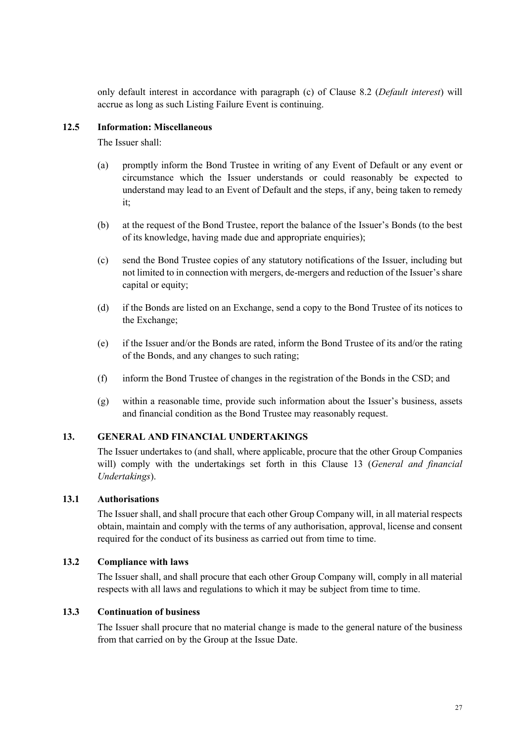only default interest in accordance with paragraph (c) o[f Clause 8.2](#page-44-0) (*Default interest*) will accrue as long as such Listing Failure Event is continuing.

#### **12.5 Information: Miscellaneous**

<span id="page-49-2"></span>The Issuer shall:

- (a) promptly inform the Bond Trustee in writing of any Event of Default or any event or circumstance which the Issuer understands or could reasonably be expected to understand may lead to an Event of Default and the steps, if any, being taken to remedy it;
- (b) at the request of the Bond Trustee, report the balance of the Issuer's Bonds (to the best of its knowledge, having made due and appropriate enquiries);
- (c) send the Bond Trustee copies of any statutory notifications of the Issuer, including but not limited to in connection with mergers, de-mergers and reduction of the Issuer's share capital or equity;
- (d) if the Bonds are listed on an Exchange, send a copy to the Bond Trustee of its notices to the Exchange;
- (e) if the Issuer and/or the Bonds are rated, inform the Bond Trustee of its and/or the rating of the Bonds, and any changes to such rating;
- (f) inform the Bond Trustee of changes in the registration of the Bonds in the CSD; and
- (g) within a reasonable time, provide such information about the Issuer's business, assets and financial condition as the Bond Trustee may reasonably request.

#### **13. GENERAL AND FINANCIAL UNDERTAKINGS**

<span id="page-49-0"></span>The Issuer undertakes to (and shall, where applicable, procure that the other Group Companies will) comply with the undertakings set forth in this Clause [13](#page-49-0) (*General and financial Undertakings*).

## **13.1 Authorisations**

The Issuer shall, and shall procure that each other Group Company will, in all material respects obtain, maintain and comply with the terms of any authorisation, approval, license and consent required for the conduct of its business as carried out from time to time.

#### **13.2 Compliance with laws**

<span id="page-49-1"></span>The Issuer shall, and shall procure that each other Group Company will, comply in all material respects with all laws and regulations to which it may be subject from time to time.

# **13.3 Continuation of business**

The Issuer shall procure that no material change is made to the general nature of the business from that carried on by the Group at the Issue Date.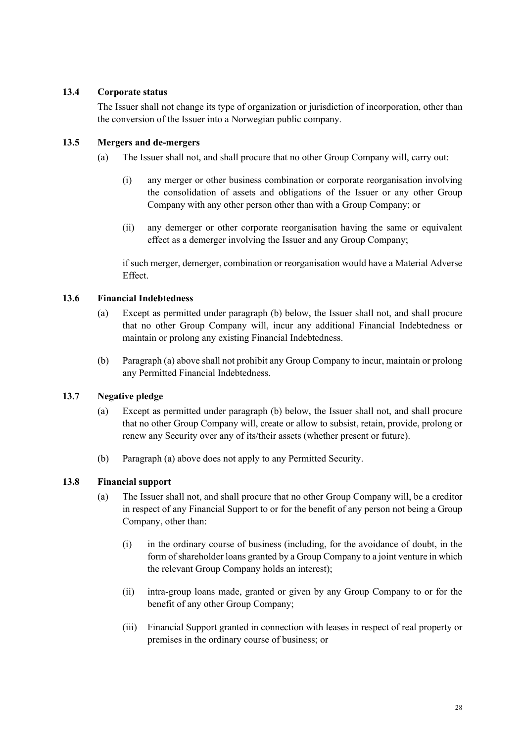#### **13.4 Corporate status**

The Issuer shall not change its type of organization or jurisdiction of incorporation, other than the conversion of the Issuer into a Norwegian public company.

#### **13.5 Mergers and de-mergers**

- (a) The Issuer shall not, and shall procure that no other Group Company will, carry out:
	- (i) any merger or other business combination or corporate reorganisation involving the consolidation of assets and obligations of the Issuer or any other Group Company with any other person other than with a Group Company; or
	- (ii) any demerger or other corporate reorganisation having the same or equivalent effect as a demerger involving the Issuer and any Group Company;

if such merger, demerger, combination or reorganisation would have a Material Adverse Effect.

#### **13.6 Financial Indebtedness**

- (a) Except as permitted under paragraph (b) below, the Issuer shall not, and shall procure that no other Group Company will, incur any additional Financial Indebtedness or maintain or prolong any existing Financial Indebtedness.
- (b) Paragraph (a) above shall not prohibit any Group Company to incur, maintain or prolong any Permitted Financial Indebtedness.

#### **13.7 Negative pledge**

- (a) Except as permitted under paragraph (b) below, the Issuer shall not, and shall procure that no other Group Company will, create or allow to subsist, retain, provide, prolong or renew any Security over any of its/their assets (whether present or future).
- (b) Paragraph (a) above does not apply to any Permitted Security.

#### **13.8 Financial support**

- (a) The Issuer shall not, and shall procure that no other Group Company will, be a creditor in respect of any Financial Support to or for the benefit of any person not being a Group Company, other than:
	- (i) in the ordinary course of business (including, for the avoidance of doubt, in the form of shareholder loans granted by a Group Company to a joint venture in which the relevant Group Company holds an interest);
	- (ii) intra-group loans made, granted or given by any Group Company to or for the benefit of any other Group Company;
	- (iii) Financial Support granted in connection with leases in respect of real property or premises in the ordinary course of business; or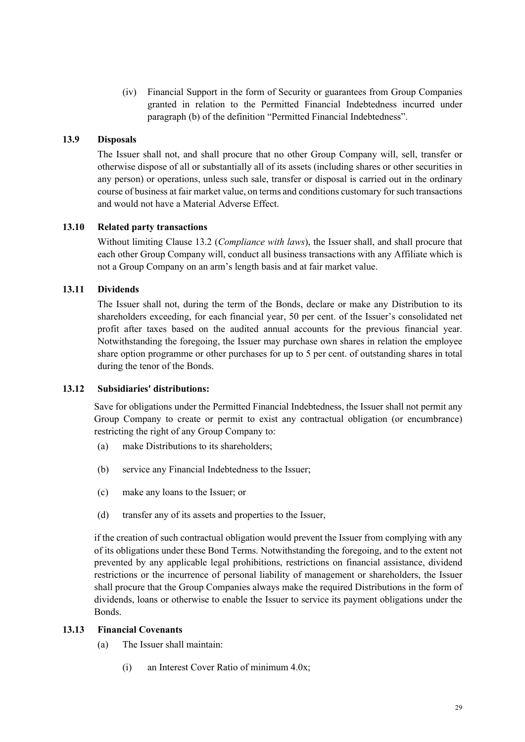(iv) Financial Support in the form of Security or guarantees from Group Companies granted in relation to the Permitted Financial Indebtedness incurred under paragraph (b) of the definition "Permitted Financial Indebtedness".

#### **13.9 Disposals**

The Issuer shall not, and shall procure that no other Group Company will, sell, transfer or otherwise dispose of all or substantially all of its assets (including shares or other securities in any person) or operations, unless such sale, transfer or disposal is carried out in the ordinary course of business at fair market value, on terms and conditions customary for such transactions and would not have a Material Adverse Effect.

#### **13.10 Related party transactions**

Without limitin[g Clause 13.2](#page-49-1) (*Compliance with laws*), the Issuer shall, and shall procure that each other Group Company will, conduct all business transactions with any Affiliate which is not a Group Company on an arm's length basis and at fair market value.

#### **13.11 Dividends**

The Issuer shall not, during the term of the Bonds, declare or make any Distribution to its shareholders exceeding, for each financial year, 50 per cent. of the Issuer's consolidated net profit after taxes based on the audited annual accounts for the previous financial year. Notwithstanding the foregoing, the Issuer may purchase own shares in relation the employee share option programme or other purchases for up to 5 per cent. of outstanding shares in total during the tenor of the Bonds.

#### **13.12 Subsidiaries' distributions:**

Save for obligations under the Permitted Financial Indebtedness, the Issuer shall not permit any Group Company to create or permit to exist any contractual obligation (or encumbrance) restricting the right of any Group Company to:

- (a) make Distributions to its shareholders;
- (b) service any Financial Indebtedness to the Issuer;
- (c) make any loans to the Issuer; or
- (d) transfer any of its assets and properties to the Issuer,

if the creation of such contractual obligation would prevent the Issuer from complying with any of its obligations under these Bond Terms. Notwithstanding the foregoing, and to the extent not prevented by any applicable legal prohibitions, restrictions on financial assistance, dividend restrictions or the incurrence of personal liability of management or shareholders, the Issuer shall procure that the Group Companies always make the required Distributions in the form of dividends, loans or otherwise to enable the Issuer to service its payment obligations under the Bonds.

#### **13.13 Financial Covenants**

- (a) The Issuer shall maintain:
	- (i) an Interest Cover Ratio of minimum 4.0x;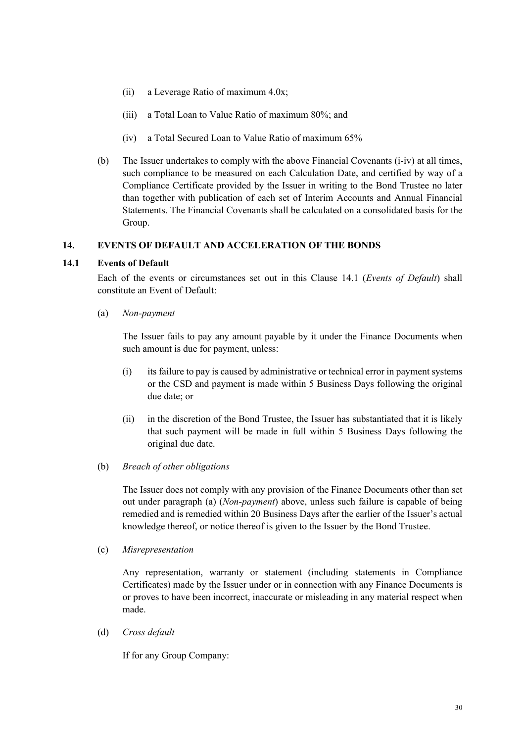- (ii) a Leverage Ratio of maximum 4.0x;
- (iii) a Total Loan to Value Ratio of maximum 80%; and
- (iv) a Total Secured Loan to Value Ratio of maximum 65%
- (b) The Issuer undertakes to comply with the above Financial Covenants (i-iv) at all times, such compliance to be measured on each Calculation Date, and certified by way of a Compliance Certificate provided by the Issuer in writing to the Bond Trustee no later than together with publication of each set of Interim Accounts and Annual Financial Statements. The Financial Covenants shall be calculated on a consolidated basis for the Group.

#### **14. EVENTS OF DEFAULT AND ACCELERATION OF THE BONDS**

#### **14.1 Events of Default**

<span id="page-52-1"></span><span id="page-52-0"></span>Each of the events or circumstances set out in this Clause 14.1 (*Events of Default*) shall constitute an Event of Default:

(a) *Non-payment*

The Issuer fails to pay any amount payable by it under the Finance Documents when such amount is due for payment, unless:

- (i) its failure to pay is caused by administrative or technical error in payment systems or the CSD and payment is made within 5 Business Days following the original due date; or
- (ii) in the discretion of the Bond Trustee, the Issuer has substantiated that it is likely that such payment will be made in full within 5 Business Days following the original due date.
- (b) *Breach of other obligations*

The Issuer does not comply with any provision of the Finance Documents other than set out under paragraph (a) (*Non-payment*) above, unless such failure is capable of being remedied and is remedied within 20 Business Days after the earlier of the Issuer's actual knowledge thereof, or notice thereof is given to the Issuer by the Bond Trustee.

(c) *Misrepresentation* 

Any representation, warranty or statement (including statements in Compliance Certificates) made by the Issuer under or in connection with any Finance Documents is or proves to have been incorrect, inaccurate or misleading in any material respect when made.

(d) *Cross default*

If for any Group Company: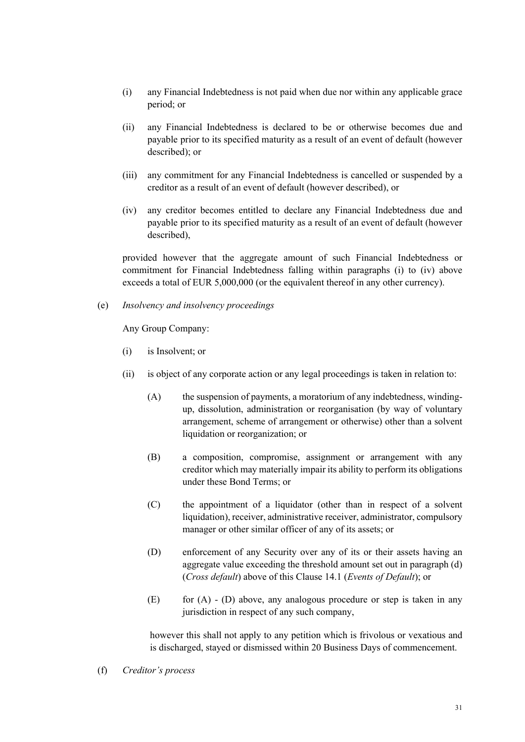- (i) any Financial Indebtedness is not paid when due nor within any applicable grace period; or
- (ii) any Financial Indebtedness is declared to be or otherwise becomes due and payable prior to its specified maturity as a result of an event of default (however described); or
- (iii) any commitment for any Financial Indebtedness is cancelled or suspended by a creditor as a result of an event of default (however described), or
- (iv) any creditor becomes entitled to declare any Financial Indebtedness due and payable prior to its specified maturity as a result of an event of default (however described),

provided however that the aggregate amount of such Financial Indebtedness or commitment for Financial Indebtedness falling within paragraphs (i) to (iv) above exceeds a total of EUR 5,000,000 (or the equivalent thereof in any other currency).

(e) *Insolvency and insolvency proceedings*

Any Group Company:

- (i) is Insolvent; or
- (ii) is object of any corporate action or any legal proceedings is taken in relation to:
	- (A) the suspension of payments, a moratorium of any indebtedness, windingup, dissolution, administration or reorganisation (by way of voluntary arrangement, scheme of arrangement or otherwise) other than a solvent liquidation or reorganization; or
	- (B) a composition, compromise, assignment or arrangement with any creditor which may materially impair its ability to perform its obligations under these Bond Terms; or
	- (C) the appointment of a liquidator (other than in respect of a solvent liquidation), receiver, administrative receiver, administrator, compulsory manager or other similar officer of any of its assets; or
	- (D) enforcement of any Security over any of its or their assets having an aggregate value exceeding the threshold amount set out in paragraph (d) (*Cross default*) [above of this Clause](#page-52-1) 14.1 (*Events of Default*); or
	- $(E)$  for  $(A)$   $(D)$  above, any analogous procedure or step is taken in any jurisdiction in respect of any such company,

however this shall not apply to any petition which is frivolous or vexatious and is discharged, stayed or dismissed within 20 Business Days of commencement.

(f) *Creditor's process*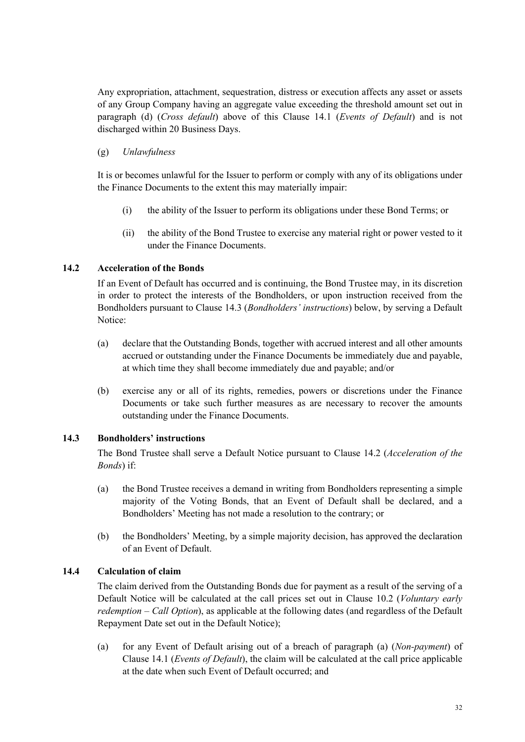Any expropriation, attachment, sequestration, distress or execution affects any asset or assets of any Group Company having an aggregate value exceeding the threshold amount set out in paragraph (d) (*Cross default*) above of this [Clause](#page-52-1) 14.1 (*Events of Default*) and is not discharged within 20 Business Days.

## (g) *Unlawfulness*

It is or becomes unlawful for the Issuer to perform or comply with any of its obligations under the Finance Documents to the extent this may materially impair:

- (i) the ability of the Issuer to perform its obligations under these Bond Terms; or
- (ii) the ability of the Bond Trustee to exercise any material right or power vested to it under the Finance Documents.

## **14.2 Acceleration of the Bonds**

<span id="page-54-0"></span>If an Event of Default has occurred and is continuing, the Bond Trustee may, in its discretion in order to protect the interests of the Bondholders, or upon instruction received from the Bondholders pursuant to Clause [14.3](#page-54-1) (*Bondholders' instructions*) below, by serving a Default Notice:

- (a) declare that the Outstanding Bonds, together with accrued interest and all other amounts accrued or outstanding under the Finance Documents be immediately due and payable, at which time they shall become immediately due and payable; and/or
- (b) exercise any or all of its rights, remedies, powers or discretions under the Finance Documents or take such further measures as are necessary to recover the amounts outstanding under the Finance Documents.

#### **14.3 Bondholders' instructions**

<span id="page-54-1"></span>The Bond Trustee shall serve a Default Notice pursuant to Clause [14.2](#page-54-0) (*Acceleration of the Bonds*) if:

- (a) the Bond Trustee receives a demand in writing from Bondholders representing a simple majority of the Voting Bonds, that an Event of Default shall be declared, and a Bondholders' Meeting has not made a resolution to the contrary; or
- (b) the Bondholders' Meeting, by a simple majority decision, has approved the declaration of an Event of Default.

# **14.4 Calculation of claim**

The claim derived from the Outstanding Bonds due for payment as a result of the serving of a Default Notice will be calculated at the call prices set out in Clause 10.2 (*Voluntary early redemption – Call Option*), as applicable at the following dates (and regardless of the Default Repayment Date set out in the Default Notice);

(a) for any Event of Default arising out of a breach of paragraph (a) (*Non-payment*) of Clause 14.1 (*Events of Default*), the claim will be calculated at the call price applicable at the date when such Event of Default occurred; and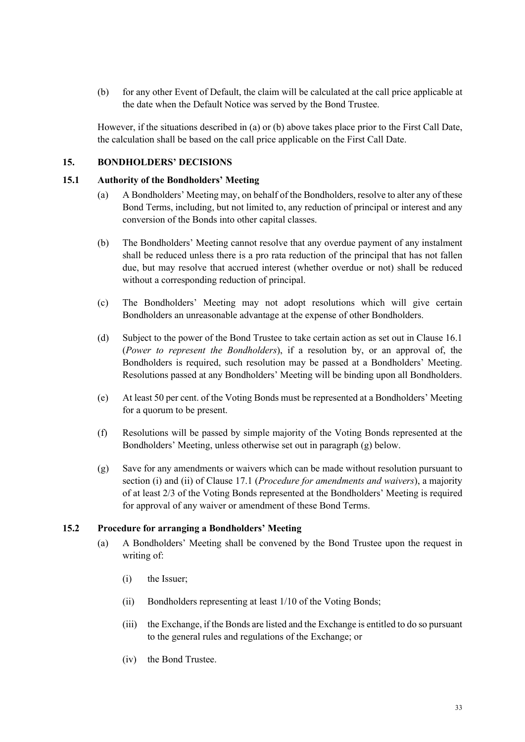(b) for any other Event of Default, the claim will be calculated at the call price applicable at the date when the Default Notice was served by the Bond Trustee.

<span id="page-55-0"></span>However, if the situations described in (a) or (b) above takes place prior to the First Call Date, the calculation shall be based on the call price applicable on the First Call Date.

#### **15. BONDHOLDERS' DECISIONS**

#### **15.1 Authority of the Bondholders' Meeting**

- <span id="page-55-1"></span>(a) A Bondholders' Meeting may, on behalf of the Bondholders, resolve to alter any of these Bond Terms, including, but not limited to, any reduction of principal or interest and any conversion of the Bonds into other capital classes.
- (b) The Bondholders' Meeting cannot resolve that any overdue payment of any instalment shall be reduced unless there is a pro rata reduction of the principal that has not fallen due, but may resolve that accrued interest (whether overdue or not) shall be reduced without a corresponding reduction of principal.
- (c) The Bondholders' Meeting may not adopt resolutions which will give certain Bondholders an unreasonable advantage at the expense of other Bondholders.
- (d) Subject to the power of the Bond Trustee to take certain action as set out i[n Clause 16.1](#page-59-2) (*Power to represent the Bondholders*), if a resolution by, or an approval of, the Bondholders is required, such resolution may be passed at a Bondholders' Meeting. Resolutions passed at any Bondholders' Meeting will be binding upon all Bondholders.
- (e) At least 50 per cent. of the Voting Bonds must be represented at a Bondholders' Meeting for a quorum to be present.
- (f) Resolutions will be passed by simple majority of the Voting Bonds represented at the Bondholders' Meeting, unless otherwise set out in paragraph [\(g\)](#page-55-2) below.
- <span id="page-55-2"></span>(g) Save for any amendments or waivers which can be made without resolution pursuant to section (i) and (ii) of Clause [17.1](#page-63-1) (*Procedure for amendments and waivers*), a majority of at least 2/3 of the Voting Bonds represented at the Bondholders' Meeting is required for approval of any waiver or amendment of these Bond Terms.

#### **15.2 Procedure for arranging a Bondholders' Meeting**

- <span id="page-55-4"></span><span id="page-55-3"></span>(a) A Bondholders' Meeting shall be convened by the Bond Trustee upon the request in writing of:
	- (i) the Issuer;
	- (ii) Bondholders representing at least 1/10 of the Voting Bonds;
	- (iii) the Exchange, if the Bonds are listed and the Exchange is entitled to do so pursuant to the general rules and regulations of the Exchange; or
	- (iv) the Bond Trustee.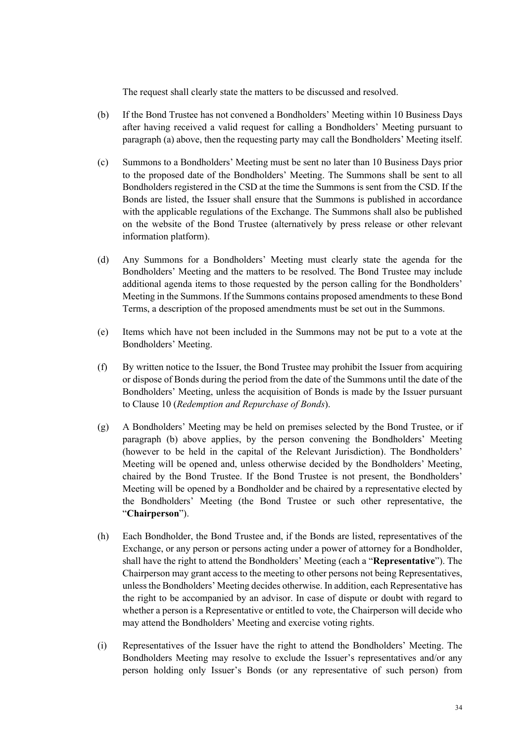The request shall clearly state the matters to be discussed and resolved.

- (b) If the Bond Trustee has not convened a Bondholders' Meeting within 10 Business Days after having received a valid request for calling a Bondholders' Meeting pursuant to [paragraph \(a\)](#page-55-3) above, then the requesting party may call the Bondholders' Meeting itself.
- (c) Summons to a Bondholders' Meeting must be sent no later than 10 Business Days prior to the proposed date of the Bondholders' Meeting. The Summons shall be sent to all Bondholders registered in the CSD at the time the Summons is sent from the CSD. If the Bonds are listed, the Issuer shall ensure that the Summons is published in accordance with the applicable regulations of the Exchange. The Summons shall also be published on the website of the Bond Trustee (alternatively by press release or other relevant information platform).
- (d) Any Summons for a Bondholders' Meeting must clearly state the agenda for the Bondholders' Meeting and the matters to be resolved. The Bond Trustee may include additional agenda items to those requested by the person calling for the Bondholders' Meeting in the Summons. If the Summons contains proposed amendments to these Bond Terms, a description of the proposed amendments must be set out in the Summons.
- (e) Items which have not been included in the Summons may not be put to a vote at the Bondholders' Meeting.
- (f) By written notice to the Issuer, the Bond Trustee may prohibit the Issuer from acquiring or dispose of Bonds during the period from the date of the Summons until the date of the Bondholders' Meeting, unless the acquisition of Bonds is made by the Issuer pursuant to Clause [10](#page-46-0) (*Redemption and Repurchase of Bonds*).
- (g) A Bondholders' Meeting may be held on premises selected by the Bond Trustee, or if paragraph (b) above applies, by the person convening the Bondholders' Meeting (however to be held in the capital of the Relevant Jurisdiction). The Bondholders' Meeting will be opened and, unless otherwise decided by the Bondholders' Meeting, chaired by the Bond Trustee. If the Bond Trustee is not present, the Bondholders' Meeting will be opened by a Bondholder and be chaired by a representative elected by the Bondholders' Meeting (the Bond Trustee or such other representative, the "**Chairperson**").
- (h) Each Bondholder, the Bond Trustee and, if the Bonds are listed, representatives of the Exchange, or any person or persons acting under a power of attorney for a Bondholder, shall have the right to attend the Bondholders' Meeting (each a "**Representative**"). The Chairperson may grant access to the meeting to other persons not being Representatives, unless the Bondholders' Meeting decides otherwise. In addition, each Representative has the right to be accompanied by an advisor. In case of dispute or doubt with regard to whether a person is a Representative or entitled to vote, the Chairperson will decide who may attend the Bondholders' Meeting and exercise voting rights.
- (i) Representatives of the Issuer have the right to attend the Bondholders' Meeting. The Bondholders Meeting may resolve to exclude the Issuer's representatives and/or any person holding only Issuer's Bonds (or any representative of such person) from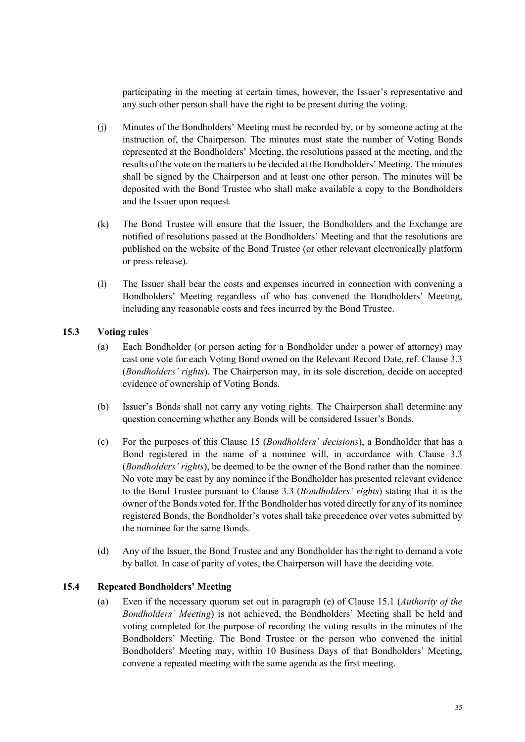participating in the meeting at certain times, however, the Issuer's representative and any such other person shall have the right to be present during the voting.

- (j) Minutes of the Bondholders' Meeting must be recorded by, or by someone acting at the instruction of, the Chairperson. The minutes must state the number of Voting Bonds represented at the Bondholders' Meeting, the resolutions passed at the meeting, and the results of the vote on the matters to be decided at the Bondholders' Meeting. The minutes shall be signed by the Chairperson and at least one other person. The minutes will be deposited with the Bond Trustee who shall make available a copy to the Bondholders and the Issuer upon request.
- (k) The Bond Trustee will ensure that the Issuer, the Bondholders and the Exchange are notified of resolutions passed at the Bondholders' Meeting and that the resolutions are published on the website of the Bond Trustee (or other relevant electronically platform or press release).
- (l) The Issuer shall bear the costs and expenses incurred in connection with convening a Bondholders' Meeting regardless of who has convened the Bondholders' Meeting, including any reasonable costs and fees incurred by the Bond Trustee.

#### **15.3 Voting rules**

- <span id="page-57-0"></span>(a) Each Bondholder (or person acting for a Bondholder under a power of attorney) may cast one vote for each Voting Bond owned on the Relevant Record D[ate, ref. Clause 3.3](#page-39-2) (*Bondholders' rights*). The Chairperson may, in its sole discretion, decide on accepted evidence of ownership of Voting Bonds.
- (b) Issuer's Bonds shall not carry any voting rights. The Chairperson shall determine any question concerning whether any Bonds will be considered Issuer's Bonds.
- (c) For the purposes of this Clause [15](#page-55-0) (*Bondholders' decisions*), a Bondholder that has a Bond registered in the name of a nominee will, in accordance with Clause [3.3](#page-39-2) (*Bondholders' rights*), be deemed to be the owner of the Bond rather than the nominee. No vote may be cast by any nominee if the Bondholder has presented relevant evidence to the Bond Trustee pursuant to Clause [3.3](#page-39-2) (*Bondholders' rights*) stating that it is the owner of the Bonds voted for. If the Bondholder has voted directly for any of its nominee registered Bonds, the Bondholder's votes shall take precedence over votes submitted by the nominee for the same Bonds.
- (d) Any of the Issuer, the Bond Trustee and any Bondholder has the right to demand a vote by ballot. In case of parity of votes, the Chairperson will have the deciding vote.

#### **15.4 Repeated Bondholders' Meeting**

<span id="page-57-1"></span>(a) Even if the necessary quorum set out in paragraph (e) of Clause [15.1](#page-55-1) (*Authority of the Bondholders' Meeting*) is not achieved, the Bondholders' Meeting shall be held and voting completed for the purpose of recording the voting results in the minutes of the Bondholders' Meeting. The Bond Trustee or the person who convened the initial Bondholders' Meeting may, within 10 Business Days of that Bondholders' Meeting, convene a repeated meeting with the same agenda as the first meeting.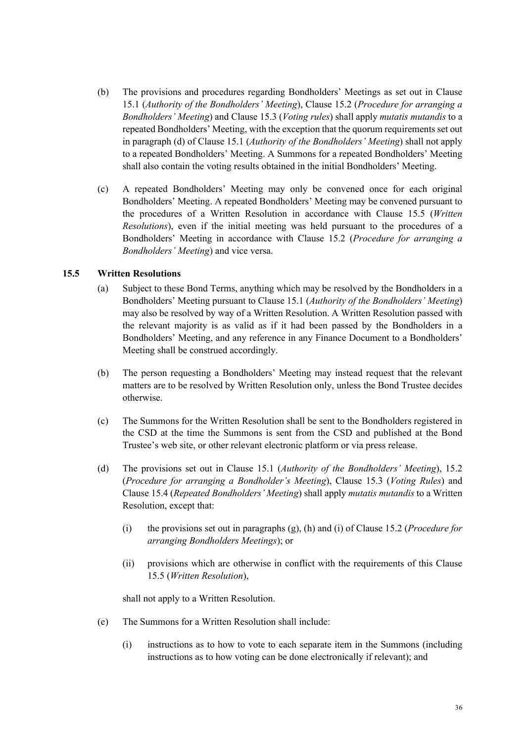- (b) The provisions and procedures regarding Bondholders' Meetings as set out in Clause [15.1](#page-55-1) (*Authority of the Bondholders' Meeting*), Clause [15.2](#page-55-4) (*Procedure for arranging a Bondholders' Meeting*) and Clause [15.3](#page-57-0) (*Voting rules*) shall apply *mutatis mutandis* to a repeated Bondholders' Meeting, with the exception that the quorum requirements set out in paragraph (d) of Clause [15.1](#page-55-1) (*Authority of the Bondholders' Meeting*) shall not apply to a repeated Bondholders' Meeting. A Summons for a repeated Bondholders' Meeting shall also contain the voting results obtained in the initial Bondholders' Meeting.
- (c) A repeated Bondholders' Meeting may only be convened once for each original Bondholders' Meeting. A repeated Bondholders' Meeting may be convened pursuant to the procedures of a Written Resolution in accordance with Clause [15.5](#page-58-0) (*Written Resolutions*), even if the initial meeting was held pursuant to the procedures of a Bondholders' Meeting in accordance with Clause [15.2](#page-55-4) (*Procedure for arranging a Bondholders' Meeting*) and vice versa.

#### **15.5 Written Resolutions**

- <span id="page-58-0"></span>(a) Subject to these Bond Terms, anything which may be resolved by the Bondholders in a Bondholders' Meeting pursuant to Clause [15.1](#page-55-1) (*Authority of the Bondholders' Meeting*) may also be resolved by way of a Written Resolution. A Written Resolution passed with the relevant majority is as valid as if it had been passed by the Bondholders in a Bondholders' Meeting, and any reference in any Finance Document to a Bondholders' Meeting shall be construed accordingly.
- (b) The person requesting a Bondholders' Meeting may instead request that the relevant matters are to be resolved by Written Resolution only, unless the Bond Trustee decides otherwise.
- (c) The Summons for the Written Resolution shall be sent to the Bondholders registered in the CSD at the time the Summons is sent from the CSD and published at the Bond Trustee's web site, or other relevant electronic platform or via press release.
- (d) The provisions set out in Clause [15.1](#page-55-1) (*Authority of the Bondholders' Meeting*), [15.2](#page-55-4) (*Procedure for arranging a Bondholder's Meeting*), Clause [15.3](#page-57-0) (*Voting Rules*) and Clause [15.4](#page-57-1) (*Repeated Bondholders' Meeting*) shall apply *mutatis mutandis* to a Written Resolution, except that:
	- (i) the provisions set out in paragraphs (g), (h) and (i) of Clause [15.2](#page-55-4) (*Procedure for arranging Bondholders Meetings*); or
	- (ii) provisions which are otherwise in conflict with the requirements of this Clause [15.5](#page-58-0) (*Written Resolution*),

shall not apply to a Written Resolution.

- (e) The Summons for a Written Resolution shall include:
	- (i) instructions as to how to vote to each separate item in the Summons (including instructions as to how voting can be done electronically if relevant); and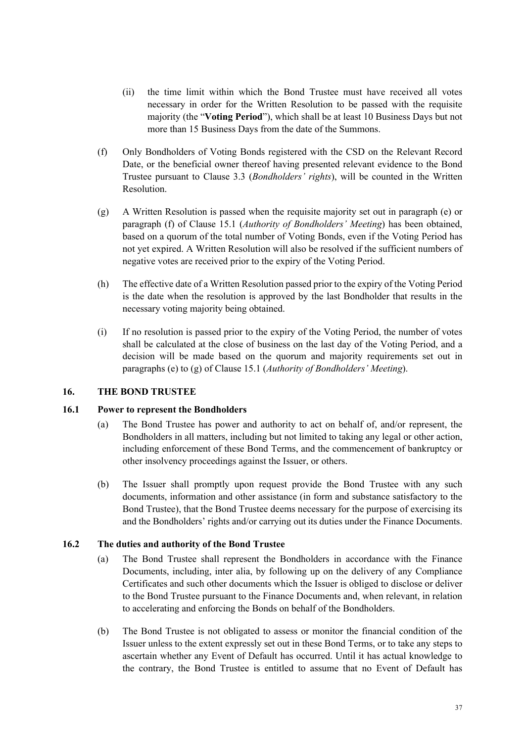- (ii) the time limit within which the Bond Trustee must have received all votes necessary in order for the Written Resolution to be passed with the requisite majority (the "**Voting Period**"), which shall be at least 10 Business Days but not more than 15 Business Days from the date of the Summons.
- (f) Only Bondholders of Voting Bonds registered with the CSD on the Relevant Record Date, or the beneficial owner thereof having presented relevant evidence to the Bond Trustee purs[uant to Clause 3.3](#page-39-2) (*Bondholders' rights*), will be counted in the Written Resolution.
- (g) A Written Resolution is passed when the requisite majority set out in paragraph (e) or paragraph (f) of Clause [15.1](#page-55-1) (*Authority of Bondholders' Meeting*) has been obtained, based on a quorum of the total number of Voting Bonds, even if the Voting Period has not yet expired. A Written Resolution will also be resolved if the sufficient numbers of negative votes are received prior to the expiry of the Voting Period.
- (h) The effective date of a Written Resolution passed prior to the expiry of the Voting Period is the date when the resolution is approved by the last Bondholder that results in the necessary voting majority being obtained.
- (i) If no resolution is passed prior to the expiry of the Voting Period, the number of votes shall be calculated at the close of business on the last day of the Voting Period, and a decision will be made based on the quorum and majority requirements set out in paragraphs (e) to (g) of Clause [15.1](#page-55-1) (*Authority of Bondholders' Meeting*).

#### **16. THE BOND TRUSTEE**

#### **16.1 Power to represent the Bondholders**

- <span id="page-59-2"></span><span id="page-59-0"></span>(a) The Bond Trustee has power and authority to act on behalf of, and/or represent, the Bondholders in all matters, including but not limited to taking any legal or other action, including enforcement of these Bond Terms, and the commencement of bankruptcy or other insolvency proceedings against the Issuer, or others.
- (b) The Issuer shall promptly upon request provide the Bond Trustee with any such documents, information and other assistance (in form and substance satisfactory to the Bond Trustee), that the Bond Trustee deems necessary for the purpose of exercising its and the Bondholders' rights and/or carrying out its duties under the Finance Documents.

#### **16.2 The duties and authority of the Bond Trustee**

- <span id="page-59-1"></span>(a) The Bond Trustee shall represent the Bondholders in accordance with the Finance Documents, including, inter alia, by following up on the delivery of any Compliance Certificates and such other documents which the Issuer is obliged to disclose or deliver to the Bond Trustee pursuant to the Finance Documents and, when relevant, in relation to accelerating and enforcing the Bonds on behalf of the Bondholders.
- (b) The Bond Trustee is not obligated to assess or monitor the financial condition of the Issuer unless to the extent expressly set out in these Bond Terms, or to take any steps to ascertain whether any Event of Default has occurred. Until it has actual knowledge to the contrary, the Bond Trustee is entitled to assume that no Event of Default has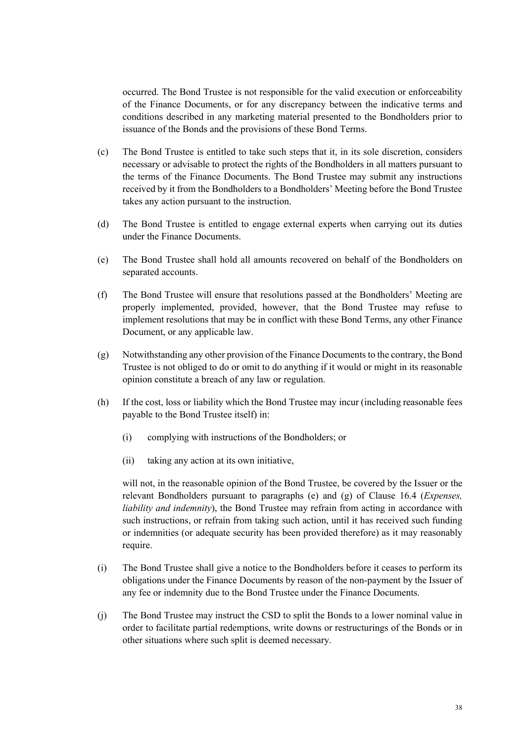occurred. The Bond Trustee is not responsible for the valid execution or enforceability of the Finance Documents, or for any discrepancy between the indicative terms and conditions described in any marketing material presented to the Bondholders prior to issuance of the Bonds and the provisions of these Bond Terms.

- (c) The Bond Trustee is entitled to take such steps that it, in its sole discretion, considers necessary or advisable to protect the rights of the Bondholders in all matters pursuant to the terms of the Finance Documents. The Bond Trustee may submit any instructions received by it from the Bondholders to a Bondholders' Meeting before the Bond Trustee takes any action pursuant to the instruction.
- (d) The Bond Trustee is entitled to engage external experts when carrying out its duties under the Finance Documents.
- (e) The Bond Trustee shall hold all amounts recovered on behalf of the Bondholders on separated accounts.
- (f) The Bond Trustee will ensure that resolutions passed at the Bondholders' Meeting are properly implemented, provided, however, that the Bond Trustee may refuse to implement resolutions that may be in conflict with these Bond Terms, any other Finance Document, or any applicable law.
- (g) Notwithstanding any other provision of the Finance Documents to the contrary, the Bond Trustee is not obliged to do or omit to do anything if it would or might in its reasonable opinion constitute a breach of any law or regulation.
- (h) If the cost, loss or liability which the Bond Trustee may incur (including reasonable fees payable to the Bond Trustee itself) in:
	- (i) complying with instructions of the Bondholders; or
	- (ii) taking any action at its own initiative,

will not, in the reasonable opinion of the Bond Trustee, be covered by the Issuer or the relevant Bondholders pursuant to paragraphs (e) and [\(g\) of Clause 16.4](#page-61-0) (*Expenses, liability and indemnity*), the Bond Trustee may refrain from acting in accordance with such instructions, or refrain from taking such action, until it has received such funding or indemnities (or adequate security has been provided therefore) as it may reasonably require.

- (i) The Bond Trustee shall give a notice to the Bondholders before it ceases to perform its obligations under the Finance Documents by reason of the non-payment by the Issuer of any fee or indemnity due to the Bond Trustee under the Finance Documents.
- (j) The Bond Trustee may instruct the CSD to split the Bonds to a lower nominal value in order to facilitate partial redemptions, write downs or restructurings of the Bonds or in other situations where such split is deemed necessary.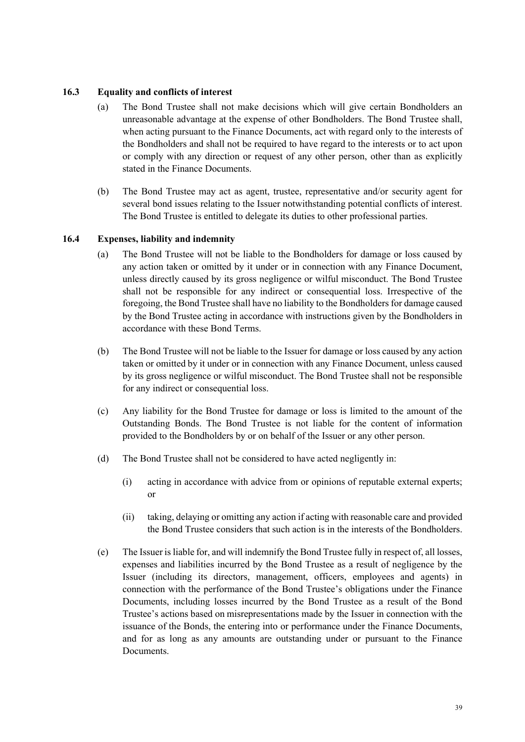#### **16.3 Equality and conflicts of interest**

- (a) The Bond Trustee shall not make decisions which will give certain Bondholders an unreasonable advantage at the expense of other Bondholders. The Bond Trustee shall, when acting pursuant to the Finance Documents, act with regard only to the interests of the Bondholders and shall not be required to have regard to the interests or to act upon or comply with any direction or request of any other person, other than as explicitly stated in the Finance Documents.
- (b) The Bond Trustee may act as agent, trustee, representative and/or security agent for several bond issues relating to the Issuer notwithstanding potential conflicts of interest. The Bond Trustee is entitled to delegate its duties to other professional parties.

#### **16.4 Expenses, liability and indemnity**

- <span id="page-61-0"></span>(a) The Bond Trustee will not be liable to the Bondholders for damage or loss caused by any action taken or omitted by it under or in connection with any Finance Document, unless directly caused by its gross negligence or wilful misconduct. The Bond Trustee shall not be responsible for any indirect or consequential loss. Irrespective of the foregoing, the Bond Trustee shall have no liability to the Bondholders for damage caused by the Bond Trustee acting in accordance with instructions given by the Bondholders in accordance with these Bond Terms.
- (b) The Bond Trustee will not be liable to the Issuer for damage or loss caused by any action taken or omitted by it under or in connection with any Finance Document, unless caused by its gross negligence or wilful misconduct. The Bond Trustee shall not be responsible for any indirect or consequential loss.
- (c) Any liability for the Bond Trustee for damage or loss is limited to the amount of the Outstanding Bonds. The Bond Trustee is not liable for the content of information provided to the Bondholders by or on behalf of the Issuer or any other person.
- (d) The Bond Trustee shall not be considered to have acted negligently in:
	- (i) acting in accordance with advice from or opinions of reputable external experts; or
	- (ii) taking, delaying or omitting any action if acting with reasonable care and provided the Bond Trustee considers that such action is in the interests of the Bondholders.
- (e) The Issuer is liable for, and will indemnify the Bond Trustee fully in respect of, all losses, expenses and liabilities incurred by the Bond Trustee as a result of negligence by the Issuer (including its directors, management, officers, employees and agents) in connection with the performance of the Bond Trustee's obligations under the Finance Documents, including losses incurred by the Bond Trustee as a result of the Bond Trustee's actions based on misrepresentations made by the Issuer in connection with the issuance of the Bonds, the entering into or performance under the Finance Documents, and for as long as any amounts are outstanding under or pursuant to the Finance Documents.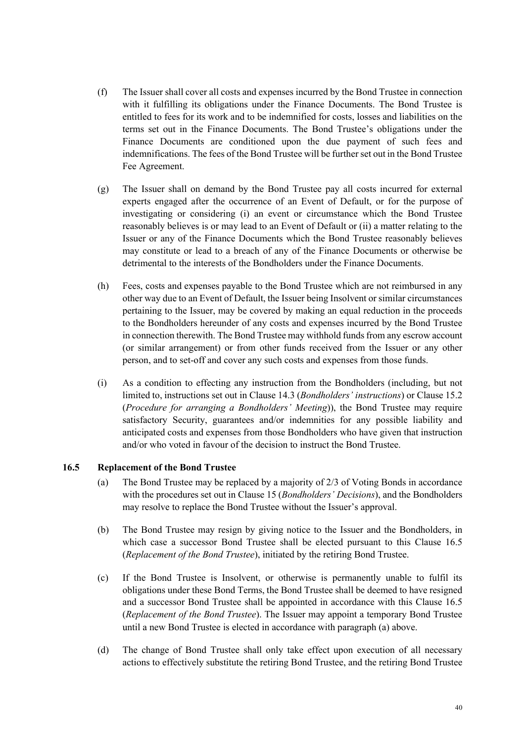- (f) The Issuer shall cover all costs and expenses incurred by the Bond Trustee in connection with it fulfilling its obligations under the Finance Documents. The Bond Trustee is entitled to fees for its work and to be indemnified for costs, losses and liabilities on the terms set out in the Finance Documents. The Bond Trustee's obligations under the Finance Documents are conditioned upon the due payment of such fees and indemnifications. The fees of the Bond Trustee will be further set out in the Bond Trustee Fee Agreement.
- (g) The Issuer shall on demand by the Bond Trustee pay all costs incurred for external experts engaged after the occurrence of an Event of Default, or for the purpose of investigating or considering (i) an event or circumstance which the Bond Trustee reasonably believes is or may lead to an Event of Default or (ii) a matter relating to the Issuer or any of the Finance Documents which the Bond Trustee reasonably believes may constitute or lead to a breach of any of the Finance Documents or otherwise be detrimental to the interests of the Bondholders under the Finance Documents.
- (h) Fees, costs and expenses payable to the Bond Trustee which are not reimbursed in any other way due to an Event of Default, the Issuer being Insolvent or similar circumstances pertaining to the Issuer, may be covered by making an equal reduction in the proceeds to the Bondholders hereunder of any costs and expenses incurred by the Bond Trustee in connection therewith. The Bond Trustee may withhold funds from any escrow account (or similar arrangement) or from other funds received from the Issuer or any other person, and to set-off and cover any such costs and expenses from those funds.
- (i) As a condition to effecting any instruction from the Bondholders (including, but not limited to, instructions s[et out in Clause 14.3](#page-54-1) (*Bondholders' instructions*) or Clause [15.2](#page-55-4) (*Procedure for arranging a Bondholders' Meeting*)), the Bond Trustee may require satisfactory Security, guarantees and/or indemnities for any possible liability and anticipated costs and expenses from those Bondholders who have given that instruction and/or who voted in favour of the decision to instruct the Bond Trustee.

#### **16.5 Replacement of the Bond Trustee**

- <span id="page-62-1"></span><span id="page-62-0"></span>(a) The Bond Trustee may be replaced by a majority of 2/3 of Voting Bonds in accordance with the procedures set out in Clause [15](#page-55-0) (*Bondholders' Decisions*), and the Bondholders may resolve to replace the Bond Trustee without the Issuer's approval.
- (b) The Bond Trustee may resign by giving notice to the Issuer and the Bondholders, in which case a successor Bond Trustee shall be elected pursuant to this Clause [16.5](#page-62-0) (*Replacement of the Bond Trustee*), initiated by the retiring Bond Trustee.
- (c) If the Bond Trustee is Insolvent, or otherwise is permanently unable to fulfil its obligations under these Bond Terms, the Bond Trustee shall be deemed to have resigned and a successor Bond Trustee shall be appointed in accordance with this Clause [16.5](#page-62-0) (*Replacement of the Bond Trustee*). The Issuer may appoint a temporary Bond Trustee until a new Bond Trustee is elected in accordance with paragraph [\(a\)](#page-62-1) above.
- (d) The change of Bond Trustee shall only take effect upon execution of all necessary actions to effectively substitute the retiring Bond Trustee, and the retiring Bond Trustee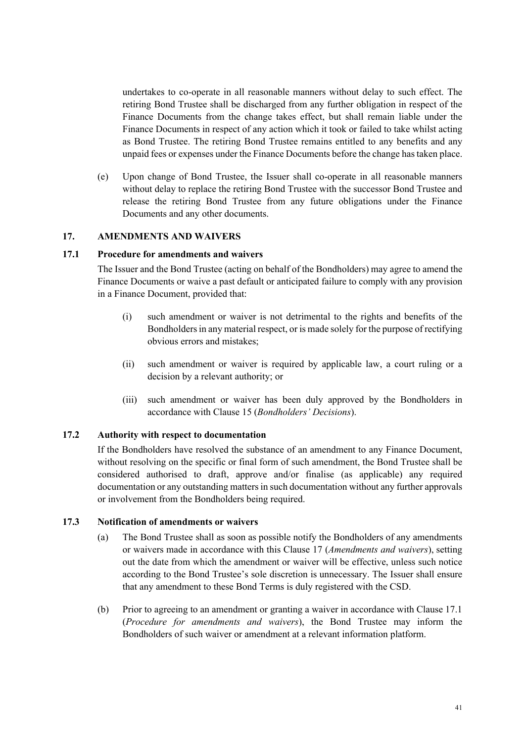undertakes to co-operate in all reasonable manners without delay to such effect. The retiring Bond Trustee shall be discharged from any further obligation in respect of the Finance Documents from the change takes effect, but shall remain liable under the Finance Documents in respect of any action which it took or failed to take whilst acting as Bond Trustee. The retiring Bond Trustee remains entitled to any benefits and any unpaid fees or expenses under the Finance Documents before the change has taken place.

(e) Upon change of Bond Trustee, the Issuer shall co-operate in all reasonable manners without delay to replace the retiring Bond Trustee with the successor Bond Trustee and release the retiring Bond Trustee from any future obligations under the Finance Documents and any other documents.

#### **17. AMENDMENTS AND WAIVERS**

#### **17.1 Procedure for amendments and waivers**

<span id="page-63-1"></span><span id="page-63-0"></span>The Issuer and the Bond Trustee (acting on behalf of the Bondholders) may agree to amend the Finance Documents or waive a past default or anticipated failure to comply with any provision in a Finance Document, provided that:

- (i) such amendment or waiver is not detrimental to the rights and benefits of the Bondholders in any material respect, or is made solely for the purpose of rectifying obvious errors and mistakes;
- (ii) such amendment or waiver is required by applicable law, a court ruling or a decision by a relevant authority; or
- (iii) such amendment or waiver has been duly approved by the Bondholders in ac[cordance with Clause 15](#page-55-0) (*Bondholders' Decisions*).

#### **17.2 Authority with respect to documentation**

If the Bondholders have resolved the substance of an amendment to any Finance Document, without resolving on the specific or final form of such amendment, the Bond Trustee shall be considered authorised to draft, approve and/or finalise (as applicable) any required documentation or any outstanding matters in such documentation without any further approvals or involvement from the Bondholders being required.

#### **17.3 Notification of amendments or waivers**

- (a) The Bond Trustee shall as soon as possible notify the Bondholders of any amendments or waivers made in accordance with this Clause [17](#page-63-0) (*Amendments and waivers*), setting out the date from which the amendment or waiver will be effective, unless such notice according to the Bond Trustee's sole discretion is unnecessary. The Issuer shall ensure that any amendment to these Bond Terms is duly registered with the CSD.
- (b) Prior to agreeing to an amendment or granting a waiver in accordance with Clause [17.1](#page-63-1) (*Procedure for amendments and waivers*), the Bond Trustee may inform the Bondholders of such waiver or amendment at a relevant information platform.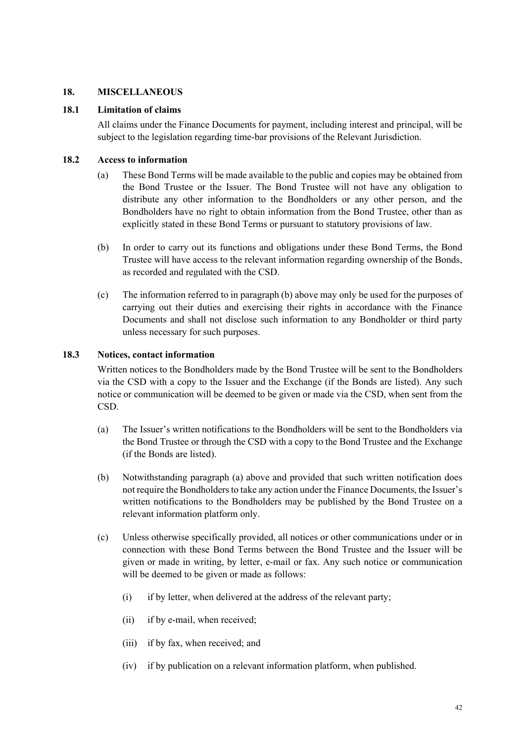#### **18. MISCELLANEOUS**

#### **18.1 Limitation of claims**

<span id="page-64-0"></span>All claims under the Finance Documents for payment, including interest and principal, will be subject to the legislation regarding time-bar provisions of the Relevant Jurisdiction.

#### **18.2 Access to information**

- (a) These Bond Terms will be made available to the public and copies may be obtained from the Bond Trustee or the Issuer. The Bond Trustee will not have any obligation to distribute any other information to the Bondholders or any other person, and the Bondholders have no right to obtain information from the Bond Trustee, other than as explicitly stated in these Bond Terms or pursuant to statutory provisions of law.
- (b) In order to carry out its functions and obligations under these Bond Terms, the Bond Trustee will have access to the relevant information regarding ownership of the Bonds, as recorded and regulated with the CSD.
- (c) The information referred to in paragraph (b) above may only be used for the purposes of carrying out their duties and exercising their rights in accordance with the Finance Documents and shall not disclose such information to any Bondholder or third party unless necessary for such purposes.

#### **18.3 Notices, contact information**

Written notices to the Bondholders made by the Bond Trustee will be sent to the Bondholders via the CSD with a copy to the Issuer and the Exchange (if the Bonds are listed). Any such notice or communication will be deemed to be given or made via the CSD, when sent from the CSD.

- (a) The Issuer's written notifications to the Bondholders will be sent to the Bondholders via the Bond Trustee or through the CSD with a copy to the Bond Trustee and the Exchange (if the Bonds are listed).
- (b) Notwithstanding paragraph (a) above and provided that such written notification does not require the Bondholders to take any action under the Finance Documents, the Issuer's written notifications to the Bondholders may be published by the Bond Trustee on a relevant information platform only.
- (c) Unless otherwise specifically provided, all notices or other communications under or in connection with these Bond Terms between the Bond Trustee and the Issuer will be given or made in writing, by letter, e-mail or fax. Any such notice or communication will be deemed to be given or made as follows:
	- (i) if by letter, when delivered at the address of the relevant party;
	- (ii) if by e-mail, when received;
	- (iii) if by fax, when received; and
	- (iv) if by publication on a relevant information platform, when published.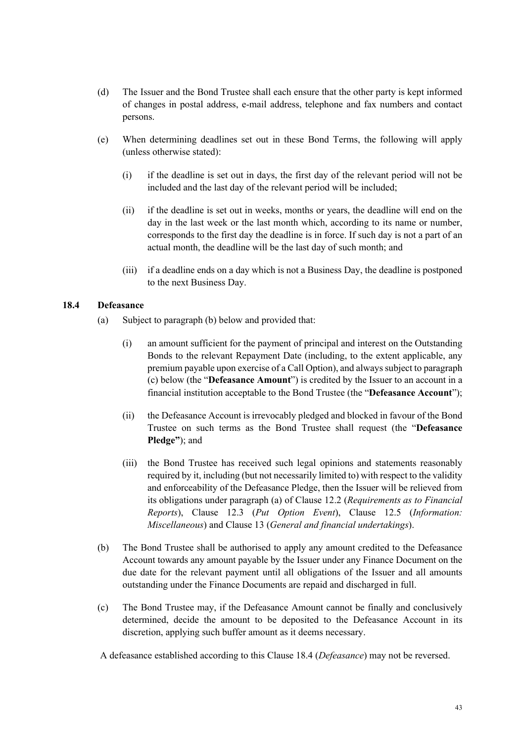- (d) The Issuer and the Bond Trustee shall each ensure that the other party is kept informed of changes in postal address, e-mail address, telephone and fax numbers and contact persons.
- (e) When determining deadlines set out in these Bond Terms, the following will apply (unless otherwise stated):
	- (i) if the deadline is set out in days, the first day of the relevant period will not be included and the last day of the relevant period will be included;
	- (ii) if the deadline is set out in weeks, months or years, the deadline will end on the day in the last week or the last month which, according to its name or number, corresponds to the first day the deadline is in force. If such day is not a part of an actual month, the deadline will be the last day of such month; and
	- (iii) if a deadline ends on a day which is not a Business Day, the deadline is postponed to the next Business Day.

#### **18.4 Defeasance**

- <span id="page-65-0"></span>(a) Subject to paragraph (b) below and provided that:
	- (i) an amount sufficient for the payment of principal and interest on the Outstanding Bonds to the relevant Repayment Date (including, to the extent applicable, any premium payable upon exercise of a Call Option), and always subject to paragraph (c) below (the "**Defeasance Amount**") is credited by the Issuer to an account in a financial institution acceptable to the Bond Trustee (the "**Defeasance Account**");
	- (ii) the Defeasance Account is irrevocably pledged and blocked in favour of the Bond Trustee on such terms as the Bond Trustee shall request (the "**Defeasance Pledge"**); and
	- (iii) the Bond Trustee has received such legal opinions and statements reasonably required by it, including (but not necessarily limited to) with respect to the validity and enforceability of the Defeasance Pledge, then the Issuer will be relieved from its obligations under paragraph (a) [of Clause 12.2](#page-48-3) (*Requirements as to Financial Reports*), Clause [12.3](#page-48-1) (*Put Option Event*), Clause [12.5](#page-49-2) (*Information: Miscellaneous*) and Clause [13](#page-49-0) (*General and financial undertakings*).
- (b) The Bond Trustee shall be authorised to apply any amount credited to the Defeasance Account towards any amount payable by the Issuer under any Finance Document on the due date for the relevant payment until all obligations of the Issuer and all amounts outstanding under the Finance Documents are repaid and discharged in full.
- (c) The Bond Trustee may, if the Defeasance Amount cannot be finally and conclusively determined, decide the amount to be deposited to the Defeasance Account in its discretion, applying such buffer amount as it deems necessary.
- A defeasance established according to this Clause [18.4](#page-65-0) (*Defeasance*) may not be reversed.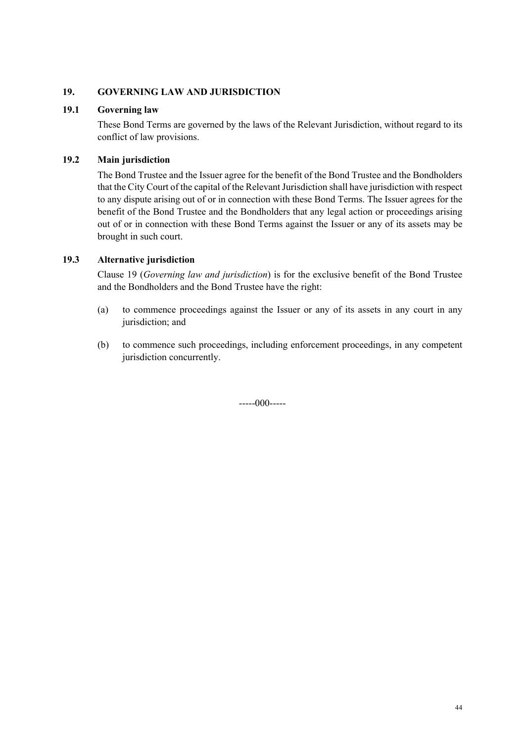## **19. GOVERNING LAW AND JURISDICTION**

#### **19.1 Governing law**

<span id="page-66-0"></span>These Bond Terms are governed by the laws of the Relevant Jurisdiction, without regard to its conflict of law provisions.

## **19.2 Main jurisdiction**

The Bond Trustee and the Issuer agree for the benefit of the Bond Trustee and the Bondholders that the City Court of the capital of the Relevant Jurisdiction shall have jurisdiction with respect to any dispute arising out of or in connection with these Bond Terms. The Issuer agrees for the benefit of the Bond Trustee and the Bondholders that any legal action or proceedings arising out of or in connection with these Bond Terms against the Issuer or any of its assets may be brought in such court.

## **19.3 Alternative jurisdiction**

[Clause 19](#page-66-0) (*Governing law and jurisdiction*) is for the exclusive benefit of the Bond Trustee and the Bondholders and the Bond Trustee have the right:

- (a) to commence proceedings against the Issuer or any of its assets in any court in any jurisdiction; and
- (b) to commence such proceedings, including enforcement proceedings, in any competent jurisdiction concurrently.

 $---000---$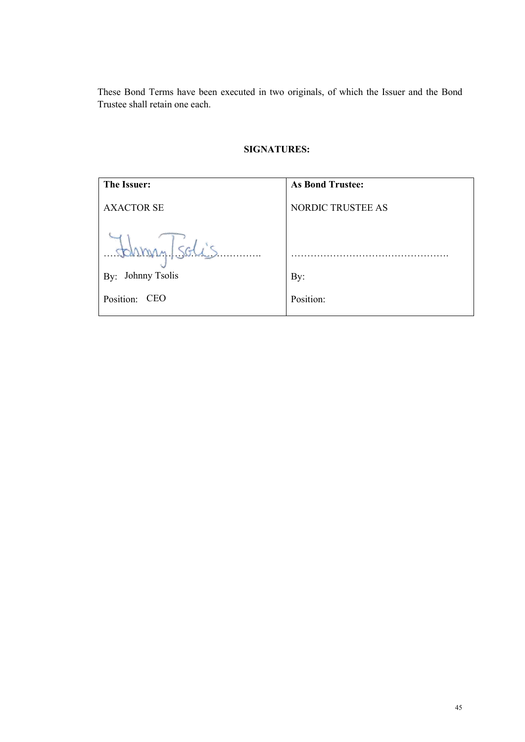These Bond Terms have been executed in two originals, of which the Issuer and the Bond Trustee shall retain one each.

# **SIGNATURES:**

| The Issuer:          | <b>As Bond Trustee:</b>  |
|----------------------|--------------------------|
| <b>AXACTOR SE</b>    | <b>NORDIC TRUSTEE AS</b> |
| tohmy/solis          |                          |
| Johnny Tsolis<br>By: | By:                      |
| Position: CEO        | Position:                |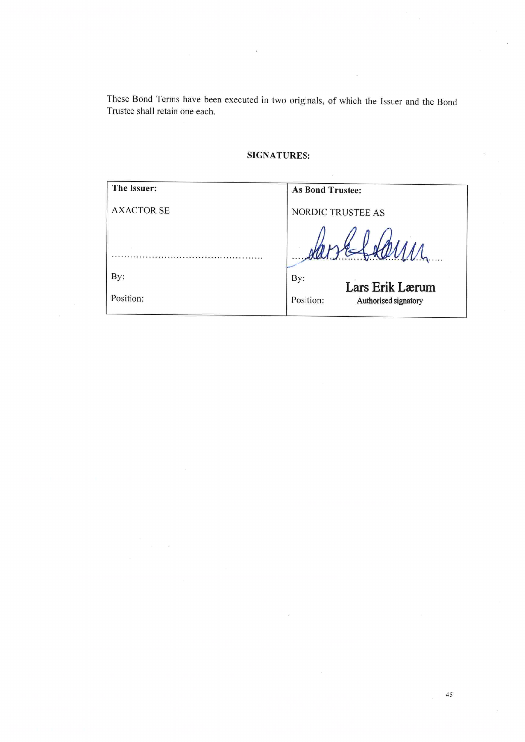These Bond Terms have been executed in two originals, of which the Issuer and the Bond Trustee shall retain one each.

 $\hat{v}$ 

# **SIGNATURES:**

| The Issuer:       | <b>As Bond Trustee:</b>           |
|-------------------|-----------------------------------|
| <b>AXACTOR SE</b> | NORDIC TRUSTEE AS                 |
| D.                |                                   |
| By:               | By:<br>Lars Erik Lærum            |
| Position:         | Position:<br>Authorised signatory |